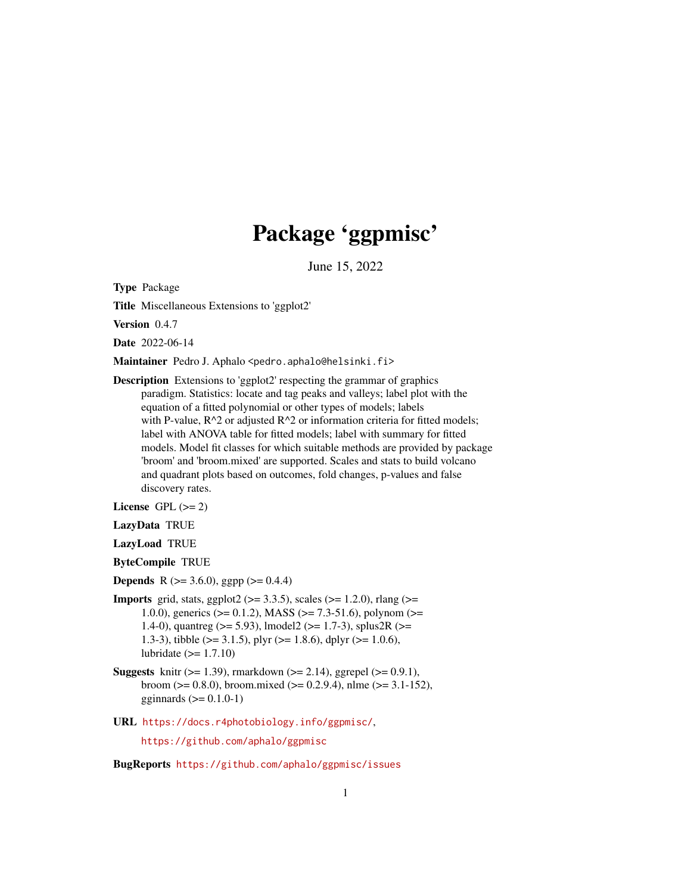# Package 'ggpmisc'

June 15, 2022

<span id="page-0-0"></span>Type Package

Title Miscellaneous Extensions to 'ggplot2'

Version 0.4.7

Date 2022-06-14

Maintainer Pedro J. Aphalo <pedro.aphalo@helsinki.fi>

Description Extensions to 'ggplot2' respecting the grammar of graphics paradigm. Statistics: locate and tag peaks and valleys; label plot with the equation of a fitted polynomial or other types of models; labels with P-value,  $R^2$  or adjusted  $R^2$  or information criteria for fitted models; label with ANOVA table for fitted models; label with summary for fitted models. Model fit classes for which suitable methods are provided by package 'broom' and 'broom.mixed' are supported. Scales and stats to build volcano and quadrant plots based on outcomes, fold changes, p-values and false discovery rates.

License GPL  $(>= 2)$ 

LazyData TRUE

LazyLoad TRUE

ByteCompile TRUE

**Depends** R ( $>= 3.6.0$ ), ggpp ( $>= 0.4.4$ )

- **Imports** grid, stats, ggplot2 ( $> = 3.3.5$ ), scales ( $> = 1.2.0$ ), rlang ( $> =$ 1.0.0), generics ( $> = 0.1.2$ ), MASS ( $> = 7.3-51.6$ ), polynom ( $> =$ 1.4-0), quantreg ( $> = 5.93$ ), lmodel2 ( $> = 1.7-3$ ), splus2R ( $> =$ 1.3-3), tibble ( $> = 3.1.5$ ), plyr ( $> = 1.8.6$ ), dplyr ( $> = 1.0.6$ ), lubridate  $(>= 1.7.10)$
- **Suggests** knitr ( $>= 1.39$ ), rmarkdown ( $>= 2.14$ ), ggrepel ( $>= 0.9.1$ ), broom ( $> = 0.8.0$ ), broom.mixed ( $> = 0.2.9.4$ ), nlme ( $> = 3.1-152$ ), gginnards  $(>= 0.1.0-1)$
- URL <https://docs.r4photobiology.info/ggpmisc/>,

<https://github.com/aphalo/ggpmisc>

BugReports <https://github.com/aphalo/ggpmisc/issues>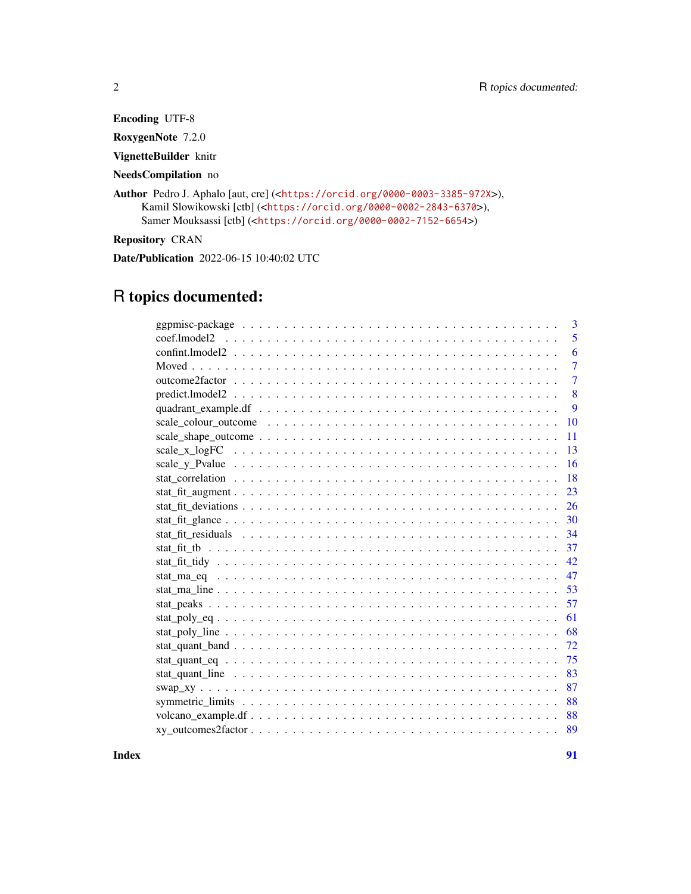Encoding UTF-8 RoxygenNote 7.2.0 VignetteBuilder knitr NeedsCompilation no Author Pedro J. Aphalo [aut, cre] (<<https://orcid.org/0000-0003-3385-972X>>), Kamil Slowikowski [ctb] (<<https://orcid.org/0000-0002-2843-6370>>), Samer Mouksassi [ctb] (<<https://orcid.org/0000-0002-7152-6654>>) Repository CRAN Date/Publication 2022-06-15 10:40:02 UTC

## R topics documented:

| 3                                                                                                                           |
|-----------------------------------------------------------------------------------------------------------------------------|
| 5                                                                                                                           |
| 6                                                                                                                           |
| $\overline{7}$                                                                                                              |
| 7                                                                                                                           |
| 8                                                                                                                           |
| 9                                                                                                                           |
| 10                                                                                                                          |
| 11                                                                                                                          |
| 13<br>scale_x_logFC $\dots \dots \dots \dots \dots \dots \dots \dots \dots \dots \dots \dots \dots \dots \dots \dots \dots$ |
| 16                                                                                                                          |
| 18                                                                                                                          |
| 23                                                                                                                          |
| 26                                                                                                                          |
| 30                                                                                                                          |
| 34                                                                                                                          |
| 37                                                                                                                          |
| 42                                                                                                                          |
| 47                                                                                                                          |
| 53                                                                                                                          |
| 57                                                                                                                          |
| 61                                                                                                                          |
| 68                                                                                                                          |
| 72                                                                                                                          |
| 75                                                                                                                          |
| 83                                                                                                                          |
| 87                                                                                                                          |
| 88                                                                                                                          |
| 88                                                                                                                          |
| 89                                                                                                                          |

**Index** [91](#page-90-0)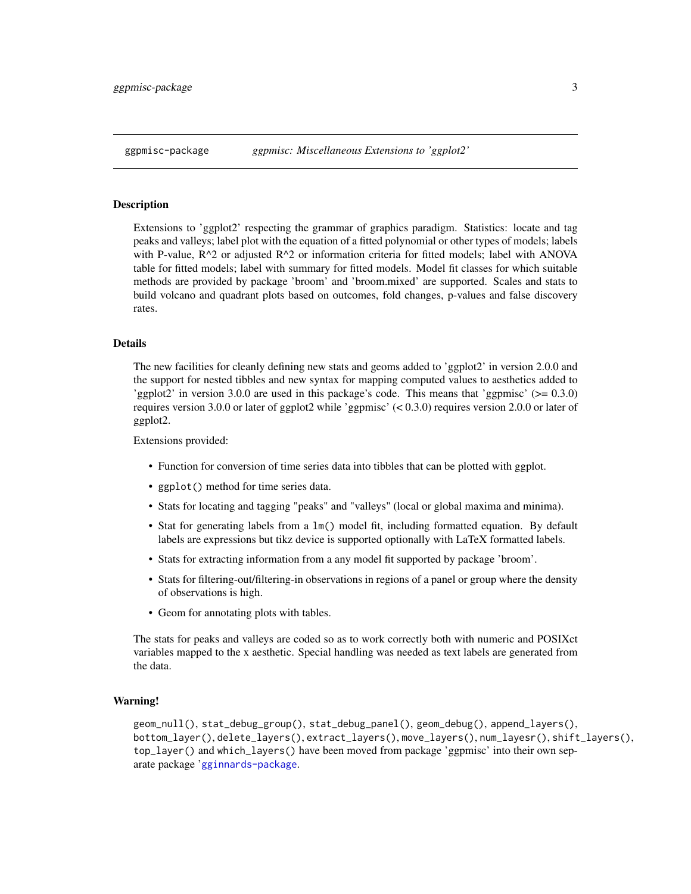## <span id="page-2-0"></span>Description

Extensions to 'ggplot2' respecting the grammar of graphics paradigm. Statistics: locate and tag peaks and valleys; label plot with the equation of a fitted polynomial or other types of models; labels with P-value, R^2 or adjusted R^2 or information criteria for fitted models; label with ANOVA table for fitted models; label with summary for fitted models. Model fit classes for which suitable methods are provided by package 'broom' and 'broom.mixed' are supported. Scales and stats to build volcano and quadrant plots based on outcomes, fold changes, p-values and false discovery rates.

## Details

The new facilities for cleanly defining new stats and geoms added to 'ggplot2' in version 2.0.0 and the support for nested tibbles and new syntax for mapping computed values to aesthetics added to 'ggplot2' in version 3.0.0 are used in this package's code. This means that 'ggpmisc' (>= 0.3.0) requires version 3.0.0 or later of ggplot2 while 'ggpmisc' (< 0.3.0) requires version 2.0.0 or later of ggplot2.

Extensions provided:

- Function for conversion of time series data into tibbles that can be plotted with ggplot.
- ggplot() method for time series data.
- Stats for locating and tagging "peaks" and "valleys" (local or global maxima and minima).
- Stat for generating labels from a lm() model fit, including formatted equation. By default labels are expressions but tikz device is supported optionally with LaTeX formatted labels.
- Stats for extracting information from a any model fit supported by package 'broom'.
- Stats for filtering-out/filtering-in observations in regions of a panel or group where the density of observations is high.
- Geom for annotating plots with tables.

The stats for peaks and valleys are coded so as to work correctly both with numeric and POSIXct variables mapped to the x aesthetic. Special handling was needed as text labels are generated from the data.

## Warning!

geom\_null(), stat\_debug\_group(), stat\_debug\_panel(), geom\_debug(), append\_layers(), bottom\_layer(), delete\_layers(), extract\_layers(), move\_layers(), num\_layesr(), shift\_layers(), top\_layer() and which\_layers() have been moved from package 'ggpmisc' into their own separate package '[gginnards-package](#page-0-0).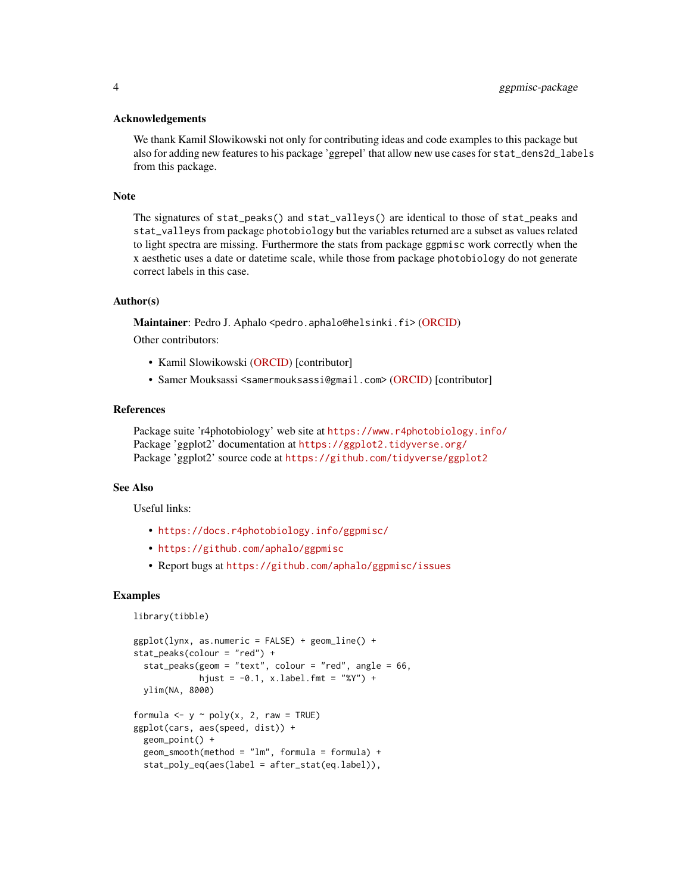#### Acknowledgements

We thank Kamil Slowikowski not only for contributing ideas and code examples to this package but also for adding new features to his package 'ggrepel' that allow new use cases for stat\_dens2d\_labels from this package.

#### Note

The signatures of stat\_peaks() and stat\_valleys() are identical to those of stat\_peaks and stat\_valleys from package photobiology but the variables returned are a subset as values related to light spectra are missing. Furthermore the stats from package ggpmisc work correctly when the x aesthetic uses a date or datetime scale, while those from package photobiology do not generate correct labels in this case.

#### Author(s)

Maintainer: Pedro J. Aphalo <pedro.aphalo@helsinki.fi> [\(ORCID\)](https://orcid.org/0000-0003-3385-972X)

Other contributors:

- Kamil Slowikowski [\(ORCID\)](https://orcid.org/0000-0002-2843-6370) [contributor]
- Samer Mouksassi <samermouksassi@gmail.com> [\(ORCID\)](https://orcid.org/0000-0002-7152-6654) [contributor]

## References

Package suite 'r4photobiology' web site at <https://www.r4photobiology.info/> Package 'ggplot2' documentation at <https://ggplot2.tidyverse.org/> Package 'ggplot2' source code at <https://github.com/tidyverse/ggplot2>

## See Also

Useful links:

- <https://docs.r4photobiology.info/ggpmisc/>
- <https://github.com/aphalo/ggpmisc>
- Report bugs at <https://github.com/aphalo/ggpmisc/issues>

## Examples

```
library(tibble)
```

```
ggplot(lynx, as.numeric = FALSE) + geom\_line() +stat_peaks(colour = "red") +
 stat_peaks(geom = "text", colour = "red", angle = 66,
             hjust = -0.1, x.label.fmt = "%Y") +
 ylim(NA, 8000)
formula \leq y \sim poly(x, 2, raw = TRUE)
ggplot(cars, aes(speed, dist)) +
 geom_point() +
 geom\_smooth(method = "lm", formula = formula) +stat_poly_eq(aes(label = after_stat(eq.label)),
```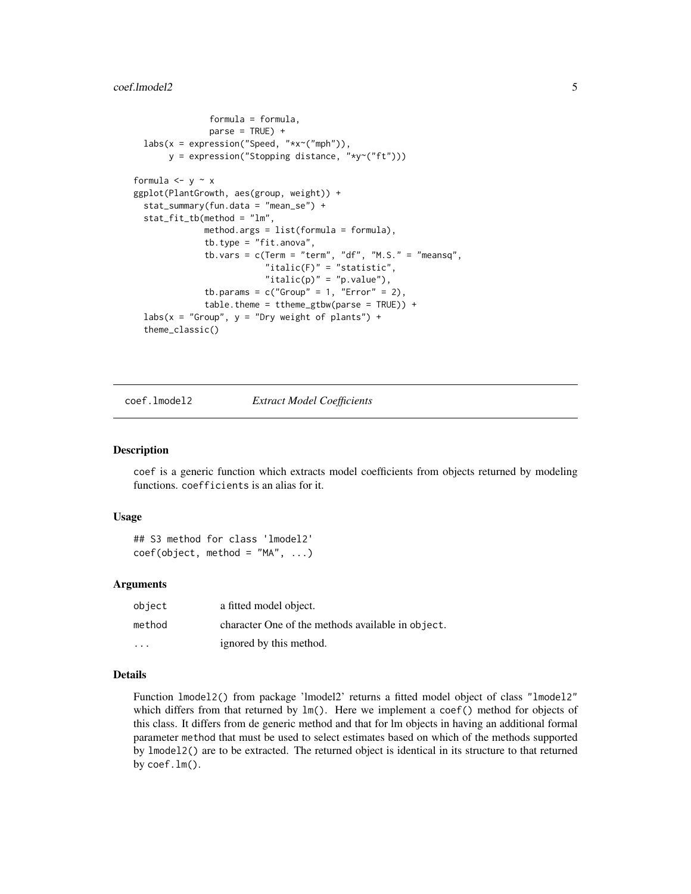#### <span id="page-4-0"></span>coef.lmodel2 5

```
formula = formula,
               parse = TRUE) +
 labs(x = expression("Speed, "*x~("mph")),
      y = expression("Stopping distance, "*y~("ft")))
formula \leftarrow y \sim x
ggplot(PlantGrowth, aes(group, weight)) +
 stat_summary(fun.data = "mean_se") +
 stat_fit_tb(method = "lm",
              method.args = list(formula = formula),
              tb.type = "fit.anova",
              tb.vars = c(Term = "term", "df", "M.S." = "meansq","italic(F)" = "statistic",
                          "italic(p)" = "p.value"),
              tb.params = c("Group" = 1, "Error" = 2),
              table.theme = ttheme_gtbw(parse = TRUE)) +
 labs(x = "Group", y = "Dry weight of plants") +theme_classic()
```
#### coef.lmodel2 *Extract Model Coefficients*

#### Description

coef is a generic function which extracts model coefficients from objects returned by modeling functions. coefficients is an alias for it.

## Usage

## S3 method for class 'lmodel2'  $coef(object, method = "MA", ...)$ 

## Arguments

| object                  | a fitted model object.                            |
|-------------------------|---------------------------------------------------|
| method                  | character One of the methods available in object. |
| $\cdot$ $\cdot$ $\cdot$ | ignored by this method.                           |

## Details

Function lmodel2() from package 'lmodel2' returns a fitted model object of class "lmodel2" which differs from that returned by  $lm()$ . Here we implement a coef() method for objects of this class. It differs from de generic method and that for lm objects in having an additional formal parameter method that must be used to select estimates based on which of the methods supported by lmodel2() are to be extracted. The returned object is identical in its structure to that returned by coef.lm().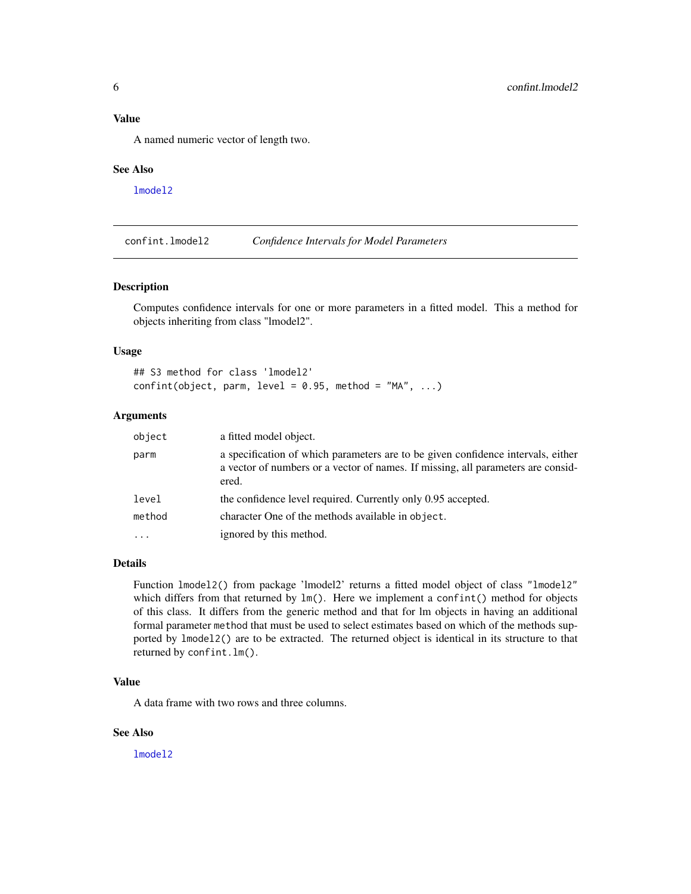<span id="page-5-0"></span>A named numeric vector of length two.

#### See Also

[lmodel2](#page-0-0)

confint.lmodel2 *Confidence Intervals for Model Parameters*

## Description

Computes confidence intervals for one or more parameters in a fitted model. This a method for objects inheriting from class "lmodel2".

#### Usage

## S3 method for class 'lmodel2'  $confint(object, parm, level = 0.95, method = "MA", ...)$ 

## Arguments

| object | a fitted model object.                                                                                                                                                        |
|--------|-------------------------------------------------------------------------------------------------------------------------------------------------------------------------------|
| parm   | a specification of which parameters are to be given confidence intervals, either<br>a vector of numbers or a vector of names. If missing, all parameters are consid-<br>ered. |
| level  | the confidence level required. Currently only 0.95 accepted.                                                                                                                  |
| method | character One of the methods available in object.                                                                                                                             |
|        | ignored by this method.                                                                                                                                                       |

#### Details

Function lmodel2() from package 'lmodel2' returns a fitted model object of class "lmodel2" which differs from that returned by  $lm()$ . Here we implement a confint() method for objects of this class. It differs from the generic method and that for lm objects in having an additional formal parameter method that must be used to select estimates based on which of the methods supported by lmodel2() are to be extracted. The returned object is identical in its structure to that returned by confint.lm().

#### Value

A data frame with two rows and three columns.

## See Also

[lmodel2](#page-0-0)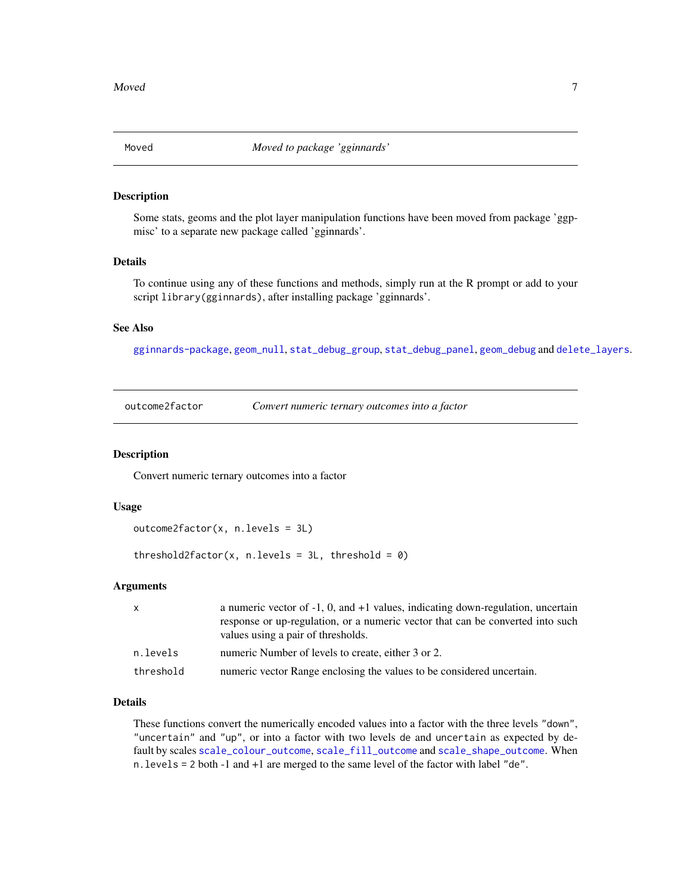<span id="page-6-0"></span>

#### <span id="page-6-1"></span>Description

Some stats, geoms and the plot layer manipulation functions have been moved from package 'ggpmisc' to a separate new package called 'gginnards'.

#### Details

To continue using any of these functions and methods, simply run at the R prompt or add to your script library(gginnards), after installing package 'gginnards'.

## See Also

[gginnards-package](#page-0-0), [geom\\_null](#page-6-1), [stat\\_debug\\_group](#page-6-1), [stat\\_debug\\_panel](#page-6-1), [geom\\_debug](#page-6-1) and [delete\\_layers](#page-6-1).

<span id="page-6-2"></span>outcome2factor *Convert numeric ternary outcomes into a factor*

#### Description

Convert numeric ternary outcomes into a factor

## Usage

```
outcome2factor(x, n.levels = 3L)
```
threshold2factor(x, n.levels =  $3L$ , threshold =  $0$ )

## Arguments

| $\mathsf{x}$ | a numeric vector of $-1$ , 0, and $+1$ values, indicating down-regulation, uncertain<br>response or up-regulation, or a numeric vector that can be converted into such<br>values using a pair of thresholds. |
|--------------|--------------------------------------------------------------------------------------------------------------------------------------------------------------------------------------------------------------|
| n.levels     | numeric Number of levels to create, either 3 or 2.                                                                                                                                                           |
| threshold    | numeric vector Range enclosing the values to be considered uncertain.                                                                                                                                        |

## Details

These functions convert the numerically encoded values into a factor with the three levels "down", "uncertain" and "up", or into a factor with two levels de and uncertain as expected by default by scales [scale\\_colour\\_outcome](#page-9-1), [scale\\_fill\\_outcome](#page-9-2) and [scale\\_shape\\_outcome](#page-10-1). When n.levels = 2 both -1 and +1 are merged to the same level of the factor with label "de".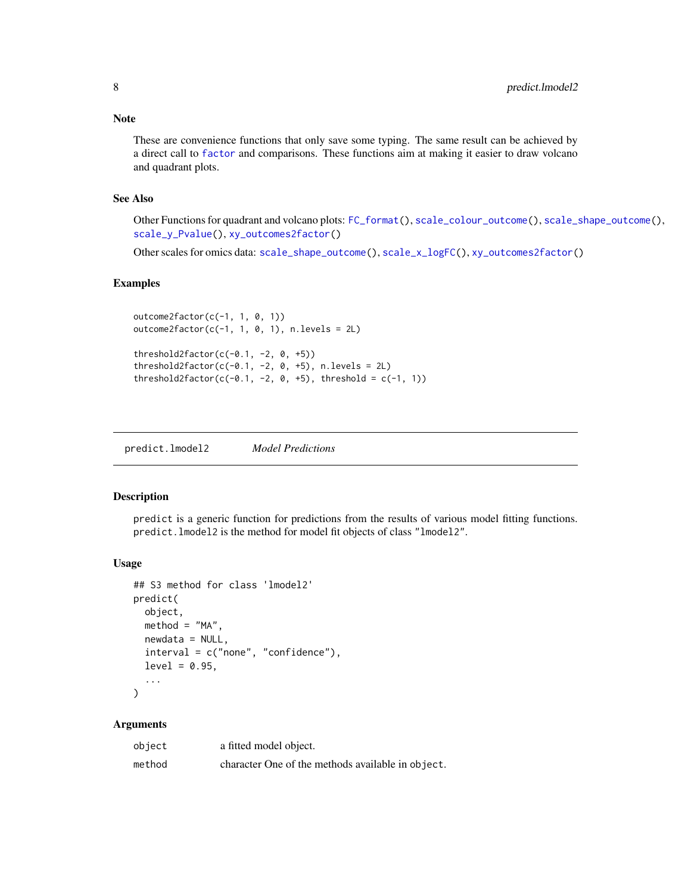<span id="page-7-0"></span>These are convenience functions that only save some typing. The same result can be achieved by a direct call to [factor](#page-0-0) and comparisons. These functions aim at making it easier to draw volcano and quadrant plots.

## See Also

Other Functions for quadrant and volcano plots: [FC\\_format\(](#page-0-0)), [scale\\_colour\\_outcome\(](#page-9-1)), [scale\\_shape\\_outcome\(](#page-10-1)), [scale\\_y\\_Pvalue\(](#page-15-1)), [xy\\_outcomes2factor\(](#page-88-1))

Other scales for omics data: [scale\\_shape\\_outcome\(](#page-10-1)), [scale\\_x\\_logFC\(](#page-12-1)), [xy\\_outcomes2factor\(](#page-88-1))

## Examples

```
outcome2factor(c(-1, 1, 0, 1))
outcome2factor(c(-1, 1, 0, 1), n.levels = 2L)threshold2factor(c(-0.1, -2, 0, +5))
threshold2factor(c(-0.1, -2, 0, +5), n.levels = 2L)
threshold2factor(c(-0.1, -2, 0, +5), threshold = c(-1, 1))
```
predict.lmodel2 *Model Predictions*

## Description

predict is a generic function for predictions from the results of various model fitting functions. predict.lmodel2 is the method for model fit objects of class "lmodel2".

## Usage

```
## S3 method for class 'lmodel2'
predict(
  object,
  method = "MA",newdata = NULL,
  interval = c("none", "confidence"),
  level = 0.95,...
)
```

```
Arguments
```

| object | a fitted model object.                            |
|--------|---------------------------------------------------|
| method | character One of the methods available in object. |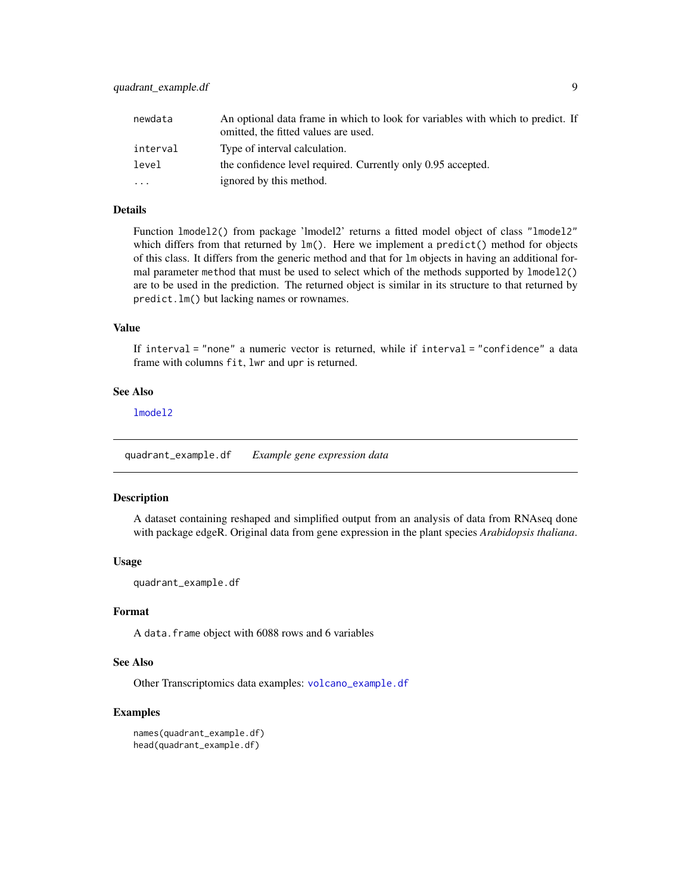<span id="page-8-0"></span>

| newdata  | An optional data frame in which to look for variables with which to predict. If<br>omitted, the fitted values are used. |
|----------|-------------------------------------------------------------------------------------------------------------------------|
| interval | Type of interval calculation.                                                                                           |
| level    | the confidence level required. Currently only 0.95 accepted.                                                            |
| .        | ignored by this method.                                                                                                 |

## Details

Function lmodel2() from package 'lmodel2' returns a fitted model object of class "lmodel2" which differs from that returned by lm(). Here we implement a predict() method for objects of this class. It differs from the generic method and that for lm objects in having an additional formal parameter method that must be used to select which of the methods supported by lmodel2() are to be used in the prediction. The returned object is similar in its structure to that returned by predict.lm() but lacking names or rownames.

## Value

If interval = "none" a numeric vector is returned, while if interval = "confidence" a data frame with columns fit, lwr and upr is returned.

## See Also

[lmodel2](#page-0-0)

quadrant\_example.df *Example gene expression data*

#### Description

A dataset containing reshaped and simplified output from an analysis of data from RNAseq done with package edgeR. Original data from gene expression in the plant species *Arabidopsis thaliana*.

#### Usage

quadrant\_example.df

## Format

A data.frame object with 6088 rows and 6 variables

## See Also

Other Transcriptomics data examples: [volcano\\_example.df](#page-87-1)

#### Examples

```
names(quadrant_example.df)
head(quadrant_example.df)
```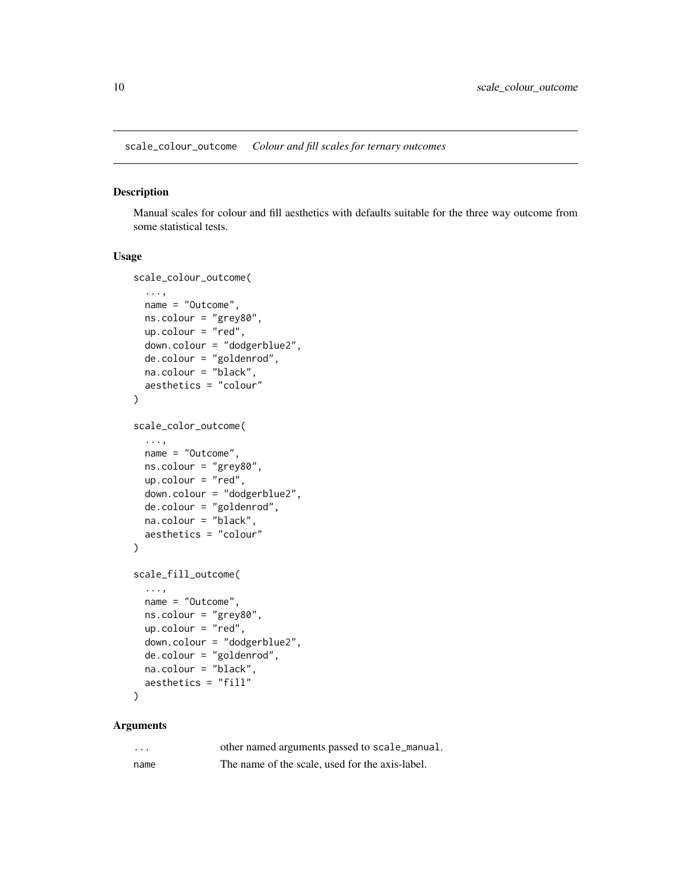<span id="page-9-1"></span><span id="page-9-0"></span>scale\_colour\_outcome *Colour and fill scales for ternary outcomes*

## <span id="page-9-2"></span>Description

Manual scales for colour and fill aesthetics with defaults suitable for the three way outcome from some statistical tests.

#### Usage

```
scale_colour_outcome(
  ...,
 name = "Outcome",
 ns.colour = "grey80",
 up.colour = "red",
  down.colour = "dodgerblue2",
  de.colour = "goldenrod",
 na.colour = "black",
 aesthetics = "colour"
\mathcal{L}scale_color_outcome(
  ...,
 name = "Outcome",
 ns.colour = "grey80",
 up.colour = "red",
  down.colour = "dodgerblue2",
 de.colour = "goldenrod",
 na.colour = "black",
 aesthetics = "colour"
\lambdascale_fill_outcome(
  ...,
 name = "Outcome",
 ns.colour = "grey80",
 up.colour = "red",down.colour = "dodgerblue2",
  de.colour = "goldenrod",
 na.colour = "black",
  aesthetics = "fill"
\mathcal{L}
```
## Arguments

| .    | other named arguments passed to scale_manual.   |
|------|-------------------------------------------------|
| name | The name of the scale, used for the axis-label. |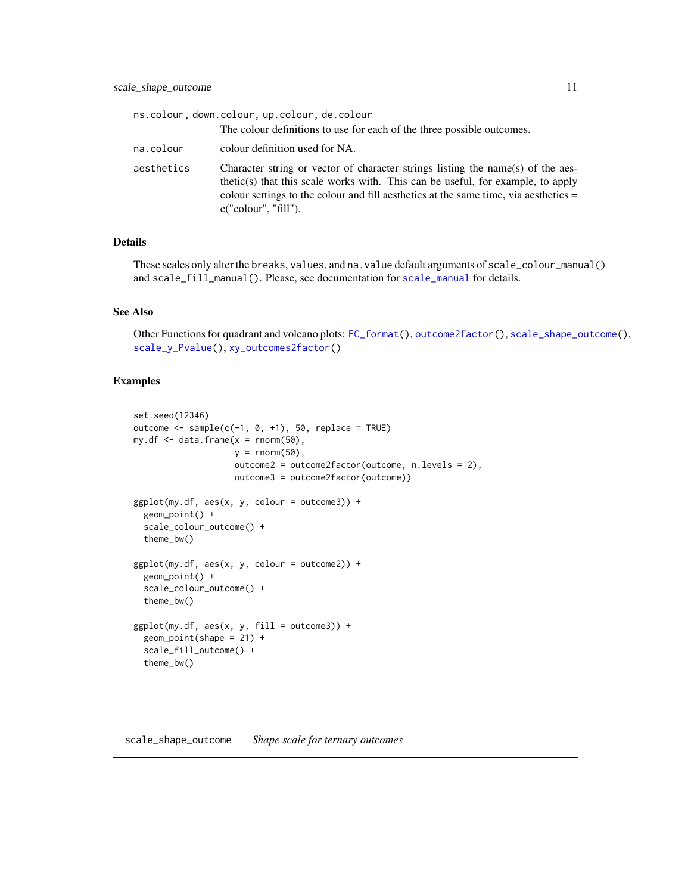<span id="page-10-0"></span>

|            | ns.colour, down.colour, up.colour, de.colour                                                                                                                                                                                                                                       |
|------------|------------------------------------------------------------------------------------------------------------------------------------------------------------------------------------------------------------------------------------------------------------------------------------|
|            | The colour definitions to use for each of the three possible outcomes.                                                                                                                                                                                                             |
| na.colour  | colour definition used for NA.                                                                                                                                                                                                                                                     |
| aesthetics | Character string or vector of character strings listing the name(s) of the aes-<br>thetic(s) that this scale works with. This can be useful, for example, to apply<br>colour settings to the colour and fill aesthetics at the same time, via aesthetics =<br>c("colour", "fill"). |

## Details

These scales only alter the breaks, values, and na.value default arguments of scale\_colour\_manual() and scale\_fill\_manual(). Please, see documentation for [scale\\_manual](#page-0-0) for details.

## See Also

Other Functions for quadrant and volcano plots: [FC\\_format\(](#page-0-0)), [outcome2factor\(](#page-6-2)), [scale\\_shape\\_outcome\(](#page-10-1)), [scale\\_y\\_Pvalue\(](#page-15-1)), [xy\\_outcomes2factor\(](#page-88-1))

## Examples

```
set.seed(12346)
outcome \leq sample(c(-1, 0, +1), 50, replace = TRUE)
my.df \leq data.frame(x =rnorm(50),
                    y = rnorm(50),
                    outcome2 = outcome2factor(outcome, n.levels = 2),
                    outcome3 = outcome2factor(outcome))
ggplot(my.df, aes(x, y, colour = outcome3)) +
  geom_point() +
  scale_colour_outcome() +
  theme_bw()
ggplot(my.df, aes(x, y, colour = outcome2)) +geom_point() +
  scale_colour_outcome() +
  theme_bw()
ggplot(my.df, aes(x, y, fill = outcome3)) +geom\_point(shape = 21) +
  scale_fill_outcome() +
  theme_bw()
```
## <span id="page-10-1"></span>scale\_shape\_outcome *Shape scale for ternary outcomes*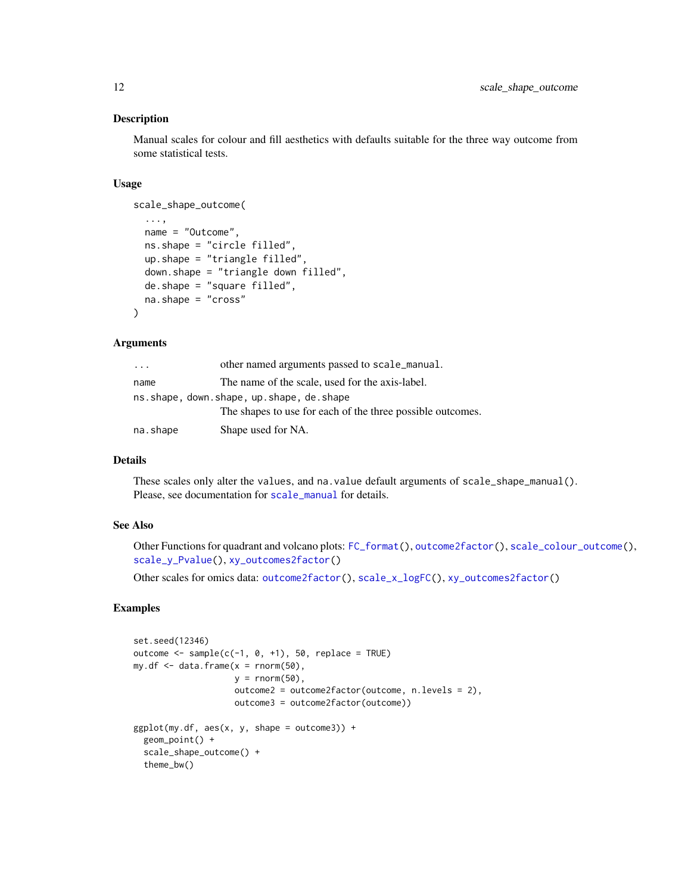## Description

Manual scales for colour and fill aesthetics with defaults suitable for the three way outcome from some statistical tests.

## Usage

```
scale_shape_outcome(
```

```
...,
 name = "Outcome",
 ns.shape = "circle filled",
 up.shape = "triangle filled",
  down.shape = "triangle down filled",
  de.shape = "square filled",
 na.shape = "cross"
\mathcal{L}
```
## Arguments

| .        | other named arguments passed to scale_manual.              |
|----------|------------------------------------------------------------|
| name     | The name of the scale, used for the axis-label.            |
|          | ns.shape, down.shape, up.shape, de.shape                   |
|          | The shapes to use for each of the three possible outcomes. |
| na.shape | Shape used for NA.                                         |

## Details

These scales only alter the values, and na.value default arguments of scale\_shape\_manual(). Please, see documentation for [scale\\_manual](#page-0-0) for details.

## See Also

Other Functions for quadrant and volcano plots: [FC\\_format\(](#page-0-0)), [outcome2factor\(](#page-6-2)), [scale\\_colour\\_outcome\(](#page-9-1)), [scale\\_y\\_Pvalue\(](#page-15-1)), [xy\\_outcomes2factor\(](#page-88-1))

Other scales for omics data: [outcome2factor\(](#page-6-2)), [scale\\_x\\_logFC\(](#page-12-1)), [xy\\_outcomes2factor\(](#page-88-1))

## Examples

```
set.seed(12346)
outcome \leq sample(c(-1, 0, +1), 50, replace = TRUE)
my.df \leq data.frame(x = \text{norm}(50),
                    y = rnorm(50),
                    outcome2 = outcome2factor(outcome, n.levels = 2),
                    outcome3 = outcome2factor(outcome))
ggplot(my.df, aes(x, y, shape = outcome3)) +geom_point() +
  scale_shape_outcome() +
  theme_bw()
```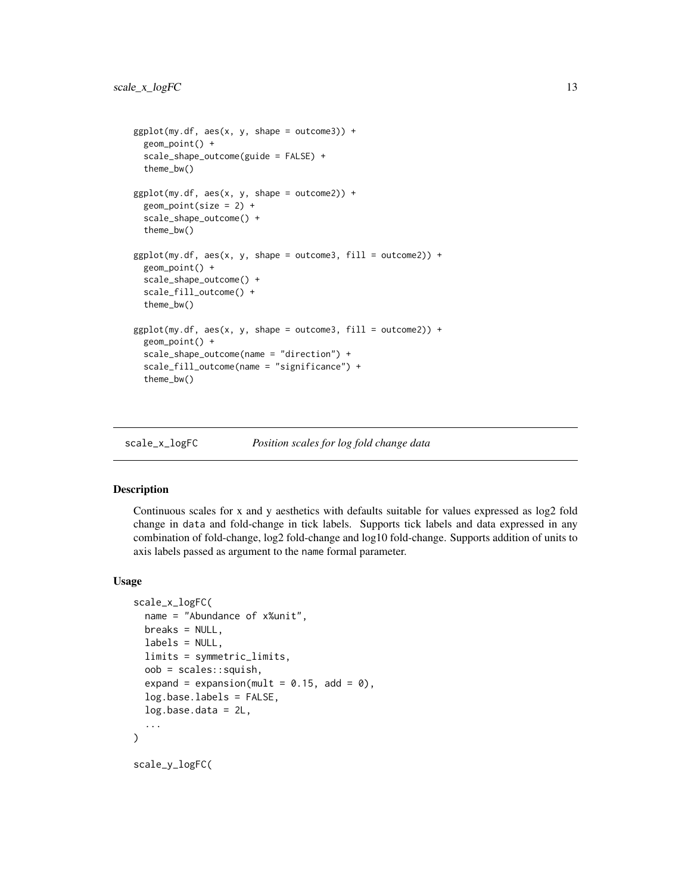```
ggplot(my.df, aes(x, y, shape = outcome3)) +geom_point() +
 scale_shape_outcome(guide = FALSE) +
 theme_bw()
ggplot(my.df, aes(x, y, shape = outcome2)) +geom_point(size = 2) +
 scale_shape_outcome() +
 theme_bw()
ggplot(my.df, aes(x, y, shape = outcome3, fill = outcome2)) +geom_point() +
 scale_shape_outcome() +
 scale_fill_outcome() +
 theme_bw()
ggplot(my.df, aes(x, y, shape = outcome3, fill = outcome2)) +geom_point() +
 scale_shape_outcome(name = "direction") +
 scale_fill_outcome(name = "significance") +
 theme_bw()
```
<span id="page-12-1"></span>scale\_x\_logFC *Position scales for log fold change data*

## Description

Continuous scales for x and y aesthetics with defaults suitable for values expressed as log2 fold change in data and fold-change in tick labels. Supports tick labels and data expressed in any combination of fold-change, log2 fold-change and log10 fold-change. Supports addition of units to axis labels passed as argument to the name formal parameter.

## Usage

```
scale_x_logFC(
  name = "Abundance of x%unit",
 breaks = NULL,
  labels = NULL,limits = symmetric_limits,
  oob = scales::squish,
  expand = expansion(mult = 0.15, add = 0),
  log.base.labels = FALSE,
  log.base.data = 2L,
  ...
)
scale_y_logFC(
```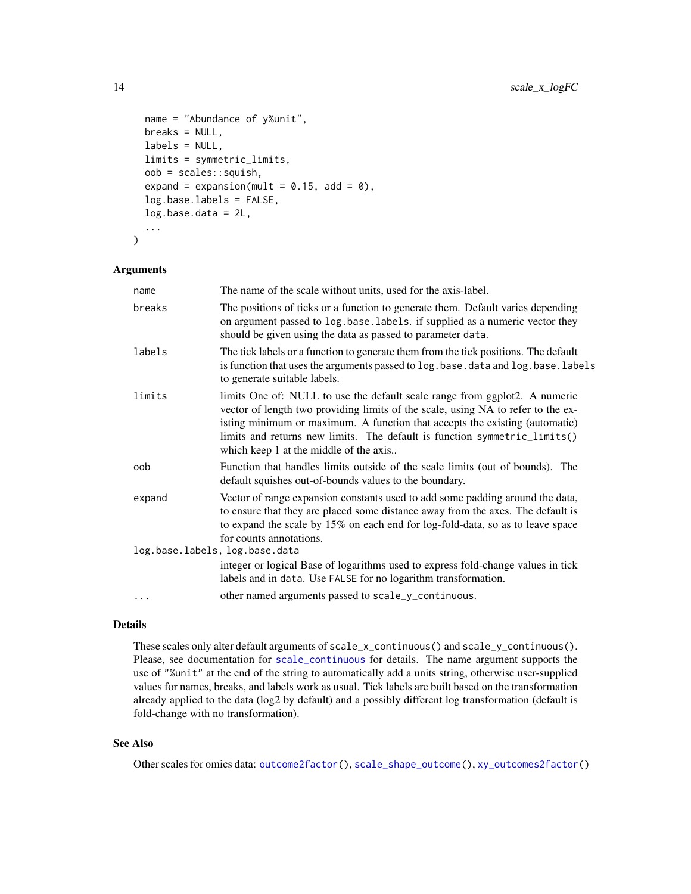```
name = "Abundance of y%unit",
breaks = NULL,
labels = NULL,
limits = symmetric_limits,
oob = scales::squish,
expand = expansion(mult = 0.15, add = 0),
log.base.labels = FALSE,
log.base.data = 2L,
...
```
## Arguments

)

| The name of the scale without units, used for the axis-label.                                                                                                                                                                                                                                                                                                        |  |
|----------------------------------------------------------------------------------------------------------------------------------------------------------------------------------------------------------------------------------------------------------------------------------------------------------------------------------------------------------------------|--|
| The positions of ticks or a function to generate them. Default varies depending<br>on argument passed to log.base.labels. if supplied as a numeric vector they<br>should be given using the data as passed to parameter data.                                                                                                                                        |  |
| The tick labels or a function to generate them from the tick positions. The default<br>is function that uses the arguments passed to log. base. data and log. base. labels<br>to generate suitable labels.                                                                                                                                                           |  |
| limits One of: NULL to use the default scale range from ggplot2. A numeric<br>vector of length two providing limits of the scale, using NA to refer to the ex-<br>isting minimum or maximum. A function that accepts the existing (automatic)<br>limits and returns new limits. The default is function symmetric_limits()<br>which keep 1 at the middle of the axis |  |
| Function that handles limits outside of the scale limits (out of bounds). The<br>default squishes out-of-bounds values to the boundary.                                                                                                                                                                                                                              |  |
| Vector of range expansion constants used to add some padding around the data,<br>to ensure that they are placed some distance away from the axes. The default is<br>to expand the scale by 15% on each end for log-fold-data, so as to leave space<br>for counts annotations.                                                                                        |  |
| log.base.labels, log.base.data                                                                                                                                                                                                                                                                                                                                       |  |
| integer or logical Base of logarithms used to express fold-change values in tick<br>labels and in data. Use FALSE for no logarithm transformation.                                                                                                                                                                                                                   |  |
| other named arguments passed to scale_y_continuous.                                                                                                                                                                                                                                                                                                                  |  |
|                                                                                                                                                                                                                                                                                                                                                                      |  |

#### Details

These scales only alter default arguments of scale\_x\_continuous() and scale\_y\_continuous(). Please, see documentation for [scale\\_continuous](#page-0-0) for details. The name argument supports the use of "%unit" at the end of the string to automatically add a units string, otherwise user-supplied values for names, breaks, and labels work as usual. Tick labels are built based on the transformation already applied to the data (log2 by default) and a possibly different log transformation (default is fold-change with no transformation).

## See Also

Other scales for omics data: [outcome2factor\(](#page-6-2)), [scale\\_shape\\_outcome\(](#page-10-1)), [xy\\_outcomes2factor\(](#page-88-1))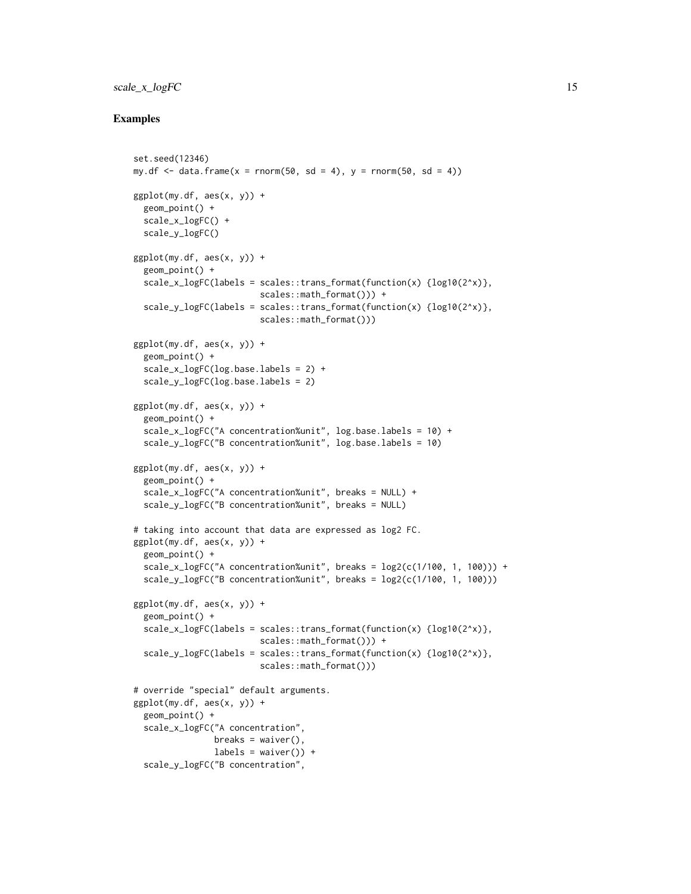## scale\_x\_logFC 15

## Examples

```
set.seed(12346)
my.df \leq data.frame(x = rnorm(50, sd = 4), y = rnorm(50, sd = 4))
ggplot(my.df, aes(x, y)) +geom_point() +
 scale_x_logFC() +
 scale_y_logFC()
ggplot(my.df, aes(x, y)) +geom_point() +
 scale_x_logFC(labels = scales::trans\_format(function(x) {log10(2^x x)},scales::math_format())) +
 scale_y_logFC(labels = scales::trans\_format(function(x) {log10(2^x x)},scales::math_format()))
ggplot(my.df, aes(x, y)) +geom_point() +
 scale_x_logFC(log.base.labels = 2) +
 scale_y_logFC(log.base.labels = 2)
ggplot(my.df, aes(x, y)) +geom_point() +
 scale_x_logFC("A concentration%unit", log.base.labels = 10) +
 scale_y_logFC("B concentration%unit", log.base.labels = 10)
ggplot(my.df, aes(x, y)) +geom_point() +
 scale_x_logFC("A concentration%unit", breaks = NULL) +
 scale_y_logFC("B concentration%unit", breaks = NULL)
# taking into account that data are expressed as log2 FC.
ggplot(my.df, aes(x, y)) +
 geom_point() +
 scale_x_logFC("A concentration%unit", breaks = log2(c(1/100, 1, 100))) +
 scale_y_logFC("B concentration%unit", breaks = log2(c(1/100, 1, 100)))
ggplot(my.df, aes(x, y)) +geom_point() +
 scale_x_logFC(labels = scales::trans\_format(function(x) {log10(2^x x)},scales::math_format())) +
 scale_y_logFC(labels = scales::trans_format(function(x) {log10(2^x)},
                         scales::math_format()))
# override "special" default arguments.
ggplot(my.df, aes(x, y)) +
 geom_point() +
 scale_x_logFC("A concentration",
                breaks = waiver(),
                labels = \text{waiver}() +
 scale_y_logFC("B concentration",
```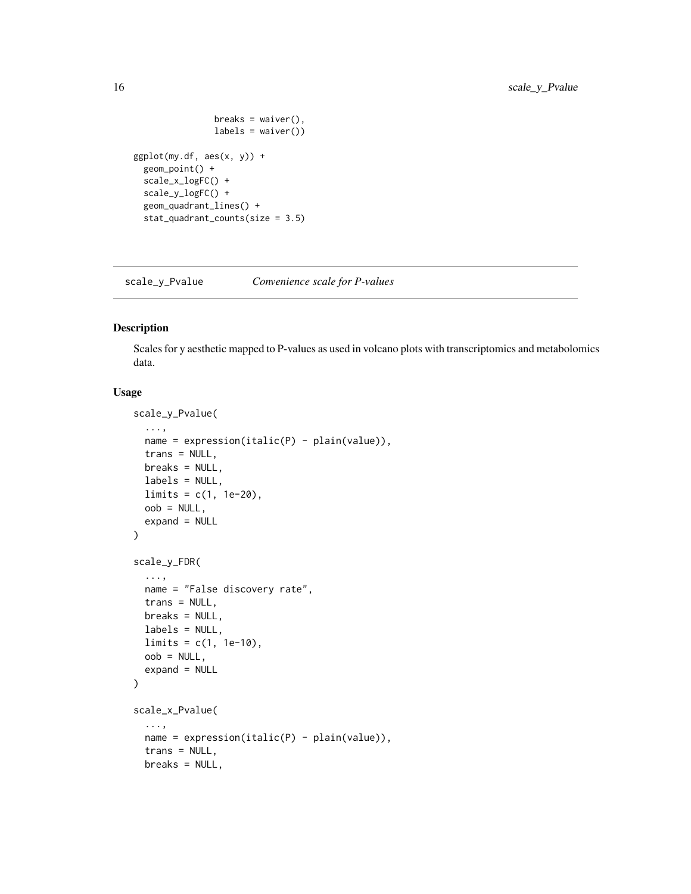```
breaks = waiver(),
                labels = waiver())
ggplot(my.df, aes(x, y)) +geom_point() +
  scale_x_logFC() +
  scale_y_logFC() +
  geom_quadrant_lines() +
  stat_quadrant_counts(size = 3.5)
```
<span id="page-15-1"></span>scale\_y\_Pvalue *Convenience scale for P-values*

## Description

Scales for y aesthetic mapped to P-values as used in volcano plots with transcriptomics and metabolomics data.

## Usage

```
scale_y_Pvalue(
  ...,
 name = expression(italic(P) - plain(value)),trans = NULL,
 breaks = NULL,
 labels = NULL,
 limits = c(1, 1e-20),
 oob = NULL,expand = NULL\mathcal{L}scale_y_FDR(
  ...,
 name = "False discovery rate",
 trans = NULL,
 breaks = NULL,
 labels = NULL,limits = c(1, 1e-10),oob = NULL,expand = NULL\mathcal{L}scale_x_Pvalue(
  ...,
 name = expression(italic(P) - plain(value)),
  trans = NULL,breaks = NULL,
```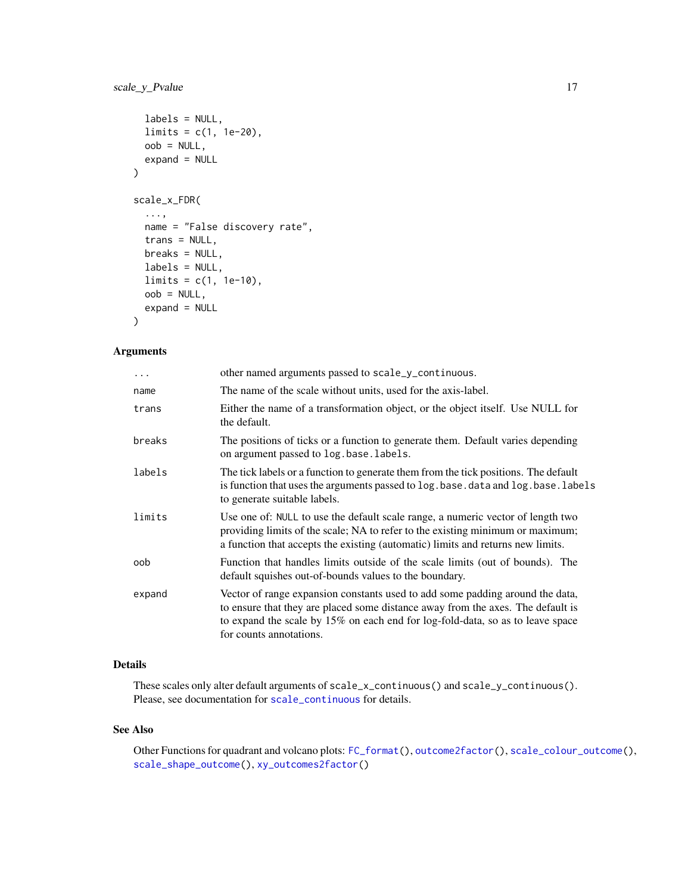```
labels = NULL,
 limits = c(1, 1e-20),
 oob = NULL,expand = NULL)
scale_x_FDR(
  ...,
 name = "False discovery rate",
 trans = NULL,
 breaks = NULL,
 labels = NULL,
 limits = c(1, 1e-10),oob = NULL,expand = NULL)
```
## Arguments

| other named arguments passed to scale_y_continuous.                                                                                                                                                                                                                           |
|-------------------------------------------------------------------------------------------------------------------------------------------------------------------------------------------------------------------------------------------------------------------------------|
| The name of the scale without units, used for the axis-label.                                                                                                                                                                                                                 |
| Either the name of a transformation object, or the object itself. Use NULL for<br>the default.                                                                                                                                                                                |
| The positions of ticks or a function to generate them. Default varies depending<br>on argument passed to log.base.labels.                                                                                                                                                     |
| The tick labels or a function to generate them from the tick positions. The default<br>is function that uses the arguments passed to log. base. data and log. base. labels<br>to generate suitable labels.                                                                    |
| Use one of: NULL to use the default scale range, a numeric vector of length two<br>providing limits of the scale; NA to refer to the existing minimum or maximum;<br>a function that accepts the existing (automatic) limits and returns new limits.                          |
| Function that handles limits outside of the scale limits (out of bounds). The<br>default squishes out-of-bounds values to the boundary.                                                                                                                                       |
| Vector of range expansion constants used to add some padding around the data,<br>to ensure that they are placed some distance away from the axes. The default is<br>to expand the scale by 15% on each end for log-fold-data, so as to leave space<br>for counts annotations. |
|                                                                                                                                                                                                                                                                               |

## Details

These scales only alter default arguments of scale\_x\_continuous() and scale\_y\_continuous(). Please, see documentation for [scale\\_continuous](#page-0-0) for details.

## See Also

Other Functions for quadrant and volcano plots: [FC\\_format\(](#page-0-0)), [outcome2factor\(](#page-6-2)), [scale\\_colour\\_outcome\(](#page-9-1)), [scale\\_shape\\_outcome\(](#page-10-1)), [xy\\_outcomes2factor\(](#page-88-1))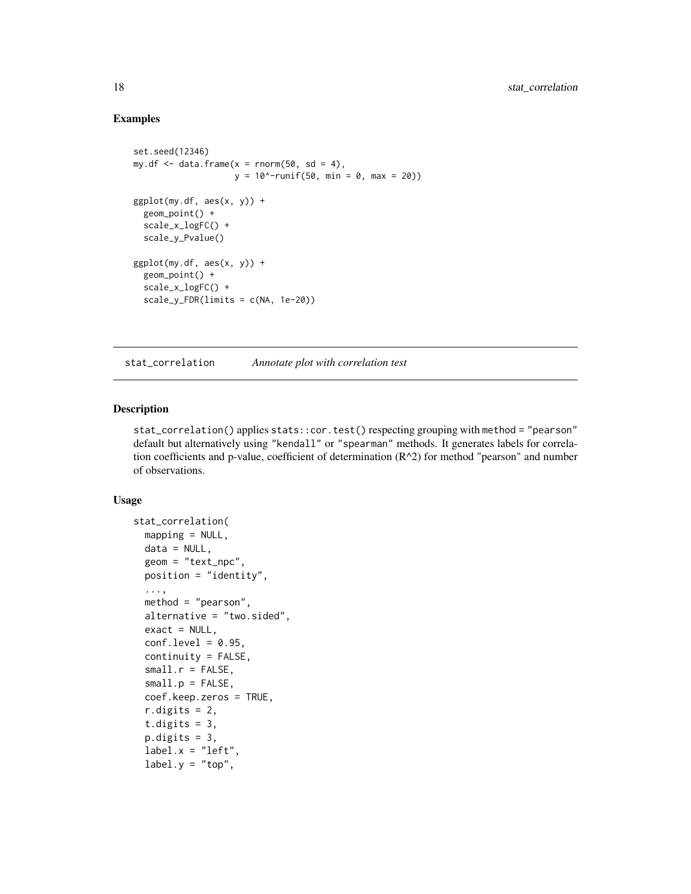## Examples

```
set.seed(12346)
my.df \leq data.frame(x = rnorm(50, sd = 4),
                    y = 10^{\circ}-runif(50, min = 0, max = 20))
ggplot(my.df, aes(x, y)) +geom_point() +
 scale_x_logFC() +
 scale_y_Pvalue()
ggplot(my.df, aes(x, y)) +geom_point() +
 scale_x_logFC() +
 scale_y_FDR(limits = c(NA, 1e-20))
```
stat\_correlation *Annotate plot with correlation test*

## Description

stat\_correlation() applies stats::cor.test() respecting grouping with method = "pearson" default but alternatively using "kendall" or "spearman" methods. It generates labels for correlation coefficients and p-value, coefficient of determination  $(R^2)$  for method "pearson" and number of observations.

## Usage

```
stat_correlation(
 mapping = NULL,
 data = NULL,
  geom = "text_npc",
 position = "identity",
  ...,
 method = "pearson",
 alternative = "two.sided",
 exact = NULL,conf. level = 0.95,
  continuity = FALSE,
  small.r = FALSE,small.p = FALSE,coef.keep.zeros = TRUE,
  r.digits = 2,t.digits = 3,
  p.digits = 3,
  label.x = "left",label.y = "top",
```
<span id="page-17-0"></span>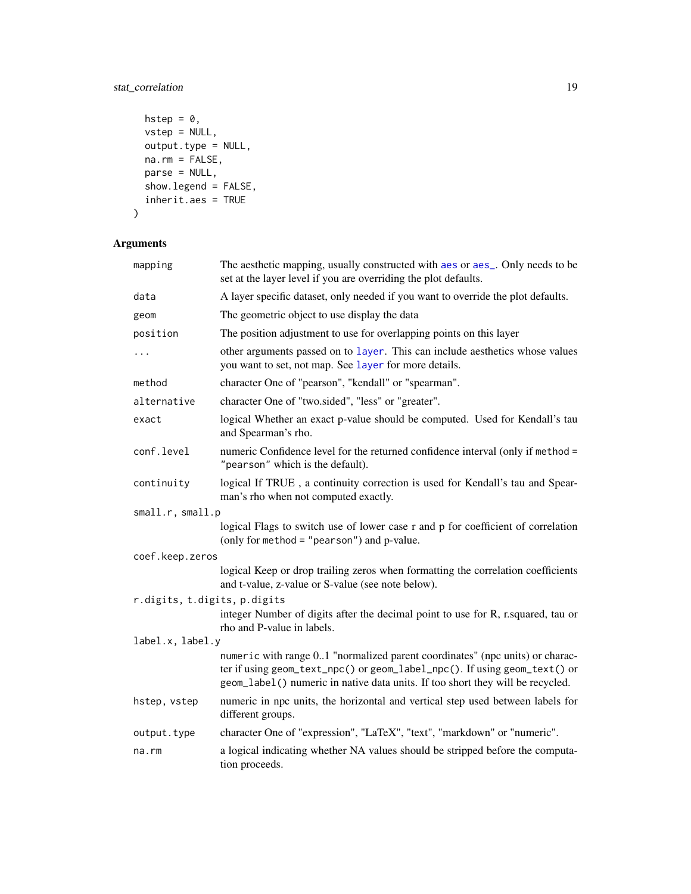## stat\_correlation 19

```
hstep = \theta,
  vstep = NULL,
 output_type = NULL,na.rm = FALSE,parse = NULL,show.legend = FALSE,
  inherit.aes = TRUE
\mathcal{L}
```
## Arguments

| mapping                      | The aesthetic mapping, usually constructed with aes or aes_. Only needs to be<br>set at the layer level if you are overriding the plot defaults.                                                                                            |
|------------------------------|---------------------------------------------------------------------------------------------------------------------------------------------------------------------------------------------------------------------------------------------|
| data                         | A layer specific dataset, only needed if you want to override the plot defaults.                                                                                                                                                            |
| geom                         | The geometric object to use display the data                                                                                                                                                                                                |
| position                     | The position adjustment to use for overlapping points on this layer                                                                                                                                                                         |
| $\cdots$                     | other arguments passed on to layer. This can include aesthetics whose values<br>you want to set, not map. See layer for more details.                                                                                                       |
| method                       | character One of "pearson", "kendall" or "spearman".                                                                                                                                                                                        |
| alternative                  | character One of "two.sided", "less" or "greater".                                                                                                                                                                                          |
| exact                        | logical Whether an exact p-value should be computed. Used for Kendall's tau<br>and Spearman's rho.                                                                                                                                          |
| conf.level                   | numeric Confidence level for the returned confidence interval (only if method =<br>"pearson" which is the default).                                                                                                                         |
| continuity                   | logical If TRUE, a continuity correction is used for Kendall's tau and Spear-<br>man's rho when not computed exactly.                                                                                                                       |
| small.r, small.p             |                                                                                                                                                                                                                                             |
|                              | logical Flags to switch use of lower case r and p for coefficient of correlation<br>(only for method = $"pearson"$ ) and p-value.                                                                                                           |
| coef.keep.zeros              |                                                                                                                                                                                                                                             |
|                              | logical Keep or drop trailing zeros when formatting the correlation coefficients<br>and t-value, z-value or S-value (see note below).                                                                                                       |
| r.digits, t.digits, p.digits |                                                                                                                                                                                                                                             |
|                              | integer Number of digits after the decimal point to use for R, r.squared, tau or<br>rho and P-value in labels.                                                                                                                              |
| label.x, label.y             |                                                                                                                                                                                                                                             |
|                              | numeric with range 01 "normalized parent coordinates" (npc units) or charac-<br>ter if using geom_text_npc() or geom_label_npc(). If using geom_text() or<br>geom_label() numeric in native data units. If too short they will be recycled. |
| hstep, vstep                 | numeric in npc units, the horizontal and vertical step used between labels for<br>different groups.                                                                                                                                         |
| output.type                  | character One of "expression", "LaTeX", "text", "markdown" or "numeric".                                                                                                                                                                    |
| na.rm                        | a logical indicating whether NA values should be stripped before the computa-<br>tion proceeds.                                                                                                                                             |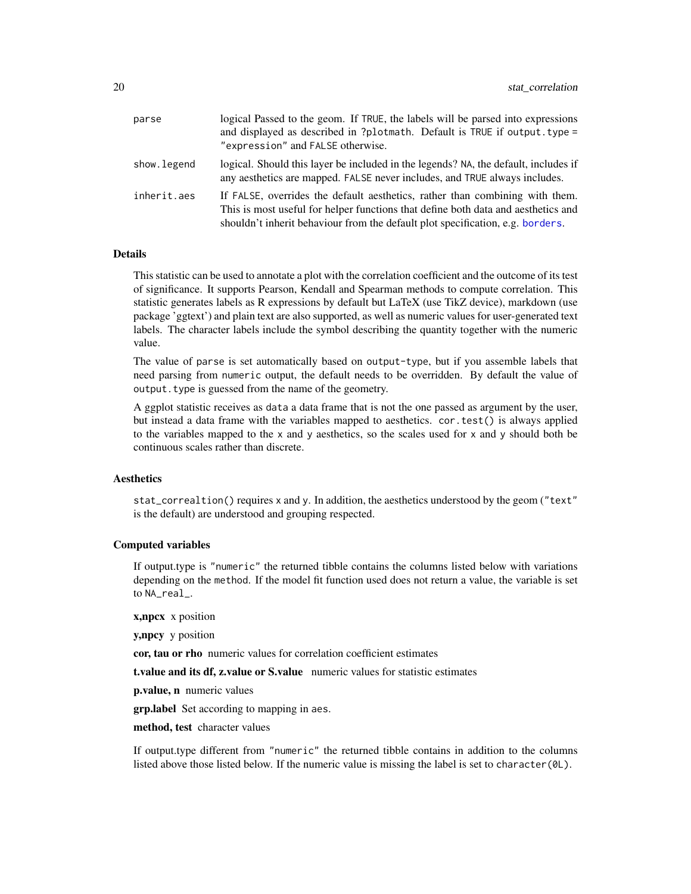| parse       | logical Passed to the geom. If TRUE, the labels will be parsed into expressions<br>and displayed as described in ?plotmath. Default is TRUE if output. type =<br>"expression" and FALSE otherwise.                                                  |
|-------------|-----------------------------------------------------------------------------------------------------------------------------------------------------------------------------------------------------------------------------------------------------|
| show.legend | logical. Should this layer be included in the legends? NA, the default, includes if<br>any aesthetics are mapped. FALSE never includes, and TRUE always includes.                                                                                   |
| inherit.aes | If FALSE, overrides the default aesthetics, rather than combining with them.<br>This is most useful for helper functions that define both data and aesthetics and<br>shouldn't inherit behaviour from the default plot specification, e.g. borders. |

## Details

This statistic can be used to annotate a plot with the correlation coefficient and the outcome of its test of significance. It supports Pearson, Kendall and Spearman methods to compute correlation. This statistic generates labels as R expressions by default but LaTeX (use TikZ device), markdown (use package 'ggtext') and plain text are also supported, as well as numeric values for user-generated text labels. The character labels include the symbol describing the quantity together with the numeric value.

The value of parse is set automatically based on output-type, but if you assemble labels that need parsing from numeric output, the default needs to be overridden. By default the value of output. type is guessed from the name of the geometry.

A ggplot statistic receives as data a data frame that is not the one passed as argument by the user, but instead a data frame with the variables mapped to aesthetics. cor.test() is always applied to the variables mapped to the x and y aesthetics, so the scales used for x and y should both be continuous scales rather than discrete.

## Aesthetics

stat\_correaltion() requires x and y. In addition, the aesthetics understood by the geom ("text" is the default) are understood and grouping respected.

#### Computed variables

If output.type is "numeric" the returned tibble contains the columns listed below with variations depending on the method. If the model fit function used does not return a value, the variable is set to NA\_real\_.

x,npcx x position

y,npcy y position

cor, tau or rho numeric values for correlation coefficient estimates

t.value and its df, z.value or S.value numeric values for statistic estimates

p.value, n numeric values

**grp.label** Set according to mapping in aes.

method, test character values

If output.type different from "numeric" the returned tibble contains in addition to the columns listed above those listed below. If the numeric value is missing the label is set to character(0L).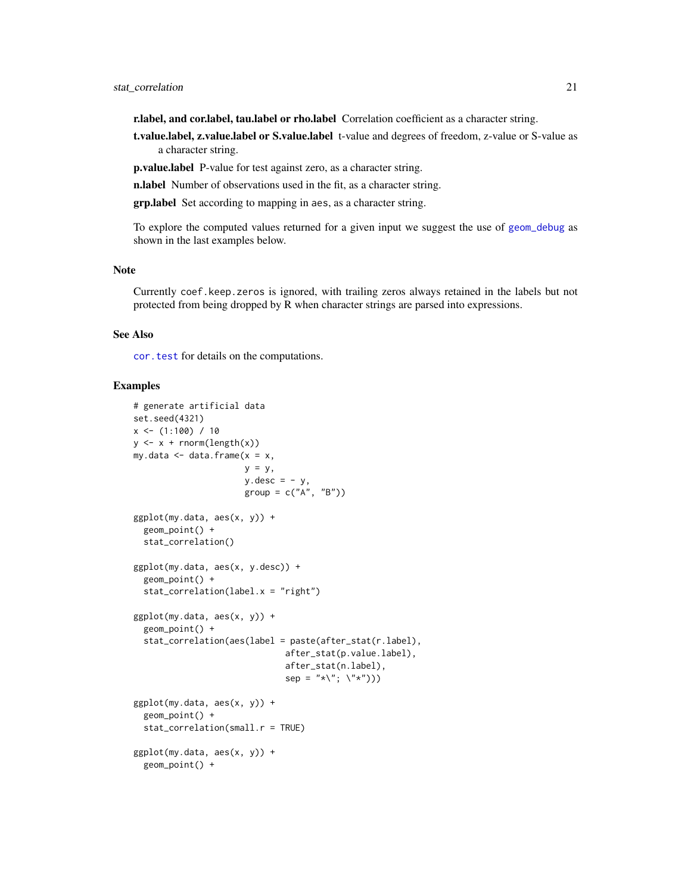r.label, and cor.label, tau.label or rho.label Correlation coefficient as a character string.

t.value.label, z.value.label or S.value.label t-value and degrees of freedom, z-value or S-value as a character string.

p.value.label P-value for test against zero, as a character string.

n.label Number of observations used in the fit, as a character string.

grp.label Set according to mapping in aes, as a character string.

To explore the computed values returned for a given input we suggest the use of [geom\\_debug](#page-6-1) as shown in the last examples below.

#### Note

Currently coef.keep.zeros is ignored, with trailing zeros always retained in the labels but not protected from being dropped by R when character strings are parsed into expressions.

## See Also

[cor.test](#page-0-0) for details on the computations.

### Examples

```
# generate artificial data
set.seed(4321)
x \leftarrow (1:100) / 10y \leftarrow x + \text{norm}(\text{length}(x))my.data \leq data.frame(x = x,
                      y = y,
                       y.desc = -y,
                       group = c("A", "B")ggplot(my.data, aes(x, y)) +
  geom_point() +
  stat_correlation()
ggplot(my.data, aes(x, y.desc)) +
  geom_point() +
  stat_correlation(label.x = "right")
ggplot(my.data, aes(x, y)) +
  geom_point() +
  stat_correlation(aes(label = paste(after_stat(r.label),
                               after_stat(p.value.label),
                               after_stat(n.label),
                               sep = "*\"; \"*")))
ggplot(my.data, aes(x, y)) +
  geom_point() +
  stat_correlation(small.r = TRUE)
ggplot(my.data, aes(x, y)) +geom_point() +
```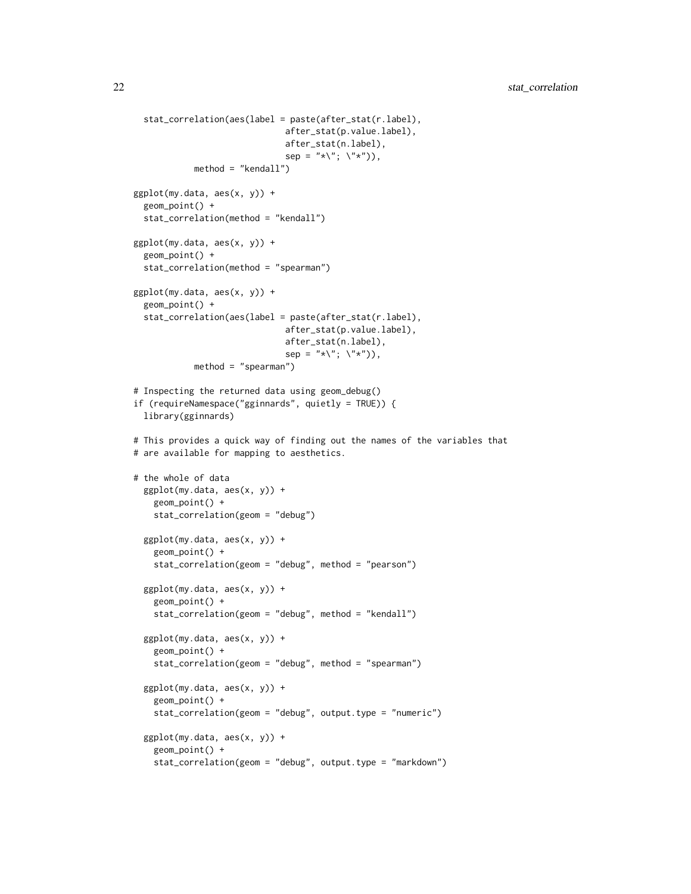```
stat_correlation(aes(label = paste(after_stat(r.label),
                              after_stat(p.value.label),
                              after_stat(n.label),
                              sep = "*\`', \`\`', \'\*"),
            method = "kendall")
ggplot(my.data, aes(x, y)) +
 geom_point() +
 stat_correlation(method = "kendall")
ggplot(my.data, aes(x, y)) +
 geom_point() +
 stat_correlation(method = "spearman")
ggplot(my.data, aes(x, y)) +
 geom_point() +
 stat_correlation(aes(label = paste(after_stat(r.label),
                              after_stat(p.value.label),
                              after_stat(n.label),
                              sep = "*\`', \`'\`method = "spearman")
# Inspecting the returned data using geom_debug()
if (requireNamespace("gginnards", quietly = TRUE)) {
 library(gginnards)
# This provides a quick way of finding out the names of the variables that
# are available for mapping to aesthetics.
# the whole of data
 ggplot(my.data, aes(x, y)) +
   geom_point() +
   stat_correlation(geom = "debug")
 ggplot(my.data, aes(x, y)) +
   geom_point() +
   stat_correlation(geom = "debug", method = "pearson")
 ggplot(my.data, aes(x, y)) +
   geom_point() +
   stat_correlation(geom = "debug", method = "kendall")
 ggplot(my.data, aes(x, y)) +
   geom_point() +
    stat_correlation(geom = "debug", method = "spearman")
 ggplot(my.data, aes(x, y)) +
   geom_point() +
    stat_correlation(geom = "debug", output.type = "numeric")
 ggplot(my.data, aes(x, y)) +
    geom_point() +
    stat_correlation(geom = "debug", output.type = "markdown")
```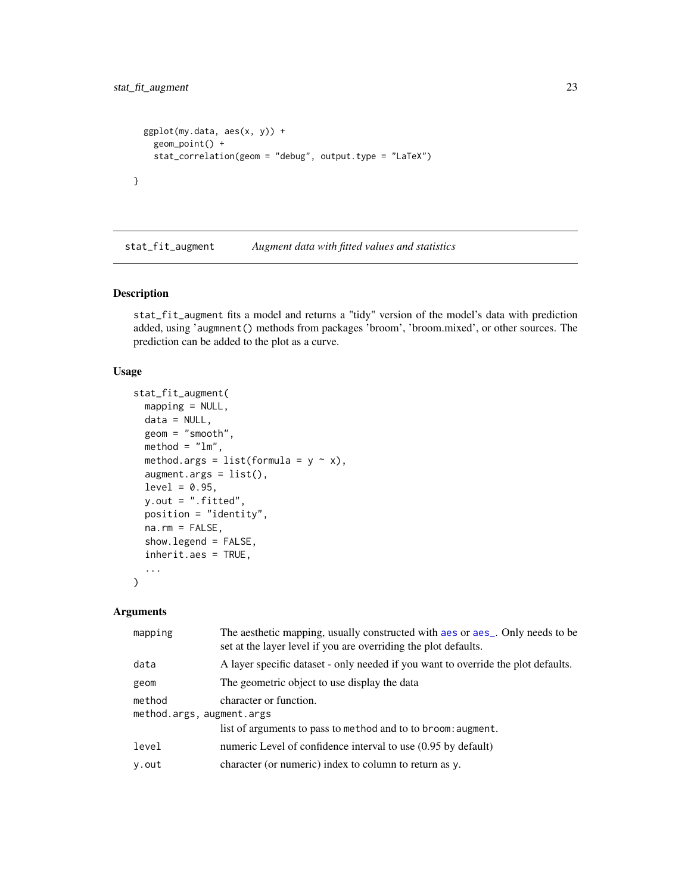```
ggplot(my.data, aes(x, y)) +
   geom_point() +
   stat_correlation(geom = "debug", output.type = "LaTeX")
}
```
<span id="page-22-1"></span>stat\_fit\_augment *Augment data with fitted values and statistics*

## Description

stat\_fit\_augment fits a model and returns a "tidy" version of the model's data with prediction added, using 'augmnent() methods from packages 'broom', 'broom.mixed', or other sources. The prediction can be added to the plot as a curve.

## Usage

```
stat_fit_augment(
 mapping = NULL,
  data = NULL,geom = "smooth",
 method = "lm",method.args = list(formula = y \sim x),
  augment.args = list(),
  level = 0.95,y.out = ".fitted",
 position = "identity",
  na.rm = FALSE,show.legend = FALSE,
  inherit.aes = TRUE,
  ...
\mathcal{L}
```
## Arguments

| mapping                             | The aesthetic mapping, usually constructed with a es or a es_. Only needs to be<br>set at the layer level if you are overriding the plot defaults. |
|-------------------------------------|----------------------------------------------------------------------------------------------------------------------------------------------------|
| data                                | A layer specific dataset - only needed if you want to override the plot defaults.                                                                  |
| geom                                | The geometric object to use display the data                                                                                                       |
| method<br>method.args, augment.args | character or function.                                                                                                                             |
|                                     | list of arguments to pass to method and to to broom: augment.                                                                                      |
| level                               | numeric Level of confidence interval to use (0.95 by default)                                                                                      |
| y.out                               | character (or numeric) index to column to return as y.                                                                                             |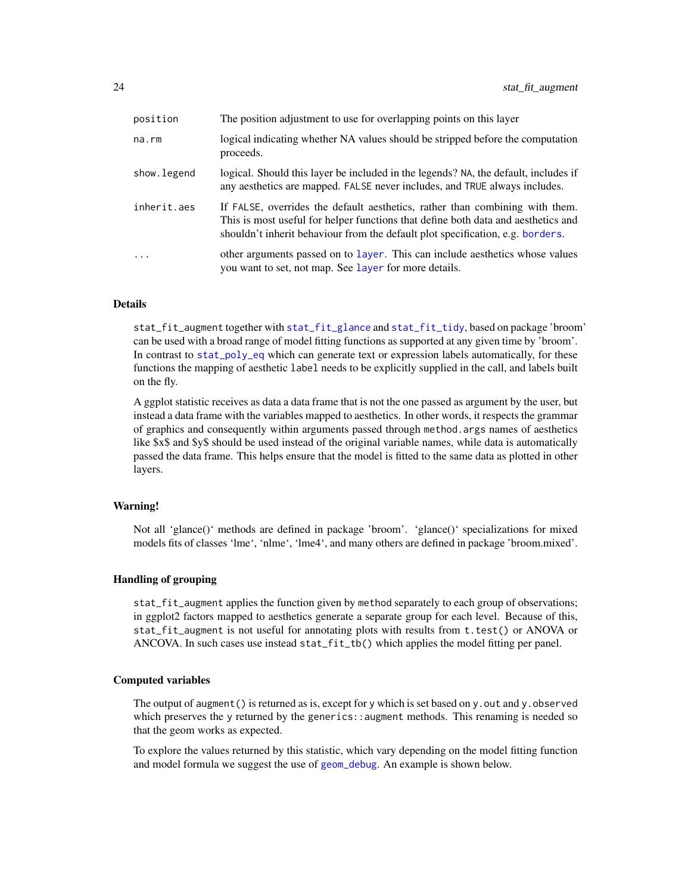| position    | The position adjustment to use for overlapping points on this layer                                                                                                                                                                                 |
|-------------|-----------------------------------------------------------------------------------------------------------------------------------------------------------------------------------------------------------------------------------------------------|
| na.rm       | logical indicating whether NA values should be stripped before the computation<br>proceeds.                                                                                                                                                         |
| show.legend | logical. Should this layer be included in the legends? NA, the default, includes if<br>any aesthetics are mapped. FALSE never includes, and TRUE always includes.                                                                                   |
| inherit.aes | If FALSE, overrides the default aesthetics, rather than combining with them.<br>This is most useful for helper functions that define both data and aesthetics and<br>shouldn't inherit behaviour from the default plot specification, e.g. borders. |
| .           | other arguments passed on to layer. This can include aesthetics whose values<br>you want to set, not map. See layer for more details.                                                                                                               |

## Details

stat\_fit\_augment together with [stat\\_fit\\_glance](#page-29-1) and [stat\\_fit\\_tidy](#page-41-1), based on package 'broom' can be used with a broad range of model fitting functions as supported at any given time by 'broom'. In contrast to [stat\\_poly\\_eq](#page-60-1) which can generate text or expression labels automatically, for these functions the mapping of aesthetic label needs to be explicitly supplied in the call, and labels built on the fly.

A ggplot statistic receives as data a data frame that is not the one passed as argument by the user, but instead a data frame with the variables mapped to aesthetics. In other words, it respects the grammar of graphics and consequently within arguments passed through method.args names of aesthetics like \$x\$ and \$y\$ should be used instead of the original variable names, while data is automatically passed the data frame. This helps ensure that the model is fitted to the same data as plotted in other layers.

## Warning!

Not all 'glance()' methods are defined in package 'broom'. 'glance()' specializations for mixed models fits of classes 'lme', 'nlme', 'lme4', and many others are defined in package 'broom.mixed'.

## Handling of grouping

stat\_fit\_augment applies the function given by method separately to each group of observations; in ggplot2 factors mapped to aesthetics generate a separate group for each level. Because of this, stat\_fit\_augment is not useful for annotating plots with results from t.test() or ANOVA or ANCOVA. In such cases use instead stat\_fit\_tb() which applies the model fitting per panel.

#### Computed variables

The output of augment () is returned as is, except for y which is set based on y. out and y. observed which preserves the y returned by the generics::augment methods. This renaming is needed so that the geom works as expected.

To explore the values returned by this statistic, which vary depending on the model fitting function and model formula we suggest the use of [geom\\_debug](#page-6-1). An example is shown below.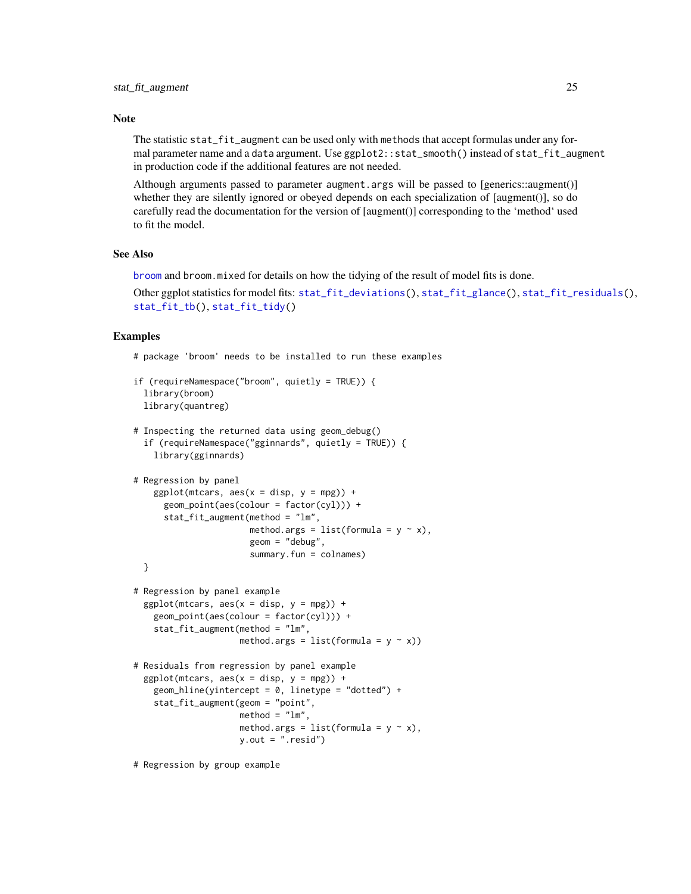## Note

The statistic stat\_fit\_augment can be used only with methods that accept formulas under any formal parameter name and a data argument. Use ggplot2::stat\_smooth() instead of stat\_fit\_augment in production code if the additional features are not needed.

Although arguments passed to parameter augment.args will be passed to [generics::augment()] whether they are silently ignored or obeyed depends on each specialization of [augment()], so do carefully read the documentation for the version of [augment()] corresponding to the 'method' used to fit the model.

## See Also

[broom](#page-0-0) and broom.mixed for details on how the tidying of the result of model fits is done.

```
Other ggplot statistics for model fits: stat_fit_deviations(), stat_fit_glance(), stat_fit_residuals(),
stat_fit_tb(), stat_fit_tidy()
```
#### Examples

}

```
# package 'broom' needs to be installed to run these examples
```

```
if (requireNamespace("broom", quietly = TRUE)) {
 library(broom)
 library(quantreg)
```

```
# Inspecting the returned data using geom_debug()
 if (requireNamespace("gginnards", quietly = TRUE)) {
   library(gginnards)
```

```
# Regression by panel
   ggplot(mtcars, aes(x = disp, y = mp)) +geom_point(aes(colour = factor(cyl))) +
      stat_fit_augment(method = "lm",
                       method.args = list(formula = y \sim x),
                       geom = "debug",
                       summary.fun = colnames)
```

```
# Regression by panel example
 ggplot(mtcars, aes(x = disp, y = mp)) +geom_point(aes(colour = factor(cyl))) +
   stat_fit_augment(method = "lm",
                    method.args = list(formula = y \sim x))
```

```
# Residuals from regression by panel example
 ggplot(mtcars, aes(x = disp, y = mp)) +geom_hline(yintercept = 0, linetype = "dotted") +
   stat_fit_augment(geom = "point",
                    method = "lm",method.args = list(formula = y \sim x),
                    y.out = "resid")
```
# Regression by group example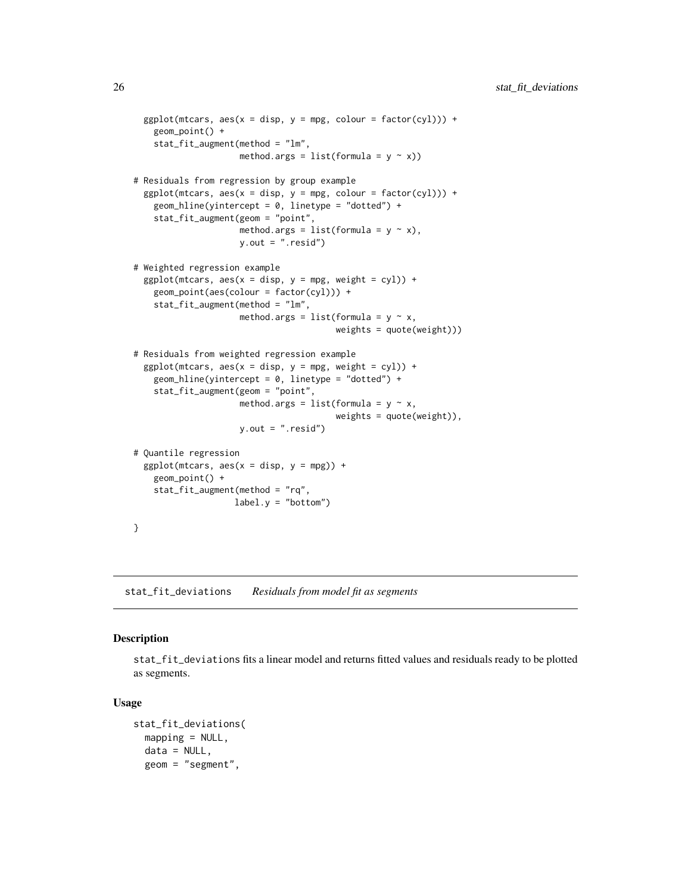```
ggplot(mtcars, aes(x = disp, y = mpg, colour = factor(cyl))) +geom_point() +
    stat_fit_augment(method = "lm",
                     method.args = list(formula = y \sim x))
# Residuals from regression by group example
 ggplot(mtcars, aes(x = disp, y = mpg, colour = factor(cyl))) +geom_hline(yintercept = 0, linetype = "dotted") +
   stat_fit_augment(geom = "point",
                     method.args = list(formula = y \sim x),
                     y.out = ".resid")
# Weighted regression example
 ggplot(mtcars, aes(x = disp, y = mpg, weight = cyl)) +geom_point(aes(colour = factor(cyl))) +
    stat_fit_augment(method = "lm",
                     method.args = list(formula = y \sim x,
                                        weights = quote(weight)))
# Residuals from weighted regression example
 ggplot(mtcars, aes(x = disp, y = mpg, weight = cyl)) +geom_hline(yintercept = 0, linetype = "dotted") +
    stat_fit_augment(geom = "point",
                     method.args = list(formula = y \sim x,
                                        weights = quote(weight)),
                     y.out = ".resid")
# Quantile regression
 ggplot(mtcars, aes(x = disp, y = mpg)) +geom_point() +
    stat_fit_augment(method = "rq",
                    label.y = "bottom")}
```
<span id="page-25-1"></span>stat\_fit\_deviations *Residuals from model fit as segments*

## Description

stat\_fit\_deviations fits a linear model and returns fitted values and residuals ready to be plotted as segments.

#### Usage

```
stat_fit_deviations(
 mapping = NULL,data = NULL,geom = "segment",
```
<span id="page-25-0"></span>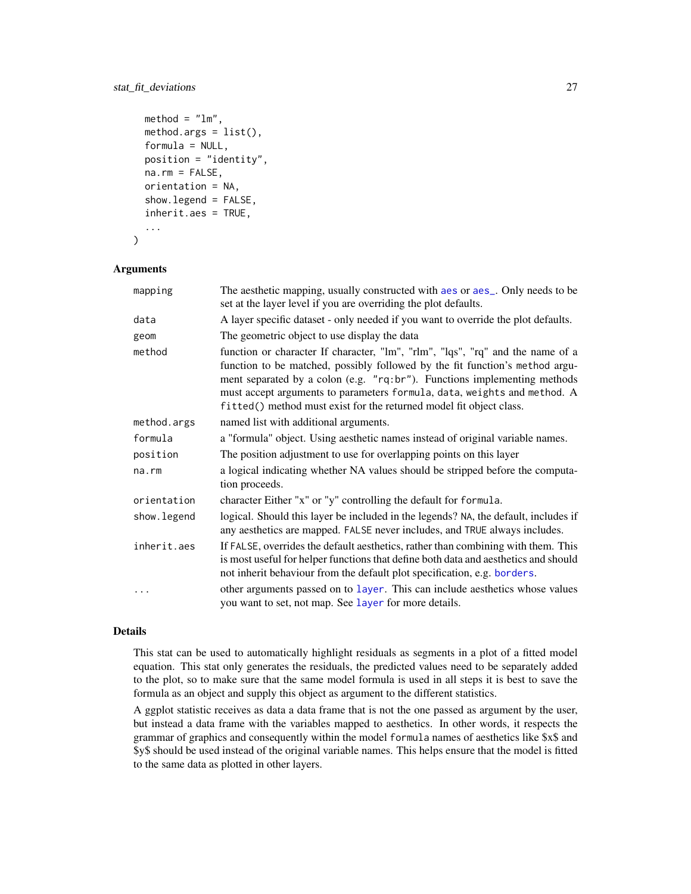## stat\_fit\_deviations 27

```
method = "lm",method.args = list(),
formula = NULL,
position = "identity",
na.rm = FALSE,
orientation = NA,
show.legend = FALSE,
inherit.aes = TRUE,
...
```
#### Arguments

)

| mapping      | The aesthetic mapping, usually constructed with aes or aes_. Only needs to be<br>set at the layer level if you are overriding the plot defaults.                                                                                                                                                                                                                                              |
|--------------|-----------------------------------------------------------------------------------------------------------------------------------------------------------------------------------------------------------------------------------------------------------------------------------------------------------------------------------------------------------------------------------------------|
| data         | A layer specific dataset - only needed if you want to override the plot defaults.                                                                                                                                                                                                                                                                                                             |
| geom         | The geometric object to use display the data                                                                                                                                                                                                                                                                                                                                                  |
| method       | function or character If character, "lm", "rlm", "lqs", "rq" and the name of a<br>function to be matched, possibly followed by the fit function's method argu-<br>ment separated by a colon (e.g. "rq:br"). Functions implementing methods<br>must accept arguments to parameters formula, data, weights and method. A<br>fitted() method must exist for the returned model fit object class. |
| method.args  | named list with additional arguments.                                                                                                                                                                                                                                                                                                                                                         |
| formula      | a "formula" object. Using aesthetic names instead of original variable names.                                                                                                                                                                                                                                                                                                                 |
| position     | The position adjustment to use for overlapping points on this layer                                                                                                                                                                                                                                                                                                                           |
| na.rm        | a logical indicating whether NA values should be stripped before the computa-<br>tion proceeds.                                                                                                                                                                                                                                                                                               |
| orientation  | character Either "x" or "y" controlling the default for formula.                                                                                                                                                                                                                                                                                                                              |
| show. legend | logical. Should this layer be included in the legends? NA, the default, includes if<br>any aesthetics are mapped. FALSE never includes, and TRUE always includes.                                                                                                                                                                                                                             |
| inherit.aes  | If FALSE, overrides the default aesthetics, rather than combining with them. This<br>is most useful for helper functions that define both data and aesthetics and should<br>not inherit behaviour from the default plot specification, e.g. borders.                                                                                                                                          |
|              | other arguments passed on to layer. This can include aesthetics whose values<br>you want to set, not map. See layer for more details.                                                                                                                                                                                                                                                         |

#### Details

This stat can be used to automatically highlight residuals as segments in a plot of a fitted model equation. This stat only generates the residuals, the predicted values need to be separately added to the plot, so to make sure that the same model formula is used in all steps it is best to save the formula as an object and supply this object as argument to the different statistics.

A ggplot statistic receives as data a data frame that is not the one passed as argument by the user, but instead a data frame with the variables mapped to aesthetics. In other words, it respects the grammar of graphics and consequently within the model formula names of aesthetics like \$x\$ and \$y\$ should be used instead of the original variable names. This helps ensure that the model is fitted to the same data as plotted in other layers.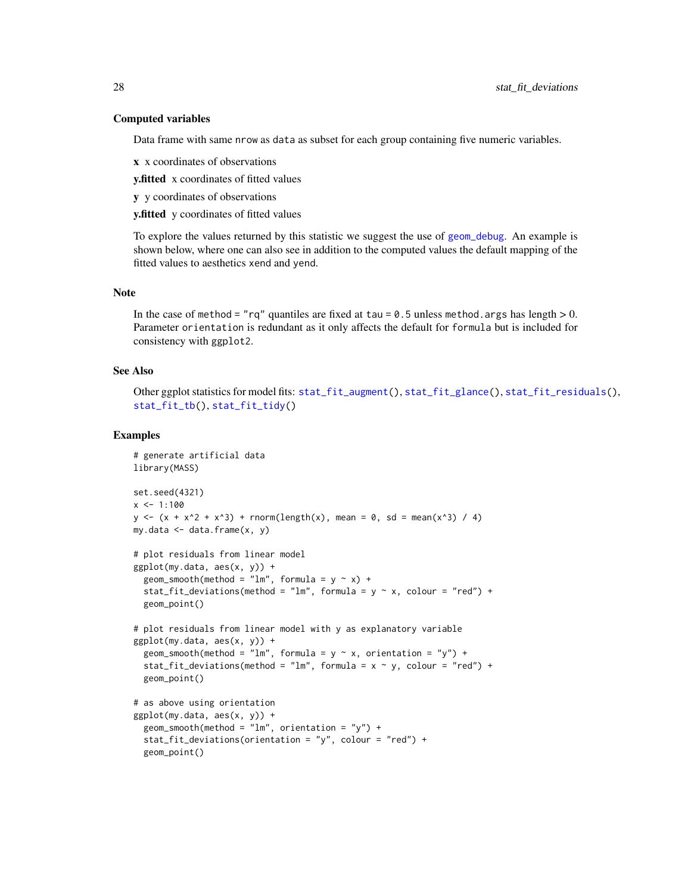## Computed variables

Data frame with same nrow as data as subset for each group containing five numeric variables.

x x coordinates of observations

y.fitted x coordinates of fitted values

y y coordinates of observations

y.fitted y coordinates of fitted values

To explore the values returned by this statistic we suggest the use of [geom\\_debug](#page-6-1). An example is shown below, where one can also see in addition to the computed values the default mapping of the fitted values to aesthetics xend and yend.

## Note

In the case of method = "rq" quantiles are fixed at tau =  $0.5$  unless method.args has length  $> 0$ . Parameter orientation is redundant as it only affects the default for formula but is included for consistency with ggplot2.

## See Also

```
Other ggplot statistics for model fits: stat_fit_augment(), stat_fit_glance(), stat_fit_residuals(),
stat_fit_tb(), stat_fit_tidy()
```
## Examples

```
# generate artificial data
library(MASS)
set.seed(4321)
x \le -1:100y \leftarrow (x + x^2 + x^3) + \text{norm}(\text{length}(x), \text{ mean } = 0, \text{ sd } = \text{mean}(x^3) / 4)my.data \leq data.frame(x, y)# plot residuals from linear model
ggplot(my.data, aes(x, y)) +geom_smooth(method = "lm", formula = y \sim x) +
  stat_fit_deviations(method = "lm", formula = y \sim x, colour = "red") +
  geom_point()
# plot residuals from linear model with y as explanatory variable
ggplot(my.data, aes(x, y)) +geom_smooth(method = "lm", formula = y \sim x, orientation = "y") +
  stat_fit_deviations(method = "lm", formula = x \sim y, colour = "red") +
  geom_point()
# as above using orientation
ggplot(my.data, aes(x, y)) +geom\_smooth(method = "lm", orientation = "y") +stat_fit_deviations(orientation = "y", colour = "red") +
  geom_point()
```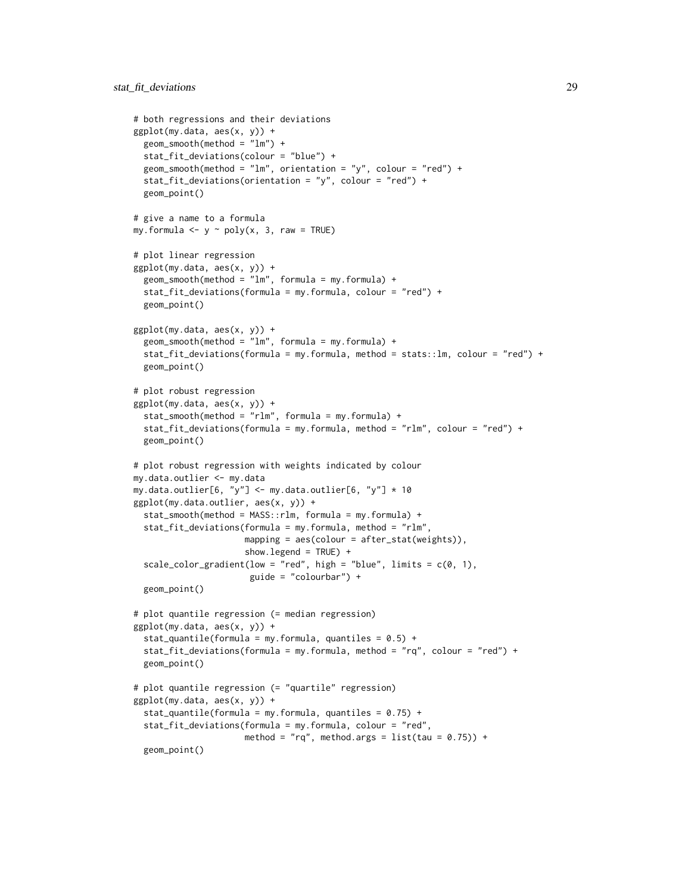```
# both regressions and their deviations
ggplot(my.data, aes(x, y)) +geom_smooth(method = "lm") +
 stat_fit_deviations(colour = "blue") +
 geom_smooth(method = "lm", orientation = "y", colour = "red") +
 stat_fit_deviations(orientation = "y", colour = "red") +
 geom_point()
# give a name to a formula
my.formula \leq y \sim poly(x, 3, raw = TRUE)
# plot linear regression
ggplot(my.data, aes(x, y)) +
 geom\_smooth(method = "lm", formula = my.format) +stat_fit_deviations(formula = my.formula, colour = "red") +
 geom_point()
ggplot(my.data, aes(x, y)) +
 geom_smooth(method = "lm", formula = my.formula) +
 stat_fit_deviations(formula = my.formula, method = stats::lm, colour = "red") +
 geom_point()
# plot robust regression
ggplot(my.data, aes(x, y)) +
 stat_smooth(method = "rlm", formula = my.formula) +
  stat_fit_deviations(formula = my.formula, method = "rlm", colour = "red") +
 geom_point()
# plot robust regression with weights indicated by colour
my.data.outlier <- my.data
my.data.outlier[6, "y"] <- my.data.outlier[6, "y"] * 10
ggplot(my.data.outlier, aes(x, y)) +
 stat_smooth(method = MASS::rlm, formula = my.formula) +
 stat_fit_deviations(formula = my.formula, method = "rlm",
                      mapping = aes(colour = after_stat(weights)),
                      show.legend = TRUE) +
 scale_color_gradient(low = "red", high = "blue", limits = c(0, 1),
                       guide = "colourbar") +
 geom_point()
# plot quantile regression (= median regression)
ggplot(my.data, aes(x, y)) +
 stat_quantile(formula = my.formula, quantiles = 0.5) +
 stat_fit_deviations(formula = my.formula, method = "rq", colour = "red") +
 geom_point()
# plot quantile regression (= "quartile" regression)
ggplot(my.data, aes(x, y)) +
 stat_quantile(formula = my.formula, quantiles = 0.75) +
 stat_fit_deviations(formula = my.formula, colour = "red",
                      method = "rq", method.args = list(tau = 0.75)) +
 geom_point()
```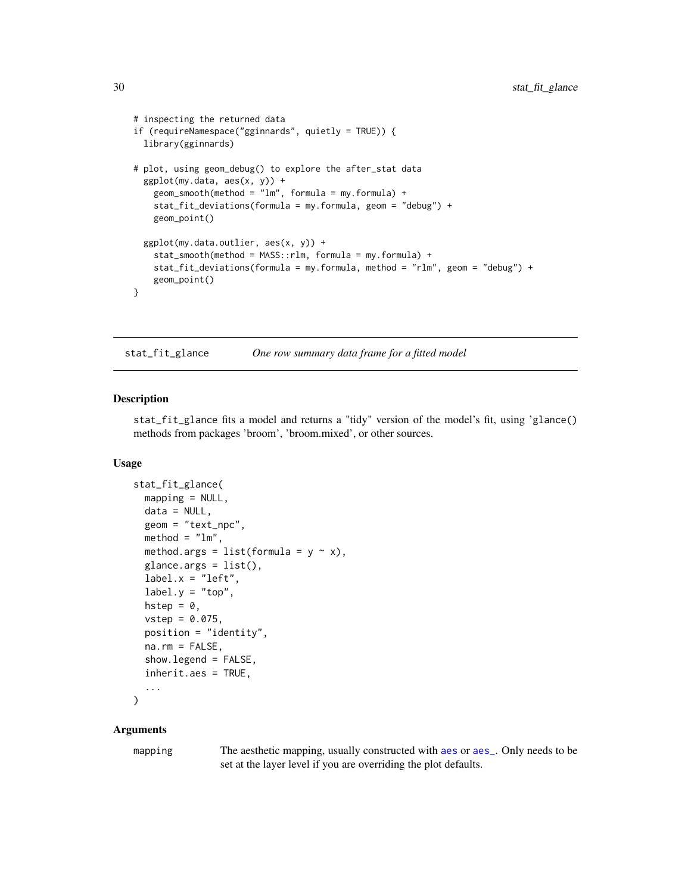```
# inspecting the returned data
if (requireNamespace("gginnards", quietly = TRUE)) {
 library(gginnards)
# plot, using geom_debug() to explore the after_stat data
 ggplot(my.data, aes(x, y)) +
   geom\_smooth(method = "lm", formula = my.format) +stat_fit_deviations(formula = my.formula, geom = "debug") +
   geom_point()
 ggplot(my.data.outlier, aes(x, y)) +
    stat_smooth(method = MASS::rlm, formula = my.formula) +
    stat_fit_deviations(formula = my.formula, method = "rlm", geom = "debug") +
   geom_point()
}
```
<span id="page-29-1"></span>stat\_fit\_glance *One row summary data frame for a fitted model*

#### **Description**

stat\_fit\_glance fits a model and returns a "tidy" version of the model's fit, using 'glance() methods from packages 'broom', 'broom.mixed', or other sources.

## Usage

```
stat_fit_glance(
 mapping = NULL,
 data = NULL,geom = "text_npc",
 method = "lm",method.args = list(formula = y \sim x),
  glance.args = list(),label.x = "left",label.y = "top",hstep = \theta,
  vstep = 0.075,position = "identity",
  na.rm = FALSE,show.legend = FALSE,
  inherit.aes = TRUE,
  ...
\lambda
```
#### Arguments

mapping The [aes](#page-0-0)thetic mapping, usually constructed with aes or aes<sub>-</sub>. Only needs to be set at the layer level if you are overriding the plot defaults.

<span id="page-29-0"></span>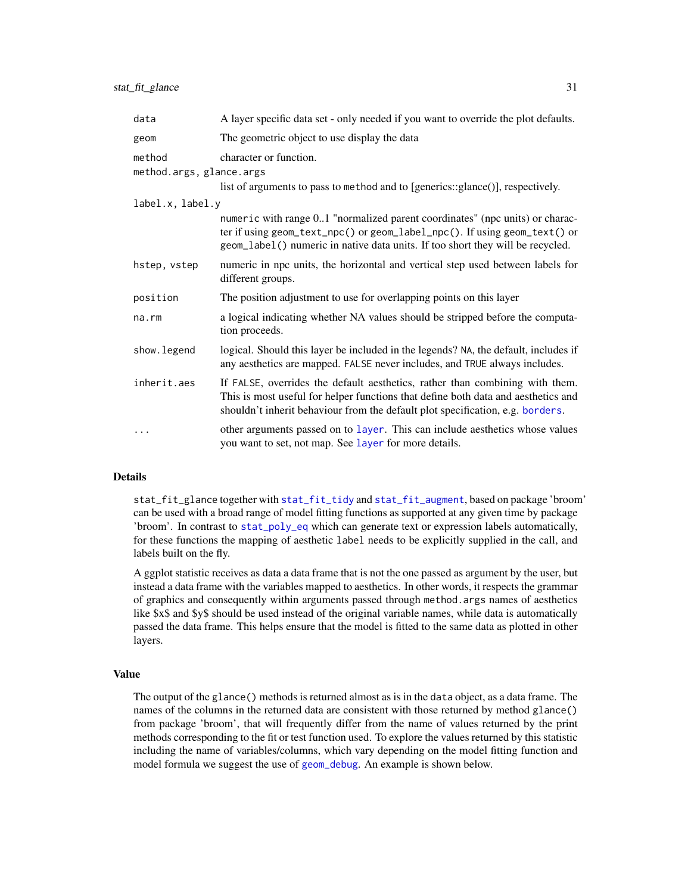| data                               | A layer specific data set - only needed if you want to override the plot defaults.                                                                                                                                                                  |
|------------------------------------|-----------------------------------------------------------------------------------------------------------------------------------------------------------------------------------------------------------------------------------------------------|
| geom                               | The geometric object to use display the data                                                                                                                                                                                                        |
| method<br>method.args, glance.args | character or function.<br>list of arguments to pass to method and to [generics::glance()], respectively.                                                                                                                                            |
| label.x, label.y                   |                                                                                                                                                                                                                                                     |
|                                    | numeric with range 01 "normalized parent coordinates" (npc units) or charac-<br>ter if using geom_text_npc() or geom_label_npc(). If using geom_text() or<br>geom_label() numeric in native data units. If too short they will be recycled.         |
| hstep, vstep                       | numeric in npc units, the horizontal and vertical step used between labels for<br>different groups.                                                                                                                                                 |
| position                           | The position adjustment to use for overlapping points on this layer                                                                                                                                                                                 |
| na.rm                              | a logical indicating whether NA values should be stripped before the computa-<br>tion proceeds.                                                                                                                                                     |
| show.legend                        | logical. Should this layer be included in the legends? NA, the default, includes if<br>any aesthetics are mapped. FALSE never includes, and TRUE always includes.                                                                                   |
| inherit.aes                        | If FALSE, overrides the default aesthetics, rather than combining with them.<br>This is most useful for helper functions that define both data and aesthetics and<br>shouldn't inherit behaviour from the default plot specification, e.g. borders. |
| $\ddotsc$                          | other arguments passed on to layer. This can include aesthetics whose values<br>you want to set, not map. See layer for more details.                                                                                                               |

## Details

stat\_fit\_glance together with [stat\\_fit\\_tidy](#page-41-1) and [stat\\_fit\\_augment](#page-22-1), based on package 'broom' can be used with a broad range of model fitting functions as supported at any given time by package 'broom'. In contrast to [stat\\_poly\\_eq](#page-60-1) which can generate text or expression labels automatically, for these functions the mapping of aesthetic label needs to be explicitly supplied in the call, and labels built on the fly.

A ggplot statistic receives as data a data frame that is not the one passed as argument by the user, but instead a data frame with the variables mapped to aesthetics. In other words, it respects the grammar of graphics and consequently within arguments passed through method.args names of aesthetics like \$x\$ and \$y\$ should be used instead of the original variable names, while data is automatically passed the data frame. This helps ensure that the model is fitted to the same data as plotted in other layers.

## Value

The output of the glance() methods is returned almost as is in the data object, as a data frame. The names of the columns in the returned data are consistent with those returned by method glance() from package 'broom', that will frequently differ from the name of values returned by the print methods corresponding to the fit or test function used. To explore the values returned by this statistic including the name of variables/columns, which vary depending on the model fitting function and model formula we suggest the use of [geom\\_debug](#page-6-1). An example is shown below.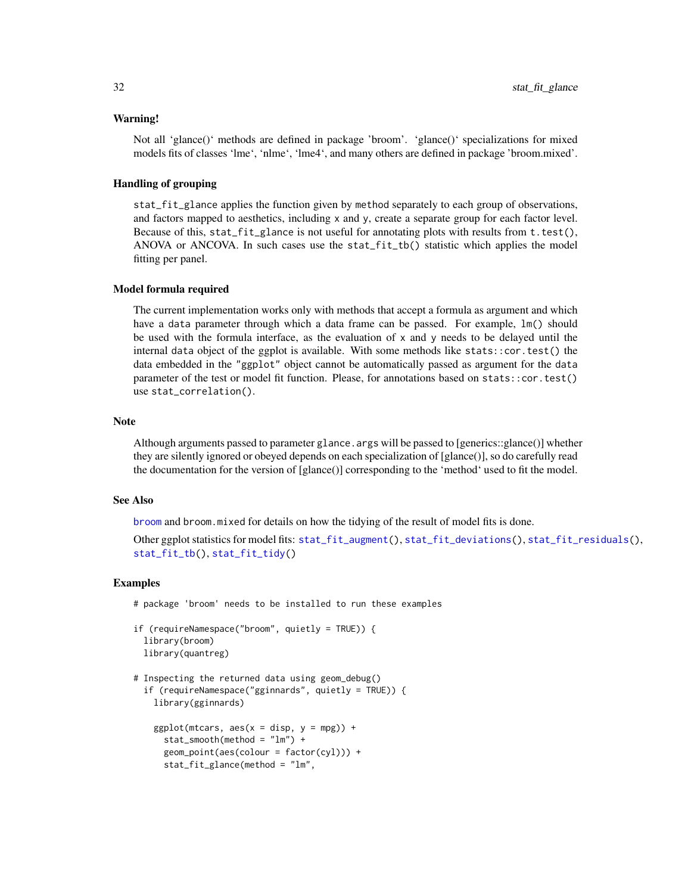#### Warning!

Not all 'glance()' methods are defined in package 'broom'. 'glance()' specializations for mixed models fits of classes 'lme', 'nlme', 'lme4', and many others are defined in package 'broom.mixed'.

## Handling of grouping

stat\_fit\_glance applies the function given by method separately to each group of observations, and factors mapped to aesthetics, including x and y, create a separate group for each factor level. Because of this, stat\_fit\_glance is not useful for annotating plots with results from  $t.test()$ , ANOVA or ANCOVA. In such cases use the stat\_fit\_tb() statistic which applies the model fitting per panel.

#### Model formula required

The current implementation works only with methods that accept a formula as argument and which have a data parameter through which a data frame can be passed. For example,  $\text{lm}()$  should be used with the formula interface, as the evaluation of  $x$  and  $y$  needs to be delayed until the internal data object of the ggplot is available. With some methods like stats::cor.test() the data embedded in the "ggplot" object cannot be automatically passed as argument for the data parameter of the test or model fit function. Please, for annotations based on stats::cor.test() use stat\_correlation().

## Note

Although arguments passed to parameter glance, args will be passed to [generics::glance()] whether they are silently ignored or obeyed depends on each specialization of [glance()], so do carefully read the documentation for the version of [glance()] corresponding to the 'method' used to fit the model.

#### See Also

[broom](#page-0-0) and broom.mixed for details on how the tidying of the result of model fits is done.

Other ggplot statistics for model fits: [stat\\_fit\\_augment\(](#page-22-1)), [stat\\_fit\\_deviations\(](#page-25-1)), [stat\\_fit\\_residuals\(](#page-33-1)), [stat\\_fit\\_tb\(](#page-36-1)), [stat\\_fit\\_tidy\(](#page-41-1))

## Examples

# package 'broom' needs to be installed to run these examples

```
if (requireNamespace("broom", quietly = TRUE)) {
 library(broom)
 library(quantreg)
```

```
# Inspecting the returned data using geom_debug()
 if (requireNamespace("gginnards", quietly = TRUE)) {
   library(gginnards)
```

```
ggplot(mtcars, aes(x = disp, y = mp)) +
  stat_smooth(method = "lm") +
  geom_point(aes(colour = factor(cyl))) +
  stat_fit_glance(method = "lm",
```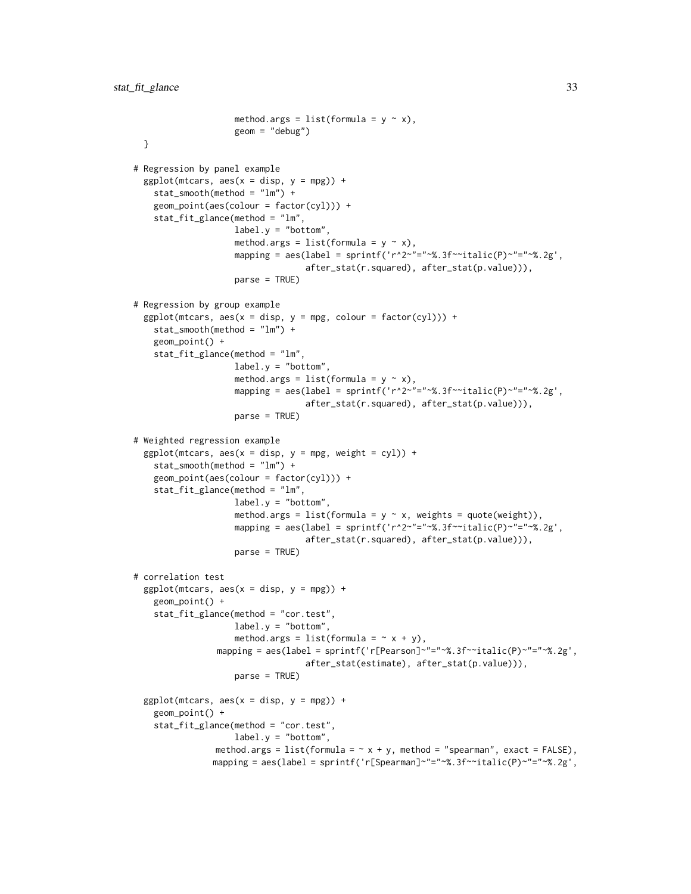```
method.args = list(formula = y \sim x),
                    geom = "debug")
 }
# Regression by panel example
 ggplot(mtcars, aes(x = disp, y = mp)) +
    stat_smooth(method = "lm") +
   geom_point(aes(colour = factor(cyl))) +
   stat_fit_glance(method = "lm",
                    label.y = "bottom",
                    method.args = list(formula = y \sim x),
                    mapping = aes(label = sprintf('r^2~"="~%.3f~~italic(P)~"="~%.2g',
                                  after_stat(r.squared), after_stat(p.value))),
                    parse = TRUE)
# Regression by group example
 ggplot(mtcars, aes(x = disp, y = mpg, colour = factor(cyl))) +stat_smooth(method = "lm") +
   geom_point() +
    stat_fit_glance(method = "lm",
                    label.y = "bottom",method.args = list(formula = y \sim x),
                    mapping = aes(label = sprintf('r^2~"="~%.3f~~italic(P)~"="~%.2g',
                                  after_stat(r.squared), after_stat(p.value))),
                    parse = TRUE)
# Weighted regression example
 ggplot(mtcars, aes(x = disp, y = mpg, weight = cyl)) +stat_smooth(method = "lm") +
   geom_point(aes(colour = factor(cyl))) +
   stat_fit_glance(method = "lm",
                    label.y = "bottom",
                    method.args = list(formula = y \sim x, weights = quote(weight)),
                    mapping = aes(label = sprintf('r^2~"="~%.3f~~italic(P)~"="~%.2g',
                                  after_stat(r.squared), after_stat(p.value))),
                    parse = TRUE)
# correlation test
 ggplot(mtcars, aes(x = disp, y = mp)) +geom_point() +
    stat_fit_glance(method = "cor.test",
                    label.y = "bottom",
                    method.args = list(formula = \sim x + y),
                mapping = aes(label = sprintf('r[Pearson]~"="~%.3f~~italic(P)~"="~%.2g',
                                  after_stat(estimate), after_stat(p.value))),
                    parse = TRUE)
 ggplot(mtcars, aes(x = disp, y = mp)) +geom_point() +
    stat_fit_glance(method = "cor.test",
                    label.y = "bottom",method.args = list(formula = \sim x + y, method = "spearman", exact = FALSE),
               mapping = aes(label = sprintf('r[Spearman]~"="~%.3f~~italic(P)~"="~%.2g',
```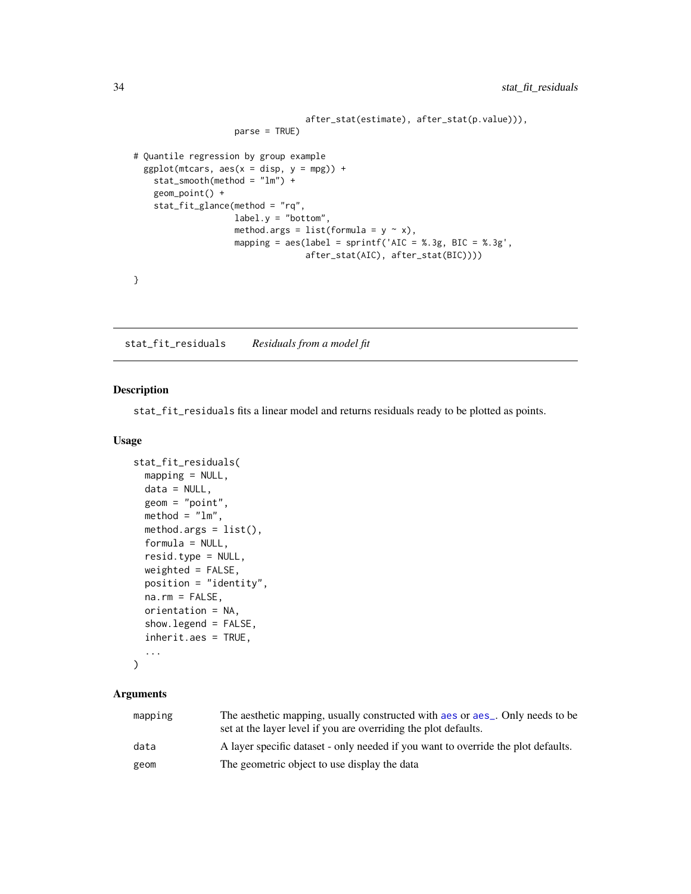```
after_stat(estimate), after_stat(p.value))),
                    parse = TRUE)
# Quantile regression by group example
 ggplot(mtcars, aes(x = disp, y = mp)) +stat_smooth(method = "lm") +
   geom_point() +
   stat_fit_glance(method = "rq",
                   label.y = "bottom",method.args = list(formula = y \sim x),
                   mapping = aes(label = sprintf('AIC = %.3g, BIC = %.3g',after_stat(AIC), after_stat(BIC))))
}
```
<span id="page-33-1"></span>stat\_fit\_residuals *Residuals from a model fit*

## Description

stat\_fit\_residuals fits a linear model and returns residuals ready to be plotted as points.

## Usage

```
stat_fit_residuals(
 mapping = NULL,data = NULL,
  geom = "point",
 \text{method} = "lm",method.args = list(),formula = NULL,resid.type = NULL,
 weighted = FALSE,position = "identity",
 na.rm = FALSE,
 orientation = NA,
  show.legend = FALSE,
  inherit.aes = TRUE,
  ...
```

```
\mathcal{L}
```
## Arguments

| mapping | The aesthetic mapping, usually constructed with aes or aes_. Only needs to be<br>set at the layer level if you are overriding the plot defaults. |
|---------|--------------------------------------------------------------------------------------------------------------------------------------------------|
| data    | A layer specific dataset - only needed if you want to override the plot defaults.                                                                |
| geom    | The geometric object to use display the data                                                                                                     |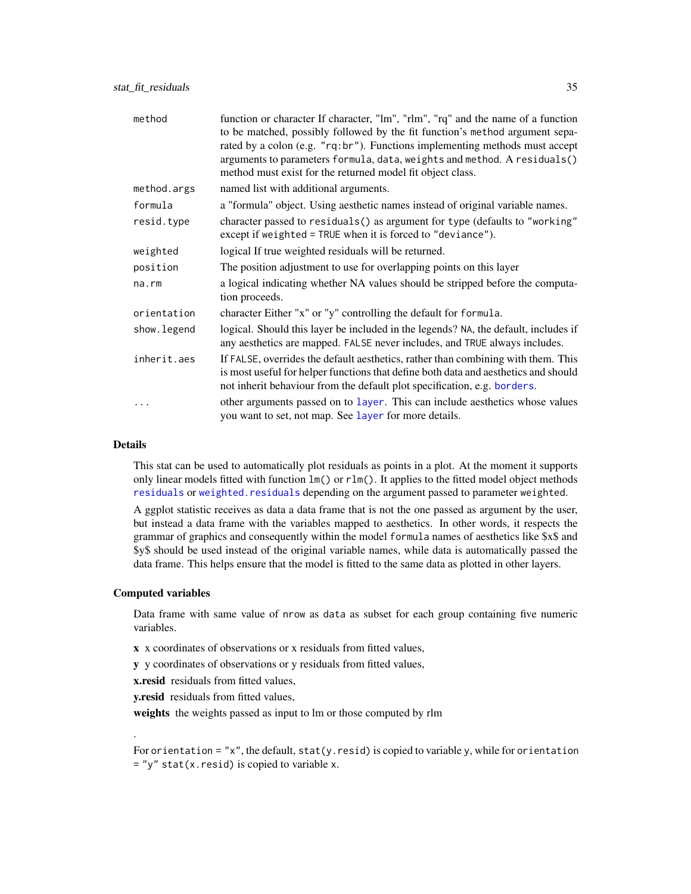| method       | function or character If character, "lm", "rlm", "rq" and the name of a function<br>to be matched, possibly followed by the fit function's method argument sepa-<br>rated by a colon (e.g. "rq:br"). Functions implementing methods must accept<br>arguments to parameters formula, data, weights and method. A residuals()<br>method must exist for the returned model fit object class. |
|--------------|-------------------------------------------------------------------------------------------------------------------------------------------------------------------------------------------------------------------------------------------------------------------------------------------------------------------------------------------------------------------------------------------|
| method.args  | named list with additional arguments.                                                                                                                                                                                                                                                                                                                                                     |
| formula      | a "formula" object. Using aesthetic names instead of original variable names.                                                                                                                                                                                                                                                                                                             |
| resid.type   | character passed to residuals() as argument for type (defaults to "working"<br>except if weighted = TRUE when it is forced to "deviance").                                                                                                                                                                                                                                                |
| weighted     | logical If true weighted residuals will be returned.                                                                                                                                                                                                                                                                                                                                      |
| position     | The position adjustment to use for overlapping points on this layer                                                                                                                                                                                                                                                                                                                       |
| $na$ . $rm$  | a logical indicating whether NA values should be stripped before the computa-<br>tion proceeds.                                                                                                                                                                                                                                                                                           |
| orientation  | character Either "x" or "y" controlling the default for formula.                                                                                                                                                                                                                                                                                                                          |
| show. legend | logical. Should this layer be included in the legends? NA, the default, includes if<br>any aesthetics are mapped. FALSE never includes, and TRUE always includes.                                                                                                                                                                                                                         |
| inherit.aes  | If FALSE, overrides the default aesthetics, rather than combining with them. This<br>is most useful for helper functions that define both data and aesthetics and should<br>not inherit behaviour from the default plot specification, e.g. borders.                                                                                                                                      |
|              | other arguments passed on to layer. This can include aesthetics whose values<br>you want to set, not map. See layer for more details.                                                                                                                                                                                                                                                     |

#### Details

This stat can be used to automatically plot residuals as points in a plot. At the moment it supports only linear models fitted with function  $lm()$  or  $rlm()$ . It applies to the fitted model object methods [residuals](#page-0-0) or [weighted.residuals](#page-0-0) depending on the argument passed to parameter weighted.

A ggplot statistic receives as data a data frame that is not the one passed as argument by the user, but instead a data frame with the variables mapped to aesthetics. In other words, it respects the grammar of graphics and consequently within the model formula names of aesthetics like \$x\$ and \$y\$ should be used instead of the original variable names, while data is automatically passed the data frame. This helps ensure that the model is fitted to the same data as plotted in other layers.

## Computed variables

.

Data frame with same value of nrow as data as subset for each group containing five numeric variables.

x x coordinates of observations or x residuals from fitted values,

y y coordinates of observations or y residuals from fitted values,

x.resid residuals from fitted values,

**v.resid** residuals from fitted values,

weights the weights passed as input to lm or those computed by rlm

For orientation =  $"x"$ , the default, stat(y.resid) is copied to variable y, while for orientation  $=$  "y" stat(x.resid) is copied to variable x.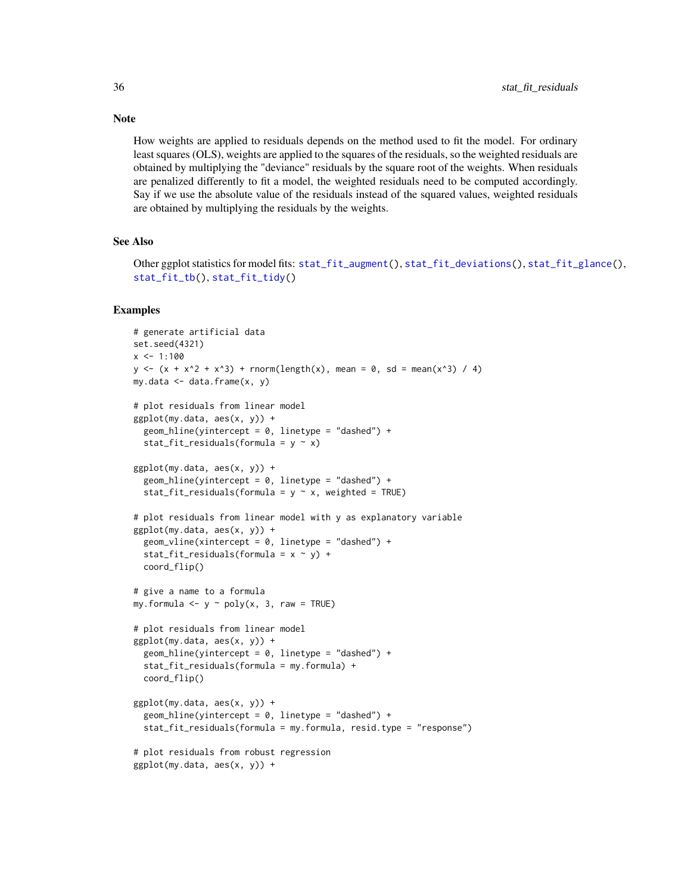How weights are applied to residuals depends on the method used to fit the model. For ordinary least squares (OLS), weights are applied to the squares of the residuals, so the weighted residuals are obtained by multiplying the "deviance" residuals by the square root of the weights. When residuals are penalized differently to fit a model, the weighted residuals need to be computed accordingly. Say if we use the absolute value of the residuals instead of the squared values, weighted residuals are obtained by multiplying the residuals by the weights.

#### See Also

```
Other ggplot statistics for model fits: stat_fit_augment(), stat_fit_deviations(), stat_fit_glance(),
stat_fit_tb(), stat_fit_tidy()
```
#### Examples

```
# generate artificial data
set.seed(4321)
x \le -1:100y \le -(x + x^2 + x^3) + rnorm(length(x), mean = 0, sd = mean(x^3) / 4)
my.data < - data frame(x, y)# plot residuals from linear model
ggplot(my.data, aes(x, y)) +
  geom_hline(yintercept = 0, linetype = "dashed") +
  stat_fit_residuals(formula = y \sim x)
ggplot(my.data, aes(x, y)) +geom_hline(yintercept = 0, linetype = "dashed") +
  stat_fit_residuals(formula = y \sim x, weighted = TRUE)
# plot residuals from linear model with y as explanatory variable
ggplot(my.data, aes(x, y)) +
  geom_vline(xintercept = 0, linetype = "dashed") +
  stat_fit_residuals(formula = x \sim y) +
  coord_flip()
# give a name to a formula
my.formula \leq y \sim poly(x, 3, raw = TRUE)
# plot residuals from linear model
ggplot(my.data, aes(x, y)) +geom_hline(yintercept = 0, linetype = "dashed") +
  stat_fit_residuals(formula = my.formula) +
  coord_flip()
ggplot(my.data, aes(x, y)) +
  geom_hline(yintercept = 0, linetype = "dashed") +
  stat_fit_residuals(formula = my.formula, resid.type = "response")
# plot residuals from robust regression
ggplot(my.data, aes(x, y)) +
```
## **Note**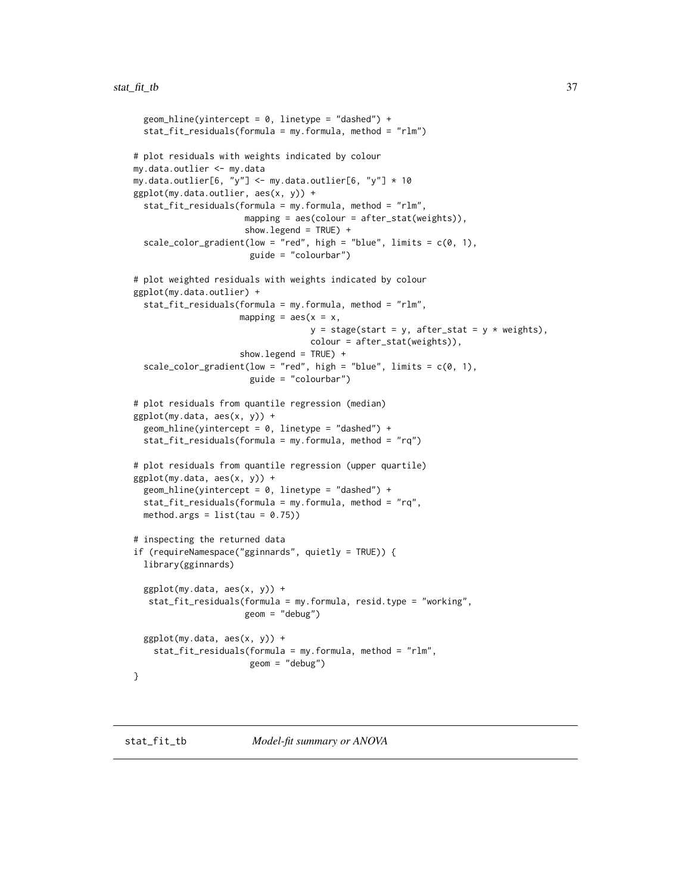```
geom_hline(yintercept = 0, linetype = "dashed") +
 stat_fit_residuals(formula = my.formula, method = "rlm")
# plot residuals with weights indicated by colour
my.data.outlier <- my.data
my.data.outlier[6, "y"] <- my.data.outlier[6, "y"] * 10
ggplot(my.data.outlier, aes(x, y)) +
 stat_fit_residuals(formula = my.formula, method = "rlm",
                      mapping = \text{aes}(\text{colour} = \text{after}\_\text{stat}(\text{weights})),
                      show.legend = TRUE) +
 scale_color_gradient(low = "red", high = "blue", limits = c(\emptyset, 1),
                       guide = "colourbar")
# plot weighted residuals with weights indicated by colour
ggplot(my.data.outlier) +
 stat_fit_residuals(formula = my.formula, method = "rlm",
                     mapping = \text{aes}(x = x),
                                    y = stage(start = y, after_stat = y * weights),colour = after_stat(weights)),
                     show.legend = TRUE) +
 scale_color_gradient(low = "red", high = "blue", limits = c(0, 1),
                       guide = "colourbar")
# plot residuals from quantile regression (median)
ggplot(my.data, aes(x, y)) +
 geom_hline(yintercept = 0, linetype = "dashed") +
 stat_fit_residuals(formula = my.formula, method = "rq")
# plot residuals from quantile regression (upper quartile)
ggplot(my.data, aes(x, y)) +
 geom_hline(yintercept = 0, linetype = "dashed") +
 stat_fit_residuals(formula = my.formula, method = "rq",
 method.args = list(tau = 0.75))# inspecting the returned data
if (requireNamespace("gginnards", quietly = TRUE)) {
 library(gginnards)
 ggplot(my.data, aes(x, y)) +
   stat_fit_residuals(formula = my.formula, resid.type = "working",
                      geom = "debug")
 ggplot(my.data, aes(x, y)) +
    stat_fit_residuals(formula = my.formula, method = "rlm",
                       geom = "debug")
}
```
<span id="page-36-0"></span>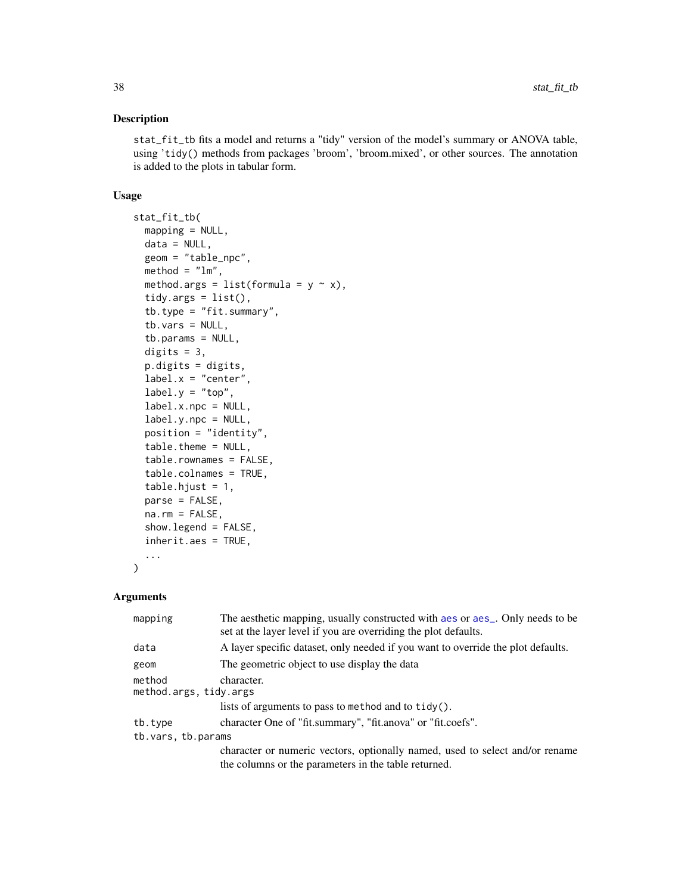### Description

stat\_fit\_tb fits a model and returns a "tidy" version of the model's summary or ANOVA table, using 'tidy() methods from packages 'broom', 'broom.mixed', or other sources. The annotation is added to the plots in tabular form.

#### Usage

```
stat_fit_tb(
 mapping = NULL,
 data = NULL,geom = "table_npc",
 method = "lm",method.args = list(formula = y \sim x),
  tidy.args = list(),
  tb.type = "fit.summary",
  tb.vars = NULL,tb.params = NULL,
  digits = 3,
  p.digits = digits,
  label.x = "center",label.y = "top",label.x.npc = NULL,
  label.y.npc = NULL,position = "identity",
  table.theme = NULL,
  table.rownames = FALSE,
  table.colnames = TRUE,
  table.hjust = 1,parse = FALSE,
 na.rm = FALSE,
  show.legend = FALSE,
  inherit.aes = TRUE,
  ...
\mathcal{L}
```

| mapping                          | The aesthetic mapping, usually constructed with aes or aes_. Only needs to be<br>set at the layer level if you are overriding the plot defaults. |
|----------------------------------|--------------------------------------------------------------------------------------------------------------------------------------------------|
| data                             | A layer specific dataset, only needed if you want to override the plot defaults.                                                                 |
| geom                             | The geometric object to use display the data                                                                                                     |
| method<br>method.args, tidy.args | character.                                                                                                                                       |
|                                  | lists of arguments to pass to method and to $\text{tidy}()$ .                                                                                    |
| tb.type                          | character One of "fit.summary", "fit.anova" or "fit.coefs".                                                                                      |
| tb.vars, tb.params               |                                                                                                                                                  |
|                                  | character or numeric vectors, optionally named, used to select and/or rename<br>the columns or the parameters in the table returned.             |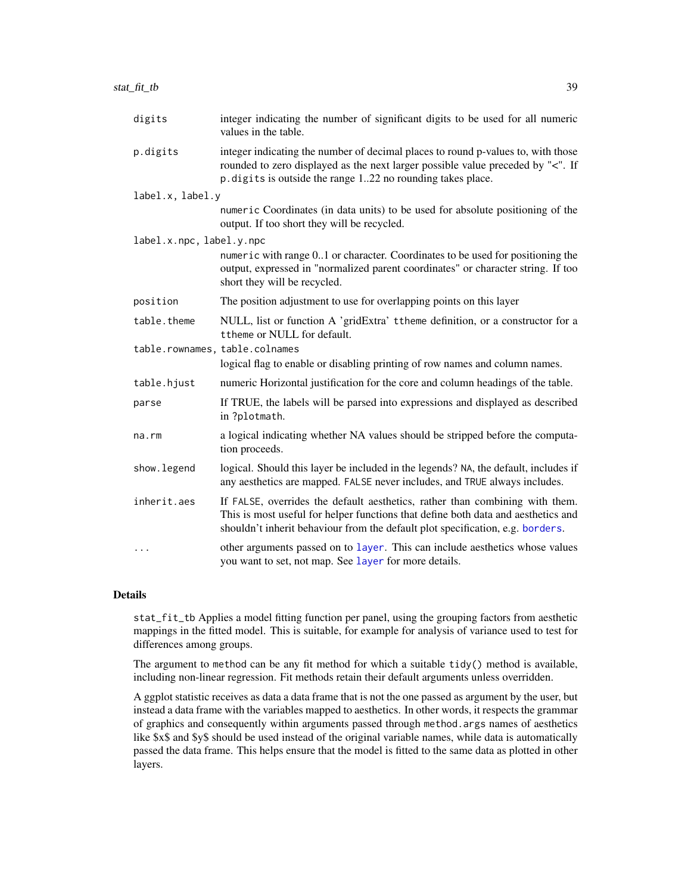| digits                         | integer indicating the number of significant digits to be used for all numeric<br>values in the table.                                                                                                                                              |
|--------------------------------|-----------------------------------------------------------------------------------------------------------------------------------------------------------------------------------------------------------------------------------------------------|
| p.digits                       | integer indicating the number of decimal places to round p-values to, with those<br>rounded to zero displayed as the next larger possible value preceded by "<". If<br>p. digits is outside the range 122 no rounding takes place.                  |
| label.x, label.y               |                                                                                                                                                                                                                                                     |
|                                | numeric Coordinates (in data units) to be used for absolute positioning of the<br>output. If too short they will be recycled.                                                                                                                       |
| label.x.npc, label.y.npc       |                                                                                                                                                                                                                                                     |
|                                | numeric with range 01 or character. Coordinates to be used for positioning the<br>output, expressed in "normalized parent coordinates" or character string. If too<br>short they will be recycled.                                                  |
| position                       | The position adjustment to use for overlapping points on this layer                                                                                                                                                                                 |
| table.theme                    | NULL, list or function A 'gridExtra' ttheme definition, or a constructor for a<br>ttheme or NULL for default.                                                                                                                                       |
| table.rownames, table.colnames |                                                                                                                                                                                                                                                     |
|                                | logical flag to enable or disabling printing of row names and column names.                                                                                                                                                                         |
| table.hjust                    | numeric Horizontal justification for the core and column headings of the table.                                                                                                                                                                     |
| parse                          | If TRUE, the labels will be parsed into expressions and displayed as described<br>in ?plotmath.                                                                                                                                                     |
| $na$ . $rm$                    | a logical indicating whether NA values should be stripped before the computa-<br>tion proceeds.                                                                                                                                                     |
| show.legend                    | logical. Should this layer be included in the legends? NA, the default, includes if<br>any aesthetics are mapped. FALSE never includes, and TRUE always includes.                                                                                   |
| inherit.aes                    | If FALSE, overrides the default aesthetics, rather than combining with them.<br>This is most useful for helper functions that define both data and aesthetics and<br>shouldn't inherit behaviour from the default plot specification, e.g. borders. |
| $\cdots$                       | other arguments passed on to layer. This can include aesthetics whose values<br>you want to set, not map. See layer for more details.                                                                                                               |

stat\_fit\_tb Applies a model fitting function per panel, using the grouping factors from aesthetic mappings in the fitted model. This is suitable, for example for analysis of variance used to test for differences among groups.

The argument to method can be any fit method for which a suitable tidy() method is available, including non-linear regression. Fit methods retain their default arguments unless overridden.

A ggplot statistic receives as data a data frame that is not the one passed as argument by the user, but instead a data frame with the variables mapped to aesthetics. In other words, it respects the grammar of graphics and consequently within arguments passed through method.args names of aesthetics like \$x\$ and \$y\$ should be used instead of the original variable names, while data is automatically passed the data frame. This helps ensure that the model is fitted to the same data as plotted in other layers.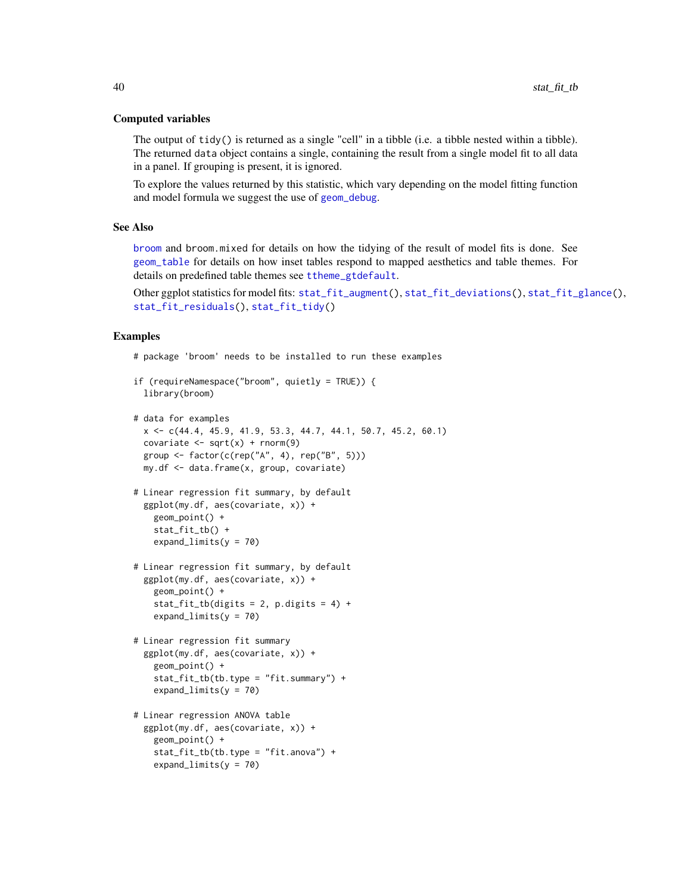#### Computed variables

The output of  $tidy()$  is returned as a single "cell" in a tibble (i.e. a tibble nested within a tibble). The returned data object contains a single, containing the result from a single model fit to all data in a panel. If grouping is present, it is ignored.

To explore the values returned by this statistic, which vary depending on the model fitting function and model formula we suggest the use of [geom\\_debug](#page-6-0).

### See Also

[broom](#page-0-0) and broom.mixed for details on how the tidying of the result of model fits is done. See [geom\\_table](#page-0-0) for details on how inset tables respond to mapped aesthetics and table themes. For details on predefined table themes see [ttheme\\_gtdefault](#page-0-0).

```
Other ggplot statistics for model fits: stat_fit_augment(), stat_fit_deviations(), stat_fit_glance(),
stat_fit_residuals(), stat_fit_tidy()
```
#### Examples

# package 'broom' needs to be installed to run these examples

```
if (requireNamespace("broom", quietly = TRUE)) {
 library(broom)
```

```
# data for examples
```

```
x <- c(44.4, 45.9, 41.9, 53.3, 44.7, 44.1, 50.7, 45.2, 60.1)
covariate \leq sqrt(x) + rnorm(9)
group \leq factor(c(rep("A", 4), rep("B", 5)))
my.df <- data.frame(x, group, covariate)
```

```
# Linear regression fit summary, by default
 ggplot(my.df, aes(covariate, x)) +
   geom_point() +
   stat_fit_tb() +
   expand_limits(y = 70)
```

```
# Linear regression fit summary, by default
 ggplot(my.df, aes(covariate, x)) +
   geom_point() +
   stat_fit_tb(digits = 2, p.digits = 4) +expand_limits(y = 70)
```

```
# Linear regression fit summary
 ggplot(my.df, aes(covariate, x)) +
   geom_point() +
   stat_fit_tb(tb.type = "fit.summary") +
   expand_limits(y = 70)
```

```
# Linear regression ANOVA table
 ggplot(my.df, aes(covariate, x)) +
   geom_point() +
   stat_fit_tb(tb.type = "fit.anova") +
   expand_limits(y = 70)
```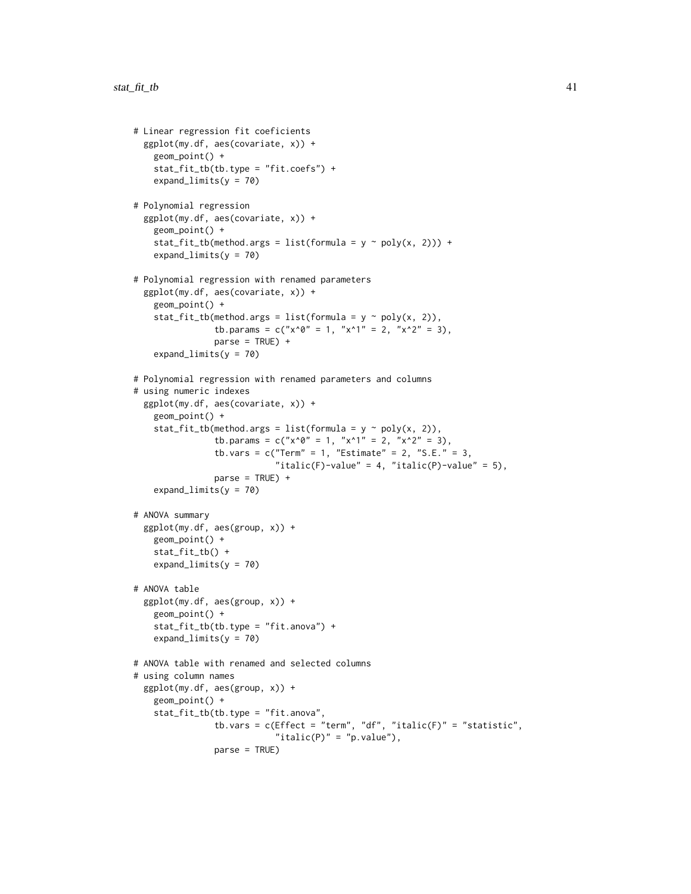```
# Linear regression fit coeficients
 ggplot(my.df, aes(covariate, x)) +
   geom_point() +
    stat_fit_tb(tb.type = "fit.coefs") +
   expand_limits(y = 70)
# Polynomial regression
 ggplot(my.df, aes(covariate, x)) +
   geom_point() +
   stat_fit_tb(method.args = list(formula = y \sim poly(x, 2))) +
    expand_limits(y = 70)
# Polynomial regression with renamed parameters
 ggplot(my.df, aes(covariate, x)) +
   geom_point() +
    stat_fit_tb(method.args = list(formula = y \sim poly(x, 2)),
                tb.params = c("x^0" = 1, "x^1" = 2, "x^2" = 3),
                parse = TRUE) +
    expand_limits(y = 70)
# Polynomial regression with renamed parameters and columns
# using numeric indexes
 ggplot(my.df, aes(covariate, x)) +
   geom_point() +
    stat_fit_tb(method.args = list(formula = y \sim poly(x, 2)),
                tb.params = c("x^0" = 1, "x^1" = 2, "x^2" = 3),
                tb.vars = c("Term" = 1, "Estimate" = 2, "S.E." = 3,"italic(F)-value" = 4, "italic(P)-value" = 5),
                parse = TRUE) +
    expand_limits(y = 70)
# ANOVA summary
 ggplot(my.df, aes(group, x)) +
   geom_point() +
   stat_fit_tb() +
   expand_limits(y = 70)
# ANOVA table
 ggplot(my.df, aes(group, x)) +
    geom_point() +
    stat_fit_tb(tb.type = "fit.anova") +
    expand_limits(y = 70)
# ANOVA table with renamed and selected columns
# using column names
 ggplot(my.df, aes(group, x)) +
   geom_point() +
    stat_fit_tb(tb.type = "fit.anova",
                tb.vars = c(Effect = "term", "df", "italic(F)" = "statistic","italic(P)" = "p.value"),parse = TRUE)
```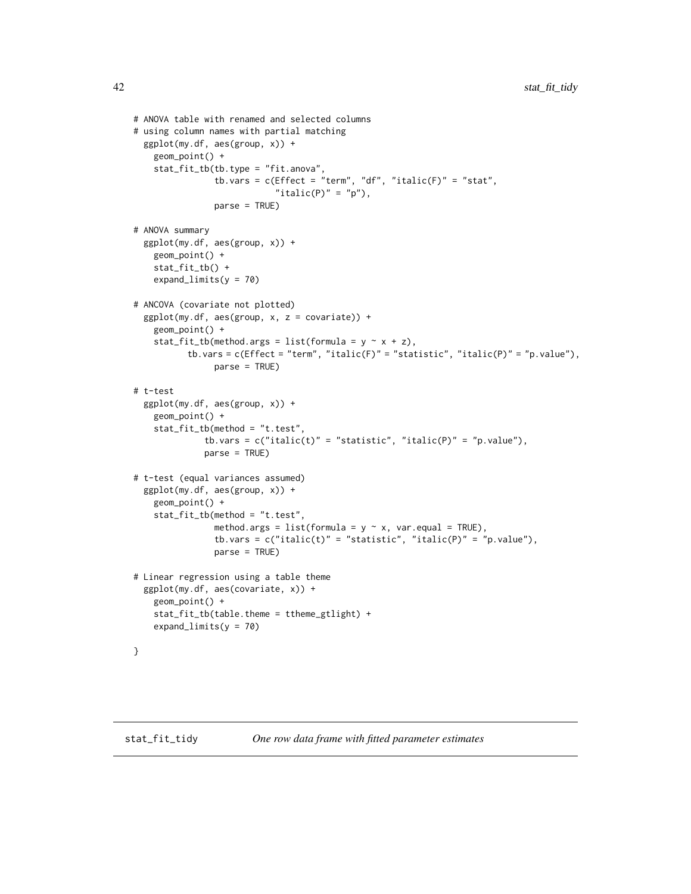```
# ANOVA table with renamed and selected columns
# using column names with partial matching
 ggplot(my.df, aes(group, x)) +
   geom_point() +
   stat_fit_tb(tb.type = "fit.anova",
                tb.vars = c(Effect = "term", "df", "italic(F)" = "stat","italic(P)" = "p"),
                parse = TRUE)
# ANOVA summary
 ggplot(my.df, aes(group, x)) +
   geom_point() +
    stat_fit_tb() +
    expand_limits(y = 70)
# ANCOVA (covariate not plotted)
 ggplot(my.df, aes(group, x, z = covariate)) +
   geom_point() +
    stat_fit_tb(method.args = list(formula = y \sim x + z),
          tb.vars = c(Effect = "term", "italic(F)" = "statistic", "italic(P)" = "p.value"),parse = TRUE)
# t-test
 ggplot(my.df, aes(group, x)) +
   geom_point() +
    stat_fit_tb(method = "t.test",
              tb.vars = c("italic(t)" = "statistic", "italic(P)" = "p.value"),parse = TRUE)
# t-test (equal variances assumed)
 ggplot(my.df, aes(group, x)) +
   geom_point() +
    stat_fit_tb(method = "t.test",
                method.args = list(formula = y \sim x, var.equal = TRUE),
                tb.vars = c("italic(t)" = "statistic", "italic(P)" = "p.value"),parse = TRUE)
# Linear regression using a table theme
 ggplot(my.df, aes(covariate, x)) +
   geom_point() +
    stat_fit_tb(table.theme = ttheme_gtlight) +
    expand_limits(y = 70)
}
```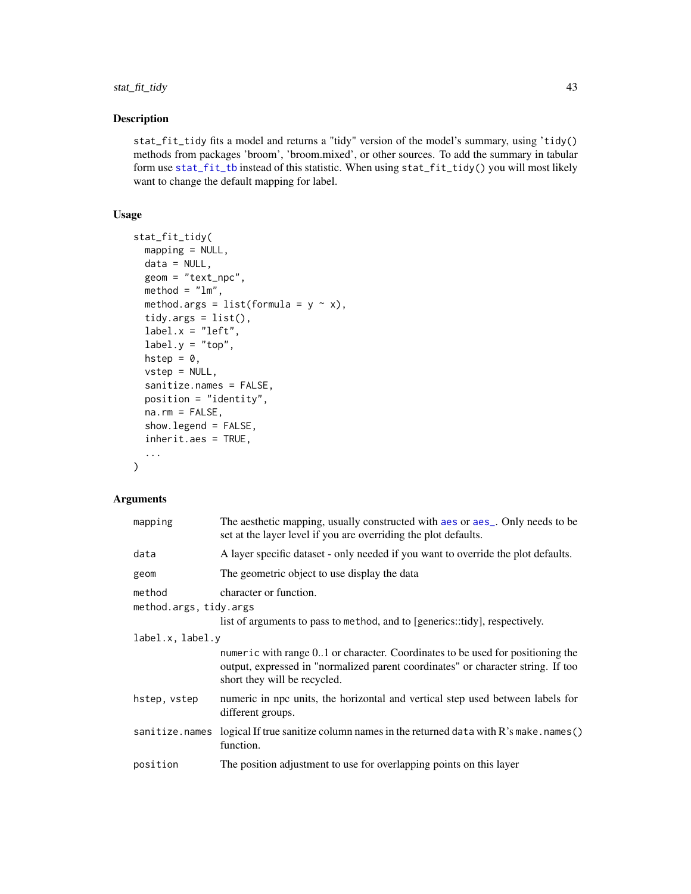# stat\_fit\_tidy 43

# Description

stat\_fit\_tidy fits a model and returns a "tidy" version of the model's summary, using 'tidy() methods from packages 'broom', 'broom.mixed', or other sources. To add the summary in tabular form use [stat\\_fit\\_tb](#page-36-0) instead of this statistic. When using stat\_fit\_tidy() you will most likely want to change the default mapping for label.

### Usage

```
stat_fit_tidy(
 mapping = NULL,data = NULL,geom = "text_npc",
 \text{method} = "lm",method.args = list(formula = y \sim x),
 tidy.args = list(),
  label.x = "left",label.y = "top",hstep = \theta,
 vstep = NULL,
  sanitize.names = FALSE,
 position = "identity",
 na.rm = FALSE,
  show.legend = FALSE,
  inherit.aes = TRUE,
  ...
\mathcal{L}
```

| mapping                | The aesthetic mapping, usually constructed with aes or aes <sub>-</sub> . Only needs to be<br>set at the layer level if you are overriding the plot defaults.                                      |
|------------------------|----------------------------------------------------------------------------------------------------------------------------------------------------------------------------------------------------|
| data                   | A layer specific dataset - only needed if you want to override the plot defaults.                                                                                                                  |
| geom                   | The geometric object to use display the data                                                                                                                                                       |
| method                 | character or function.                                                                                                                                                                             |
| method.args, tidy.args |                                                                                                                                                                                                    |
|                        | list of arguments to pass to method, and to [generics::tidy], respectively.                                                                                                                        |
| label.x, label.y       |                                                                                                                                                                                                    |
|                        | numeric with range 01 or character. Coordinates to be used for positioning the<br>output, expressed in "normalized parent coordinates" or character string. If too<br>short they will be recycled. |
| hstep, vstep           | numeric in npc units, the horizontal and vertical step used between labels for<br>different groups.                                                                                                |
| sanitize.names         | logical If true sanitize column names in the returned data with R's make.names()<br>function.                                                                                                      |
| position               | The position adjustment to use for overlapping points on this layer                                                                                                                                |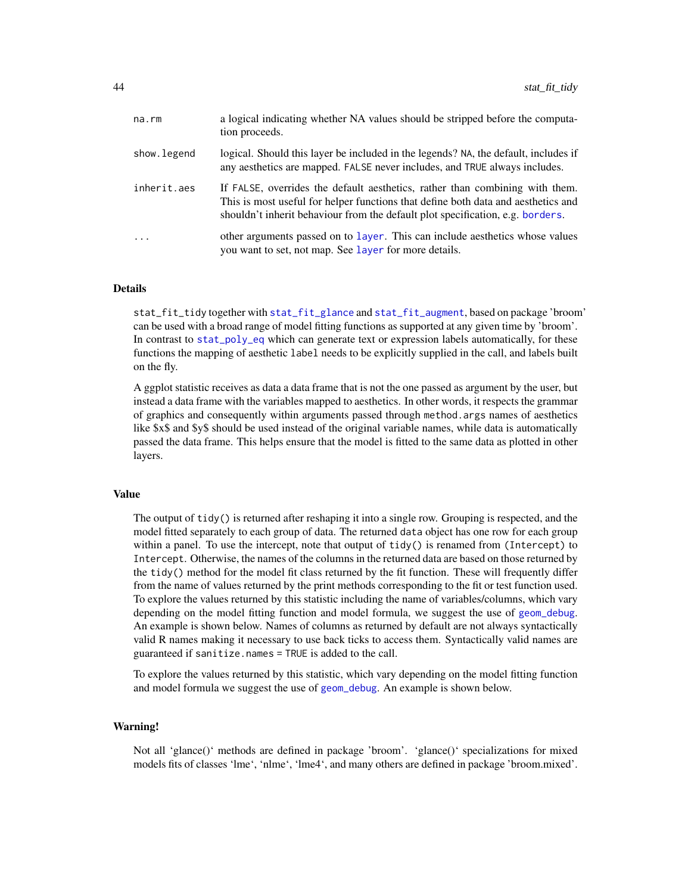| na.rm       | a logical indicating whether NA values should be stripped before the computa-<br>tion proceeds.                                                                                                                                                     |
|-------------|-----------------------------------------------------------------------------------------------------------------------------------------------------------------------------------------------------------------------------------------------------|
| show.legend | logical. Should this layer be included in the legends? NA, the default, includes if<br>any aesthetics are mapped. FALSE never includes, and TRUE always includes.                                                                                   |
| inherit.aes | If FALSE, overrides the default aesthetics, rather than combining with them.<br>This is most useful for helper functions that define both data and aesthetics and<br>shouldn't inherit behaviour from the default plot specification, e.g. borders. |
| $\ddots$ .  | other arguments passed on to layer. This can include aesthetics whose values<br>you want to set, not map. See layer for more details.                                                                                                               |

stat\_fit\_tidy together with [stat\\_fit\\_glance](#page-29-0) and [stat\\_fit\\_augment](#page-22-0), based on package 'broom' can be used with a broad range of model fitting functions as supported at any given time by 'broom'. In contrast to [stat\\_poly\\_eq](#page-60-0) which can generate text or expression labels automatically, for these functions the mapping of aesthetic label needs to be explicitly supplied in the call, and labels built on the fly.

A ggplot statistic receives as data a data frame that is not the one passed as argument by the user, but instead a data frame with the variables mapped to aesthetics. In other words, it respects the grammar of graphics and consequently within arguments passed through method.args names of aesthetics like \$x\$ and \$y\$ should be used instead of the original variable names, while data is automatically passed the data frame. This helps ensure that the model is fitted to the same data as plotted in other layers.

#### Value

The output of  $\text{tidy}()$  is returned after reshaping it into a single row. Grouping is respected, and the model fitted separately to each group of data. The returned data object has one row for each group within a panel. To use the intercept, note that output of tidy() is renamed from (Intercept) to Intercept. Otherwise, the names of the columns in the returned data are based on those returned by the tidy() method for the model fit class returned by the fit function. These will frequently differ from the name of values returned by the print methods corresponding to the fit or test function used. To explore the values returned by this statistic including the name of variables/columns, which vary depending on the model fitting function and model formula, we suggest the use of [geom\\_debug](#page-6-0). An example is shown below. Names of columns as returned by default are not always syntactically valid R names making it necessary to use back ticks to access them. Syntactically valid names are guaranteed if sanitize.names = TRUE is added to the call.

To explore the values returned by this statistic, which vary depending on the model fitting function and model formula we suggest the use of [geom\\_debug](#page-6-0). An example is shown below.

### Warning!

Not all 'glance()' methods are defined in package 'broom'. 'glance()' specializations for mixed models fits of classes 'lme', 'nlme', 'lme4', and many others are defined in package 'broom.mixed'.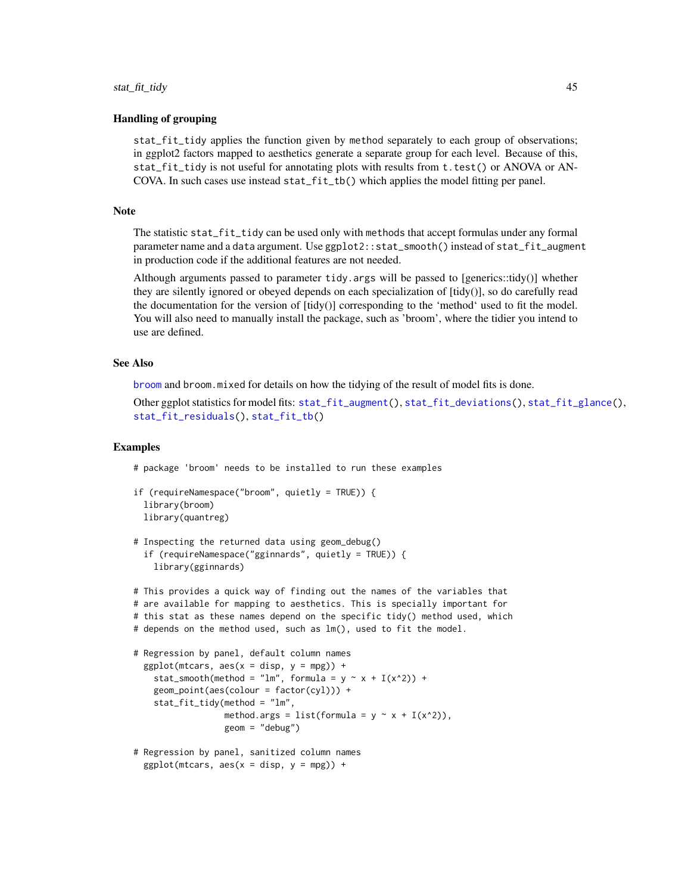### Handling of grouping

stat\_fit\_tidy applies the function given by method separately to each group of observations; in ggplot2 factors mapped to aesthetics generate a separate group for each level. Because of this, stat\_fit\_tidy is not useful for annotating plots with results from t.test() or ANOVA or AN-COVA. In such cases use instead stat\_fit\_tb() which applies the model fitting per panel.

#### Note

The statistic stat\_fit\_tidy can be used only with methods that accept formulas under any formal parameter name and a data argument. Use ggplot2::stat\_smooth() instead of stat\_fit\_augment in production code if the additional features are not needed.

Although arguments passed to parameter tidy.args will be passed to [generics::tidy()] whether they are silently ignored or obeyed depends on each specialization of [tidy()], so do carefully read the documentation for the version of [tidy()] corresponding to the 'method' used to fit the model. You will also need to manually install the package, such as 'broom', where the tidier you intend to use are defined.

### See Also

[broom](#page-0-0) and broom.mixed for details on how the tidying of the result of model fits is done.

Other ggplot statistics for model fits: [stat\\_fit\\_augment\(](#page-22-0)), [stat\\_fit\\_deviations\(](#page-25-0)), [stat\\_fit\\_glance\(](#page-29-0)), [stat\\_fit\\_residuals\(](#page-33-0)), [stat\\_fit\\_tb\(](#page-36-0))

### Examples

# package 'broom' needs to be installed to run these examples

```
if (requireNamespace("broom", quietly = TRUE)) {
 library(broom)
 library(quantreg)
```

```
# Inspecting the returned data using geom_debug()
 if (requireNamespace("gginnards", quietly = TRUE)) {
   library(gginnards)
```

```
# This provides a quick way of finding out the names of the variables that
# are available for mapping to aesthetics. This is specially important for
# this stat as these names depend on the specific tidy() method used, which
# depends on the method used, such as lm(), used to fit the model.
# Regression by panel, default column names
 ggplot(mtcars, aes(x = disp, y = mp)) +stat_smooth(method = "lm", formula = y \sim x + I(x^2)) +
    geom\_point(aes(colour = factor(cyl))) +
    stat_fit_tidy(method = "lm",
                  method.args = list(formula = y \sim x + I(x^2)),
                  geom = "debug")
# Regression by panel, sanitized column names
```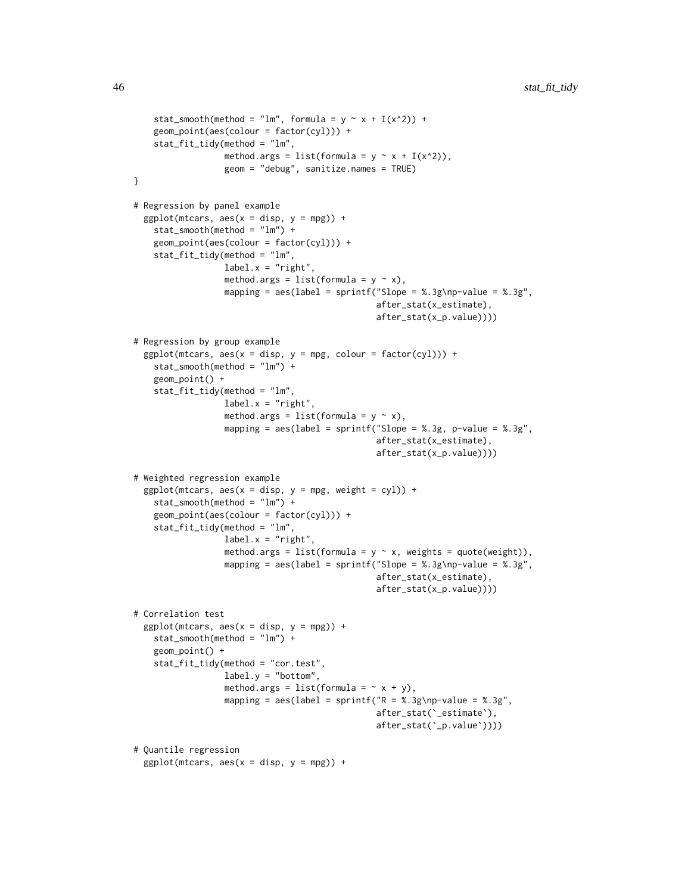```
stat_smooth(method = "lm", formula = y \sim x + I(x^2)) +
    geom_point(aes(colour = factor(cyl))) +
    stat_fit_tidy(method = "lm",
                  method.args = list(formula = y \sim x + I(x^2)),
                  geom = "debug", sanitize.names = TRUE)
}
# Regression by panel example
  ggplot(mtcars, aes(x = disp, y = mp)) +
    stat_smooth(method = "lm") +
    geom_point(aes(colour = factor(cyl))) +
    stat_fit_tidy(method = "lm",
                  label.x = "right",method.args = list(formula = y \sim x),
                  mapping = aes(label = sprintf("Slope = %.3g\nmp-value = %.3g",after_stat(x_estimate),
                                                after_stat(x_p.value))))
# Regression by group example
  ggplot(mtcars, aes(x = disp, y = mpg, colour = factor(cyl))) +stat_smooth(method = "lm") +
    geom_point() +
    stat_fit_tidy(method = "lm",
                  label.x = "right",method.args = list(formula = y \sim x),
                  mapping = aes(label = sprintf("Slope = %.3g, p-value = %.3g",after_stat(x_estimate),
                                                after_stat(x_p.value))))
# Weighted regression example
  ggplot(mtcars, aes(x = disp, y = mpg, weight = cyl)) +stat_smooth(method = "lm") +
    geom_point(aes(colour = factor(cyl))) +
    stat_fit_tidy(method = "lm",
                  label.x = "right",method.args = list(formula = y \sim x, weights = quote(weight)),
                  mapping = aes(label = sprintf("Slope = %.3g\nmp-value = %.3g",after_stat(x_estimate),
                                                after_stat(x_p.value))))
# Correlation test
  ggplot(mtcars, aes(x = disp, y = mp)) +stat_smooth(method = "lm") +
    geom_point() +
    stat_fit_tidy(method = "cor.test",
                  label.y = "bottom",
                  method.args = list(formula = ~x + y),
                  mapping = aes(label = sprintf("R = %.3g\npp-value = %.3g",after_stat(`_estimate`),
                                                after_stat(`_p.value`))))
# Quantile regression
  ggplot(mtcars, aes(x = disp, y = mp)) +
```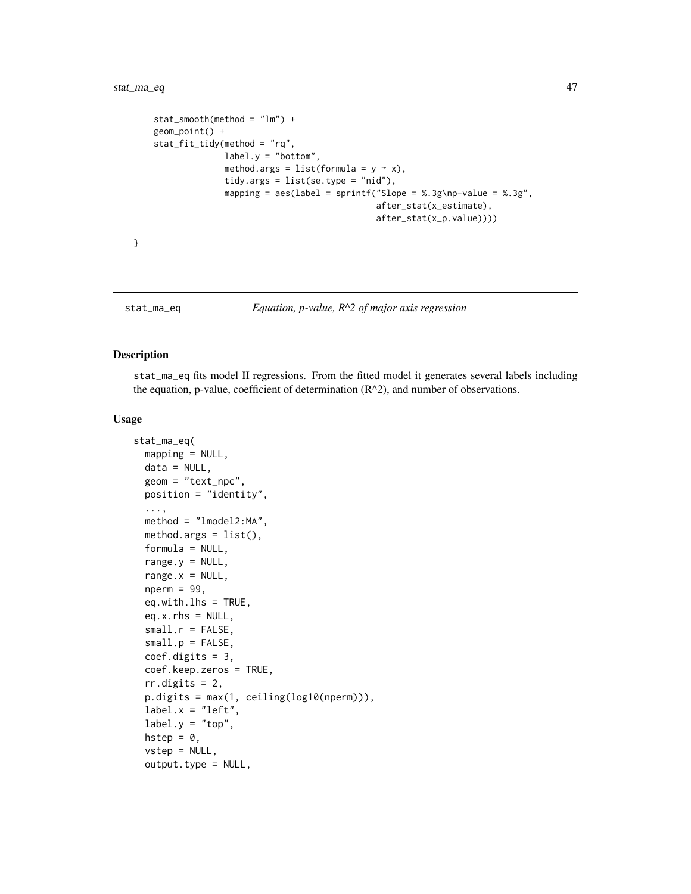```
stat_smooth(method = "lm") +
geom_point() +
stat_fit_tidy(method = "rq",
              label.y = "bottom",
              method.args = list(formula = y \sim x),
              tidy.args = list(se.type = "nid"),
              mapping = aes(label = sprintf("Slope = %.3g\nmp-value = %.3g",after_stat(x_estimate),
                                             after_stat(x_p.value))))
```
}

### <span id="page-46-0"></span>stat\_ma\_eq *Equation, p-value, R^2 of major axis regression*

### Description

stat\_ma\_eq fits model II regressions. From the fitted model it generates several labels including the equation, p-value, coefficient of determination  $(R^2)$ , and number of observations.

#### Usage

```
stat_ma_eq(
 mapping = NULL,
 data = NULL,geom = "text_npc",
 position = "identity",
  ...,
 method = "lmodel2:MA",method.args = list(),
  formula = NULL,
 range.y = NULL,range.x = NULL,
  nperm = 99,eq.with.lhs = TRUE,
 eq.x.rhs = NULL,small.r = FALSE,small.p = FALSE,coef.digits = 3,coef.keep.zeros = TRUE,
  rr.digits = 2,
 p.digits = max(1, ceiling(log10(nperm))),
  label.x = "left",label.y = "top",hstep = 0,
  vstep = NULL,output.type = NULL,
```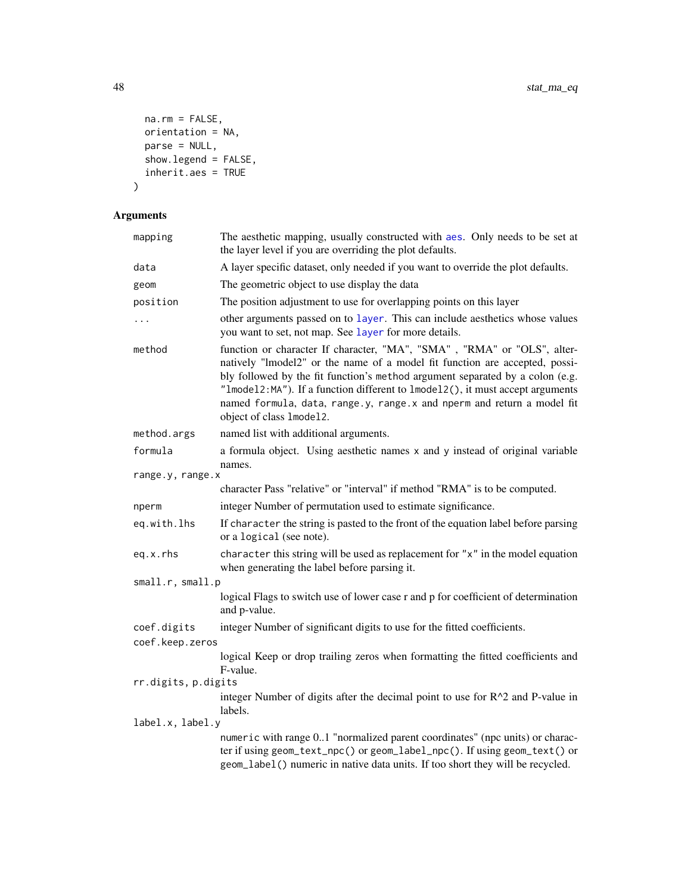```
na.rm = FALSE,orientation = NA,
 parse = NULL,
 show.legend = FALSE,inherit.aes = TRUE
\mathcal{L}
```

| mapping          | The aesthetic mapping, usually constructed with aes. Only needs to be set at<br>the layer level if you are overriding the plot defaults.                                                                                                                                                                                                                                                                                       |  |  |
|------------------|--------------------------------------------------------------------------------------------------------------------------------------------------------------------------------------------------------------------------------------------------------------------------------------------------------------------------------------------------------------------------------------------------------------------------------|--|--|
| data             | A layer specific dataset, only needed if you want to override the plot defaults.                                                                                                                                                                                                                                                                                                                                               |  |  |
| geom             | The geometric object to use display the data                                                                                                                                                                                                                                                                                                                                                                                   |  |  |
| position         | The position adjustment to use for overlapping points on this layer                                                                                                                                                                                                                                                                                                                                                            |  |  |
| $\cdots$         | other arguments passed on to layer. This can include aesthetics whose values<br>you want to set, not map. See layer for more details.                                                                                                                                                                                                                                                                                          |  |  |
| method           | function or character If character, "MA", "SMA", "RMA" or "OLS", alter-<br>natively "lmodel2" or the name of a model fit function are accepted, possi-<br>bly followed by the fit function's method argument separated by a colon (e.g.<br>"Imodel2:MA"). If a function different to 1model2(), it must accept arguments<br>named formula, data, range.y, range.x and nperm and return a model fit<br>object of class 1mode12. |  |  |
| method.args      | named list with additional arguments.                                                                                                                                                                                                                                                                                                                                                                                          |  |  |
| formula          | a formula object. Using aesthetic names x and y instead of original variable<br>names.                                                                                                                                                                                                                                                                                                                                         |  |  |
| range.y, range.x |                                                                                                                                                                                                                                                                                                                                                                                                                                |  |  |
|                  | character Pass "relative" or "interval" if method "RMA" is to be computed.                                                                                                                                                                                                                                                                                                                                                     |  |  |
| nperm            | integer Number of permutation used to estimate significance.                                                                                                                                                                                                                                                                                                                                                                   |  |  |
| eq.with.lhs      | If character the string is pasted to the front of the equation label before parsing<br>or a logical (see note).                                                                                                                                                                                                                                                                                                                |  |  |
| eq.x.rhs         | character this string will be used as replacement for "x" in the model equation<br>when generating the label before parsing it.                                                                                                                                                                                                                                                                                                |  |  |
| small.r, small.p |                                                                                                                                                                                                                                                                                                                                                                                                                                |  |  |
|                  | logical Flags to switch use of lower case r and p for coefficient of determination<br>and p-value.                                                                                                                                                                                                                                                                                                                             |  |  |
| coef.digits      | integer Number of significant digits to use for the fitted coefficients.                                                                                                                                                                                                                                                                                                                                                       |  |  |
| coef.keep.zeros  |                                                                                                                                                                                                                                                                                                                                                                                                                                |  |  |
|                  | logical Keep or drop trailing zeros when formatting the fitted coefficients and<br>F-value.                                                                                                                                                                                                                                                                                                                                    |  |  |
|                  | rr.digits, p.digits                                                                                                                                                                                                                                                                                                                                                                                                            |  |  |
|                  | integer Number of digits after the decimal point to use for R^2 and P-value in<br>labels.                                                                                                                                                                                                                                                                                                                                      |  |  |
| label.x, label.y |                                                                                                                                                                                                                                                                                                                                                                                                                                |  |  |
|                  | numeric with range 01 "normalized parent coordinates" (npc units) or charac-<br>ter if using geom_text_npc() or geom_label_npc(). If using geom_text() or<br>geom_label() numeric in native data units. If too short they will be recycled.                                                                                                                                                                                    |  |  |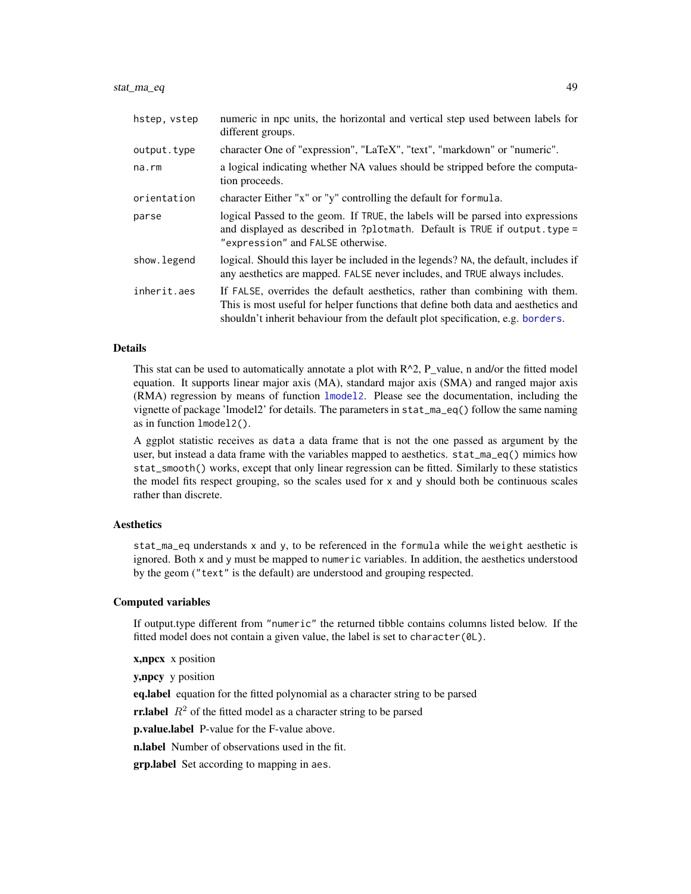| hstep, vstep | numeric in npc units, the horizontal and vertical step used between labels for<br>different groups.                                                                                                                                                 |
|--------------|-----------------------------------------------------------------------------------------------------------------------------------------------------------------------------------------------------------------------------------------------------|
| output.type  | character One of "expression", "LaTeX", "text", "markdown" or "numeric".                                                                                                                                                                            |
| na.rm        | a logical indicating whether NA values should be stripped before the computa-<br>tion proceeds.                                                                                                                                                     |
| orientation  | character Either "x" or "y" controlling the default for formula.                                                                                                                                                                                    |
| parse        | logical Passed to the geom. If TRUE, the labels will be parsed into expressions<br>and displayed as described in ?plotmath. Default is TRUE if output. type =<br>"expression" and FALSE otherwise.                                                  |
| show. legend | logical. Should this layer be included in the legends? NA, the default, includes if<br>any aesthetics are mapped. FALSE never includes, and TRUE always includes.                                                                                   |
| inherit.aes  | If FALSE, overrides the default aesthetics, rather than combining with them.<br>This is most useful for helper functions that define both data and aesthetics and<br>shouldn't inherit behaviour from the default plot specification, e.g. borders. |

This stat can be used to automatically annotate a plot with  $R^2$ , P\_value, n and/or the fitted model equation. It supports linear major axis (MA), standard major axis (SMA) and ranged major axis (RMA) regression by means of function [lmodel2](#page-0-0). Please see the documentation, including the vignette of package 'lmodel2' for details. The parameters in stat\_ma\_eq() follow the same naming as in function lmodel2().

A ggplot statistic receives as data a data frame that is not the one passed as argument by the user, but instead a data frame with the variables mapped to aesthetics. stat\_ma\_eq() mimics how stat\_smooth() works, except that only linear regression can be fitted. Similarly to these statistics the model fits respect grouping, so the scales used for x and y should both be continuous scales rather than discrete.

### Aesthetics

stat\_ma\_eq understands x and y, to be referenced in the formula while the weight aesthetic is ignored. Both x and y must be mapped to numeric variables. In addition, the aesthetics understood by the geom ("text" is the default) are understood and grouping respected.

# Computed variables

If output.type different from "numeric" the returned tibble contains columns listed below. If the fitted model does not contain a given value, the label is set to character(0L).

x,npcx x position

y,npcy y position

eq.label equation for the fitted polynomial as a character string to be parsed

**rr.label**  $R^2$  of the fitted model as a character string to be parsed

p.value.label P-value for the F-value above.

n.label Number of observations used in the fit.

grp.label Set according to mapping in aes.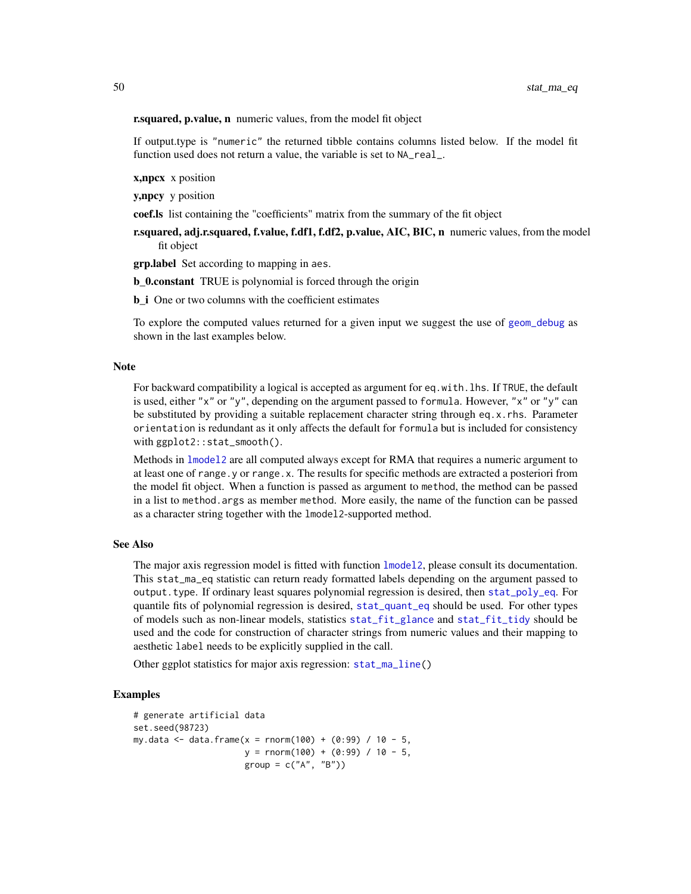r.squared, p.value, n numeric values, from the model fit object

If output.type is "numeric" the returned tibble contains columns listed below. If the model fit function used does not return a value, the variable is set to NA\_real\_.

x,npcx x position

y,npcy y position

coef.ls list containing the "coefficients" matrix from the summary of the fit object

r.squared, adj.r.squared, f.value, f.df1, f.df2, p.value, AIC, BIC, n numeric values, from the model fit object

**grp. label** Set according to mapping in aes.

**b** 0.constant TRUE is polynomial is forced through the origin

**b\_i** One or two columns with the coefficient estimates

To explore the computed values returned for a given input we suggest the use of [geom\\_debug](#page-6-0) as shown in the last examples below.

#### Note

For backward compatibility a logical is accepted as argument for eq.with.lhs. If TRUE, the default is used, either "x" or "y", depending on the argument passed to formula. However, "x" or "y" can be substituted by providing a suitable replacement character string through eq.x.rhs. Parameter orientation is redundant as it only affects the default for formula but is included for consistency with ggplot2::stat\_smooth().

Methods in 1mode12 are all computed always except for RMA that requires a numeric argument to at least one of range.y or range.x. The results for specific methods are extracted a posteriori from the model fit object. When a function is passed as argument to method, the method can be passed in a list to method.args as member method. More easily, the name of the function can be passed as a character string together with the lmodel2-supported method.

### See Also

The major axis regression model is fitted with function [lmodel2](#page-0-0), please consult its documentation. This stat\_ma\_eq statistic can return ready formatted labels depending on the argument passed to output.type. If ordinary least squares polynomial regression is desired, then [stat\\_poly\\_eq](#page-60-0). For quantile fits of polynomial regression is desired, [stat\\_quant\\_eq](#page-74-0) should be used. For other types of models such as non-linear models, statistics [stat\\_fit\\_glance](#page-29-0) and [stat\\_fit\\_tidy](#page-41-0) should be used and the code for construction of character strings from numeric values and their mapping to aesthetic label needs to be explicitly supplied in the call.

Other ggplot statistics for major axis regression: [stat\\_ma\\_line\(](#page-52-0))

### Examples

```
# generate artificial data
set.seed(98723)
my.data <- data.frame(x = rnorm(100) + (0:99) / 10 - 5,
                     y = rnorm(100) + (0:99) / 10 - 5,
                     group = c("A", "B")
```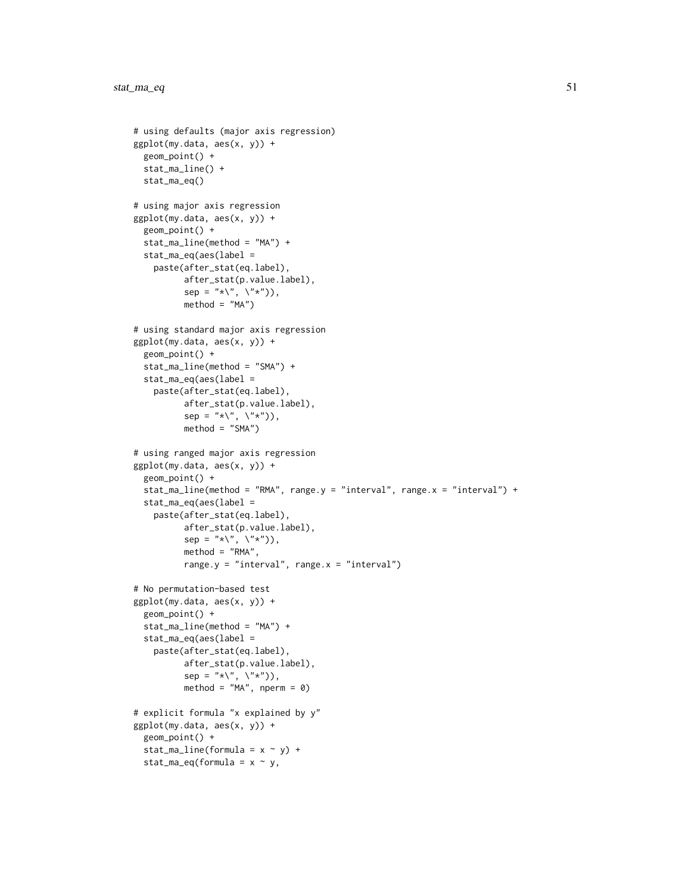```
# using defaults (major axis regression)
ggplot(my.data, aes(x, y)) +
 geom_point() +
 stat_ma_line() +
 stat_ma_eq()
# using major axis regression
ggplot(my.data, aes(x, y)) +geom_point() +
 stat_ma_line(method = "MA") +
 stat_ma_eq(aes(label =
    paste(after_stat(eq.label),
          after_stat(p.value.label),
          sep = "*\`', \`\`", \`method = "MA")
# using standard major axis regression
ggplot(my.data, aes(x, y)) +
 geom_point() +
 stat_ma_line(method = "SMA") +
 stat_ma_eq(aes(label =
    paste(after_stat(eq.label),
          after_stat(p.value.label),
          sep = "*\`', \`\`', \`method = "SMA")
# using ranged major axis regression
ggplot(my.data, aes(x, y)) +
 geom_point() +
 stat_ma_line(method = "RMA", range.y = "interval", range.x = "interval") +
 stat_ma_eq(aes(label =
    paste(after_stat(eq.label),
          after_stat(p.value.label),
          sep = "*\`', \`\`', \`method = "RMA",range.y = "interval", range.x = "interval")
# No permutation-based test
ggplot(my.data, aes(x, y)) +geom_point() +
 stat_ma_line(method = "MA") +
 stat_ma_eq(aes(label =
    paste(after_stat(eq.label),
          after_stat(p.value.label),
          sep = "*\`', \`\`', \`\`'')),
          method = ^{\prime\prime}MA^{\prime\prime}, nperm = 0)
# explicit formula "x explained by y"
ggplot(my.data, aes(x, y)) +
 geom_point() +
 stat_ma_line(formula = x \sim y) +
 stat_ma_eq(formula = x \sim y,
```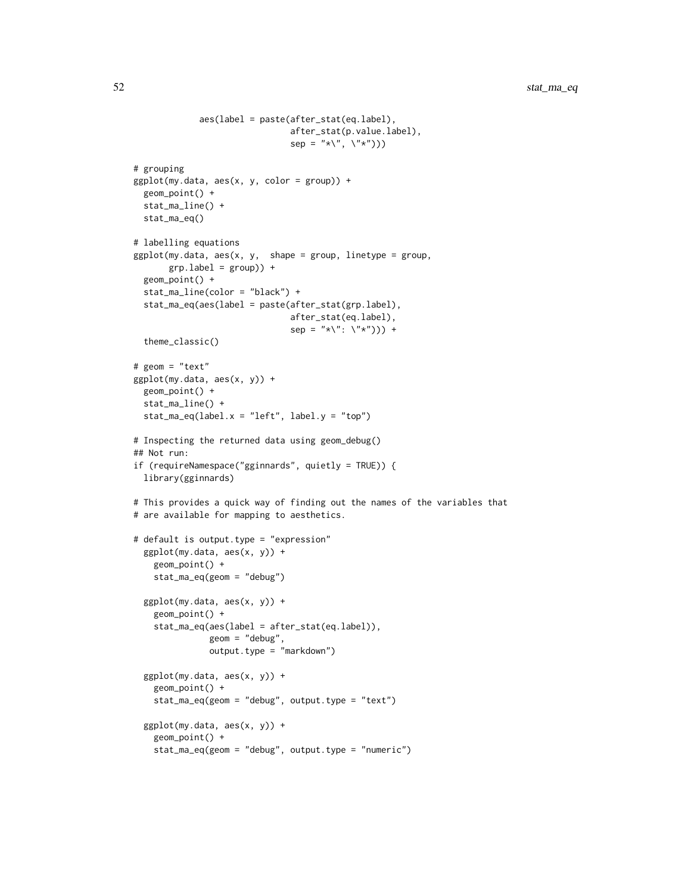```
aes(label = paste(after_stat(eq.label),
                               after_stat(p.value.label),
                               sep = "*\`', \`\`''# grouping
ggplot(my.data, aes(x, y, color = group)) +geom_point() +
 stat_ma_line() +
 stat_ma_eq()
# labelling equations
ggplot(my.data, aes(x, y, shape = group, linetype = group,grp.label = group) +
 geom_point() +
 stat_ma_line(color = "black") +
 stat_ma_eq(aes(label = paste(after_stat(grp.label),
                               after_stat(eq.label),
                               sep = "*\`' : \`'\`'')) +
 theme_classic()
# geom = "text"
ggplot(my.data, aes(x, y)) +
 geom_point() +
 stat_ma_line() +
 stat_ma_eq(label.x = "left", label.y = "top")
# Inspecting the returned data using geom_debug()
## Not run:
if (requireNamespace("gginnards", quietly = TRUE)) {
 library(gginnards)
# This provides a quick way of finding out the names of the variables that
# are available for mapping to aesthetics.
# default is output.type = "expression"
 ggplot(my.data, aes(x, y)) +
   geom_point() +
   stat_ma_eq(geom = "debug")
 ggplot(my.data, aes(x, y)) +geom_point() +
    stat_ma_eq(aes(label = after_stat(eq.label)),
               geom = "debug",
               output.type = "markdown")
 ggplot(my.data, aes(x, y)) +
   geom_point() +
    stat_ma_eq(geom = "debug", output.type = "text")
 ggplot(my.data, aes(x, y)) +
   geom_point() +
    stat_ma_eq(geom = "debug", output.type = "numeric")
```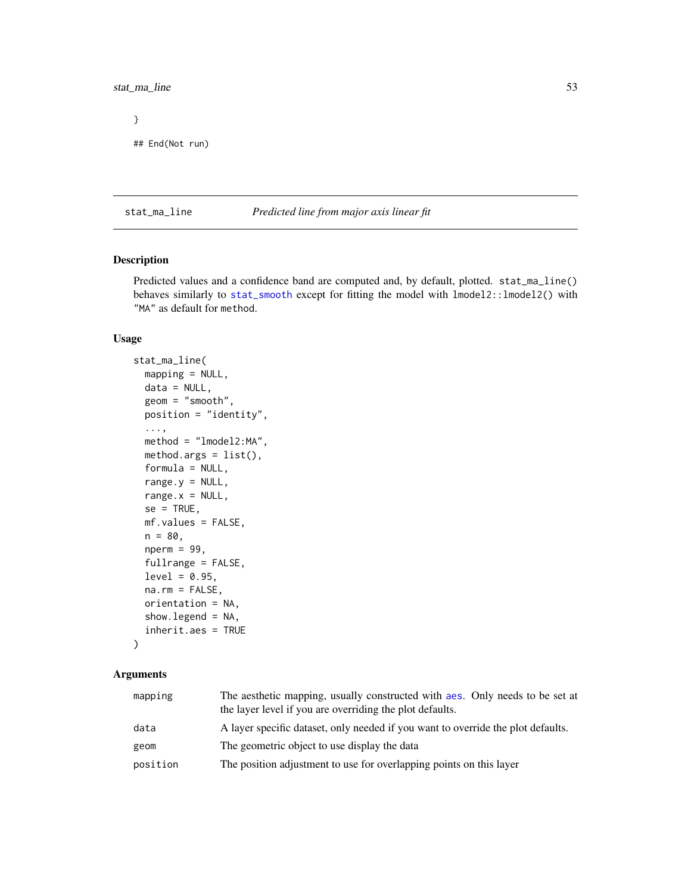# stat\_ma\_line 53

} ## End(Not run)

<span id="page-52-0"></span>stat\_ma\_line *Predicted line from major axis linear fit*

# Description

Predicted values and a confidence band are computed and, by default, plotted. stat\_ma\_line() behaves similarly to [stat\\_smooth](#page-0-0) except for fitting the model with lmodel2::lmodel2() with "MA" as default for method.

### Usage

```
stat_ma_line(
  mapping = NULL,
 data = NULL,geom = "smooth",
 position = "identity",
  ...,
 method = "lmodel2:MA",
 method.args = list(),
  formula = NULL,
  range.y = NULL,
  range.x = NULL,
  se = TRUE,mf.values = FALSE,
 n = 80,
 nperm = 99,fullrange = FALSE,
  level = 0.95,na.rm = FALSE,
 orientation = NA,
  show. legend = NA,
  inherit.aes = TRUE
)
```

| mapping  | The aesthetic mapping, usually constructed with aes. Only needs to be set at<br>the layer level if you are overriding the plot defaults. |
|----------|------------------------------------------------------------------------------------------------------------------------------------------|
| data     | A layer specific dataset, only needed if you want to override the plot defaults.                                                         |
| geom     | The geometric object to use display the data                                                                                             |
| position | The position adjustment to use for overlapping points on this layer                                                                      |
|          |                                                                                                                                          |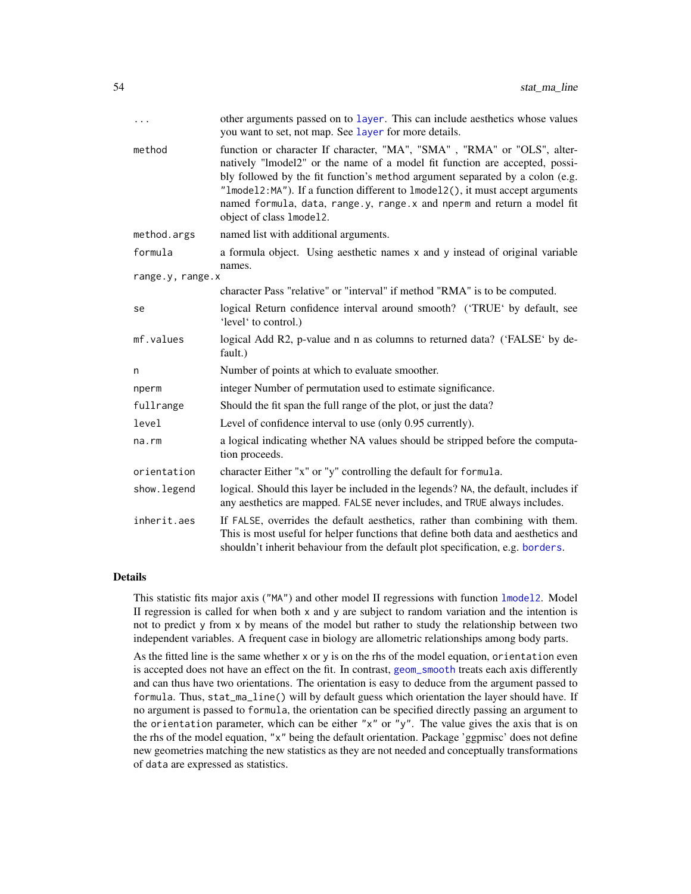| .                | other arguments passed on to layer. This can include aesthetics whose values<br>you want to set, not map. See layer for more details.                                                                                                                                                                                                                                                                                           |
|------------------|---------------------------------------------------------------------------------------------------------------------------------------------------------------------------------------------------------------------------------------------------------------------------------------------------------------------------------------------------------------------------------------------------------------------------------|
| method           | function or character If character, "MA", "SMA", "RMA" or "OLS", alter-<br>natively "lmodel2" or the name of a model fit function are accepted, possi-<br>bly followed by the fit function's method argument separated by a colon (e.g.<br>"Imodel2: MA"). If a function different to 1model2(), it must accept arguments<br>named formula, data, range.y, range.x and nperm and return a model fit<br>object of class 1mode12. |
| method.args      | named list with additional arguments.                                                                                                                                                                                                                                                                                                                                                                                           |
| formula          | a formula object. Using aesthetic names x and y instead of original variable<br>names.                                                                                                                                                                                                                                                                                                                                          |
| range.y, range.x |                                                                                                                                                                                                                                                                                                                                                                                                                                 |
|                  | character Pass "relative" or "interval" if method "RMA" is to be computed.                                                                                                                                                                                                                                                                                                                                                      |
| se               | logical Return confidence interval around smooth? ('TRUE' by default, see<br>'level' to control.)                                                                                                                                                                                                                                                                                                                               |
| mf.values        | logical Add R2, p-value and n as columns to returned data? ('FALSE' by de-<br>fault.)                                                                                                                                                                                                                                                                                                                                           |
| n                | Number of points at which to evaluate smoother.                                                                                                                                                                                                                                                                                                                                                                                 |
| nperm            | integer Number of permutation used to estimate significance.                                                                                                                                                                                                                                                                                                                                                                    |
| fullrange        | Should the fit span the full range of the plot, or just the data?                                                                                                                                                                                                                                                                                                                                                               |
| level            | Level of confidence interval to use (only 0.95 currently).                                                                                                                                                                                                                                                                                                                                                                      |
| na.rm            | a logical indicating whether NA values should be stripped before the computa-<br>tion proceeds.                                                                                                                                                                                                                                                                                                                                 |
| orientation      | character Either "x" or "y" controlling the default for formula.                                                                                                                                                                                                                                                                                                                                                                |
| show. legend     | logical. Should this layer be included in the legends? NA, the default, includes if<br>any aesthetics are mapped. FALSE never includes, and TRUE always includes.                                                                                                                                                                                                                                                               |
| inherit.aes      | If FALSE, overrides the default aesthetics, rather than combining with them.<br>This is most useful for helper functions that define both data and aesthetics and<br>shouldn't inherit behaviour from the default plot specification, e.g. borders.                                                                                                                                                                             |

This statistic fits major axis ("MA") and other model II regressions with function [lmodel2](#page-0-0). Model II regression is called for when both x and y are subject to random variation and the intention is not to predict y from x by means of the model but rather to study the relationship between two independent variables. A frequent case in biology are allometric relationships among body parts.

As the fitted line is the same whether  $x$  or  $y$  is on the rhs of the model equation, orientation even is accepted does not have an effect on the fit. In contrast, [geom\\_smooth](#page-0-0) treats each axis differently and can thus have two orientations. The orientation is easy to deduce from the argument passed to formula. Thus, stat\_ma\_line() will by default guess which orientation the layer should have. If no argument is passed to formula, the orientation can be specified directly passing an argument to the orientation parameter, which can be either " $x$ " or " $y$ ". The value gives the axis that is on the rhs of the model equation, "x" being the default orientation. Package 'ggpmisc' does not define new geometries matching the new statistics as they are not needed and conceptually transformations of data are expressed as statistics.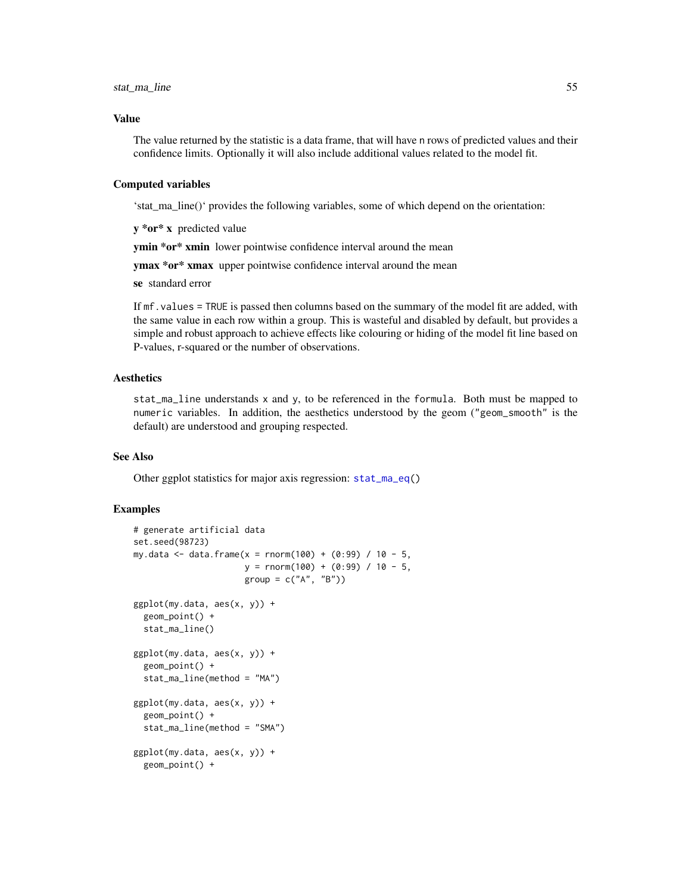#### Value

The value returned by the statistic is a data frame, that will have n rows of predicted values and their confidence limits. Optionally it will also include additional values related to the model fit.

#### Computed variables

'stat\_ma\_line()' provides the following variables, some of which depend on the orientation:

y \*or\* x predicted value

ymin \*or\* xmin lower pointwise confidence interval around the mean

ymax \*or\* xmax upper pointwise confidence interval around the mean

se standard error

If mf.values = TRUE is passed then columns based on the summary of the model fit are added, with the same value in each row within a group. This is wasteful and disabled by default, but provides a simple and robust approach to achieve effects like colouring or hiding of the model fit line based on P-values, r-squared or the number of observations.

### Aesthetics

stat\_ma\_line understands x and y, to be referenced in the formula. Both must be mapped to numeric variables. In addition, the aesthetics understood by the geom ("geom\_smooth" is the default) are understood and grouping respected.

#### See Also

Other ggplot statistics for major axis regression: [stat\\_ma\\_eq\(](#page-46-0))

### Examples

```
# generate artificial data
set.seed(98723)
my.data <- data.frame(x = rnorm(100) + (0:99) / 10 - 5,
                      y = \text{rnorm}(100) + (0:99) / 10 - 5,
                      group = c("A", "B")ggplot(my.data, aes(x, y)) +
 geom_point() +
 stat_ma_line()
ggplot(my.data, aes(x, y)) +
 geom_point() +
 stat_ma_line(method = "MA")
ggplot(my.data, aes(x, y)) +
 geom_point() +
 stat_ma_line(method = "SMA")
ggplot(my.data, aes(x, y)) +geom_point() +
```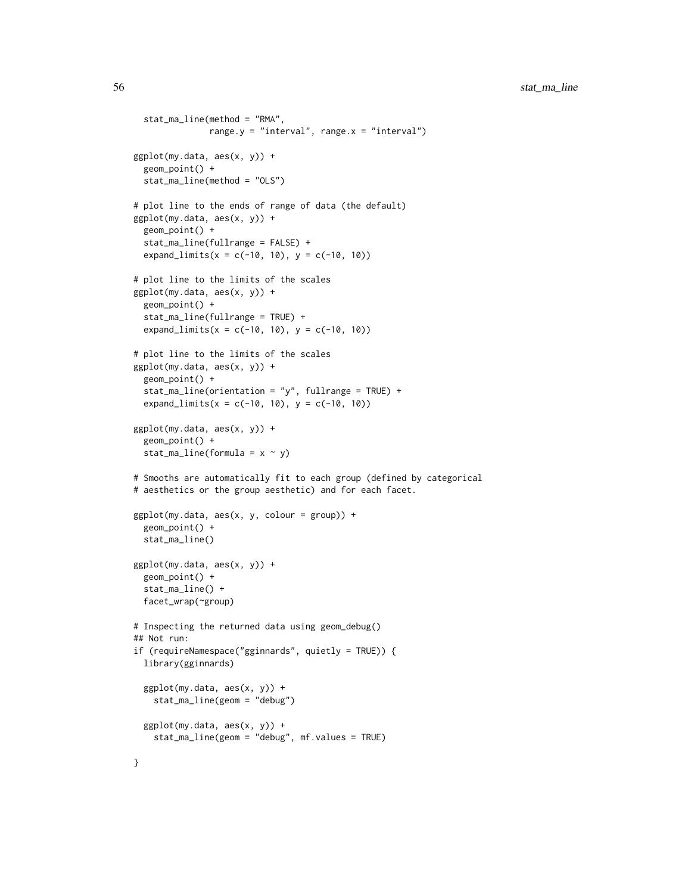```
stat_ma_line(method = "RMA",
              range.y = "interval", range.x = "interval")
ggplot(my.data, aes(x, y)) +geom_point() +
 stat_ma_line(method = "OLS")
# plot line to the ends of range of data (the default)
ggplot(my.data, aes(x, y)) +
 geom_point() +
 stat_ma_line(fullrange = FALSE) +
 expand_limits(x = c(-10, 10), y = c(-10, 10))
# plot line to the limits of the scales
ggplot(my.data, aes(x, y)) +
 geom_point() +
 stat_ma_line(fullrange = TRUE) +
 expand_limits(x = c(-10, 10), y = c(-10, 10))
# plot line to the limits of the scales
ggplot(my.data, aes(x, y)) +
 geom_point() +
 stat_ma_line(orientation = "y", fullrange = TRUE) +
 expand_limits(x = c(-10, 10), y = c(-10, 10))
ggplot(my.data, aes(x, y)) +
 geom_point() +
 stat_ma_line(formula = x \sim y)
# Smooths are automatically fit to each group (defined by categorical
# aesthetics or the group aesthetic) and for each facet.
ggplot(my.data, aes(x, y, colour = group)) +geom_point() +
 stat_ma_line()
ggplot(my.data, aes(x, y)) +geom_point() +
 stat_ma_line() +
 facet_wrap(~group)
# Inspecting the returned data using geom_debug()
## Not run:
if (requireNamespace("gginnards", quietly = TRUE)) {
 library(gginnards)
 ggplot(my.data, aes(x, y)) +
   stat_ma_line(geom = "debug")
 ggplot(my.data, aes(x, y)) +
   stat_ma_line(geom = "debug", mf.values = TRUE)
}
```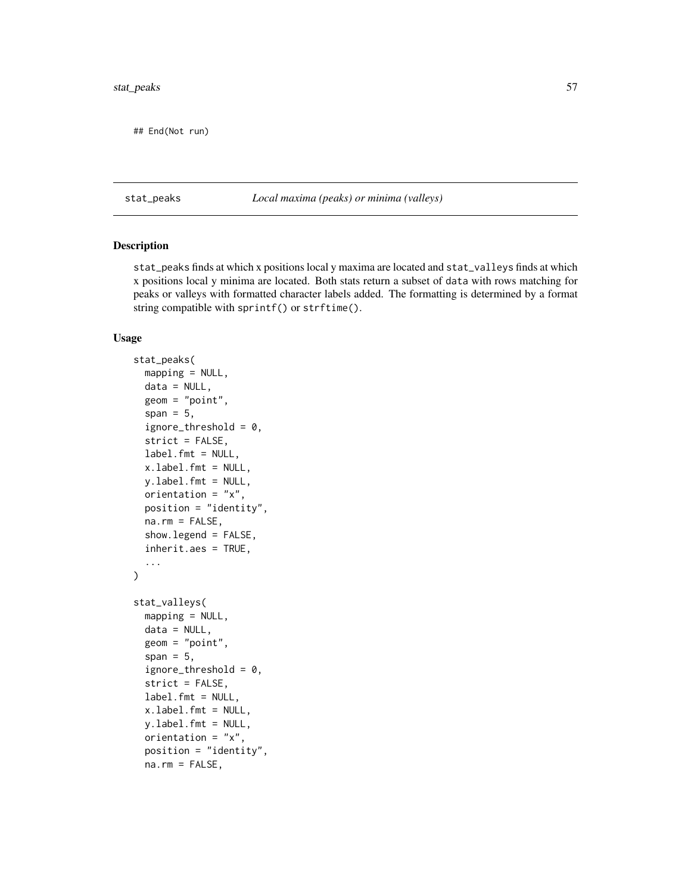## End(Not run)

# stat\_peaks *Local maxima (peaks) or minima (valleys)*

### Description

stat\_peaks finds at which x positions local y maxima are located and stat\_valleys finds at which x positions local y minima are located. Both stats return a subset of data with rows matching for peaks or valleys with formatted character labels added. The formatting is determined by a format string compatible with sprintf() or strftime().

### Usage

```
stat_peaks(
 mapping = NULL,data = NULL,
  geom = "point",
  span = 5,ignore_threshold = 0,
  strict = FALSE,
  label.fmt = NULL,
  x.label.fmt = NULL,
 y.label.fmt = NULL,
  orientation = "x",
 position = "identity",
  na.rm = FALSE,show.legend = FALSE,
  inherit.aes = TRUE,
  ...
\mathcal{L}stat_valleys(
 mapping = NULL,data = NULL,geom = "point",
  span = 5,ignore_threshold = 0,
  strict = FALSE,
  label.fmt = NULL,
  x.label.fmt = NULL,
 y.label.fmt = NULL,
 orientation = "x",position = "identity",
  na.rm = FALSE,
```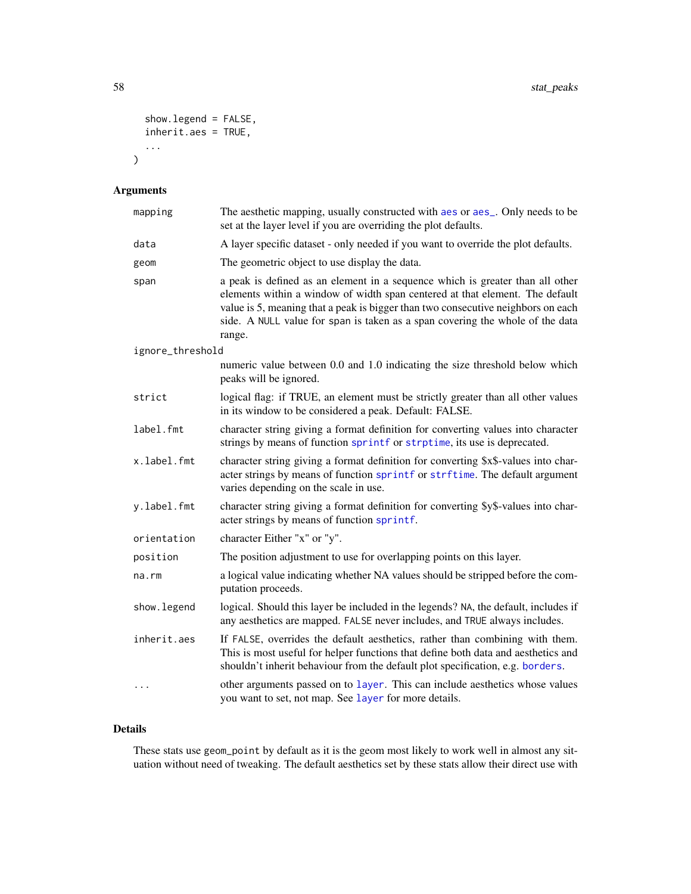```
show.legend = FALSE,
  inherit.aes = TRUE,
  ...
\mathcal{L}
```
# Arguments

| mapping          | The aesthetic mapping, usually constructed with aes or aes_. Only needs to be<br>set at the layer level if you are overriding the plot defaults.                                                                                                                                                                                             |
|------------------|----------------------------------------------------------------------------------------------------------------------------------------------------------------------------------------------------------------------------------------------------------------------------------------------------------------------------------------------|
| data             | A layer specific dataset - only needed if you want to override the plot defaults.                                                                                                                                                                                                                                                            |
| geom             | The geometric object to use display the data.                                                                                                                                                                                                                                                                                                |
| span             | a peak is defined as an element in a sequence which is greater than all other<br>elements within a window of width span centered at that element. The default<br>value is 5, meaning that a peak is bigger than two consecutive neighbors on each<br>side. A NULL value for span is taken as a span covering the whole of the data<br>range. |
| ignore_threshold |                                                                                                                                                                                                                                                                                                                                              |
|                  | numeric value between 0.0 and 1.0 indicating the size threshold below which<br>peaks will be ignored.                                                                                                                                                                                                                                        |
| strict           | logical flag: if TRUE, an element must be strictly greater than all other values<br>in its window to be considered a peak. Default: FALSE.                                                                                                                                                                                                   |
| label.fmt        | character string giving a format definition for converting values into character<br>strings by means of function sprintf or strptime, its use is deprecated.                                                                                                                                                                                 |
| x.label.fmt      | character string giving a format definition for converting \$x\$-values into char-<br>acter strings by means of function sprintf or strftime. The default argument<br>varies depending on the scale in use.                                                                                                                                  |
| y.label.fmt      | character string giving a format definition for converting \$y\$-values into char-<br>acter strings by means of function sprintf.                                                                                                                                                                                                            |
| orientation      | character Either "x" or "y".                                                                                                                                                                                                                                                                                                                 |
| position         | The position adjustment to use for overlapping points on this layer.                                                                                                                                                                                                                                                                         |
| na.rm            | a logical value indicating whether NA values should be stripped before the com-<br>putation proceeds.                                                                                                                                                                                                                                        |
| show.legend      | logical. Should this layer be included in the legends? NA, the default, includes if<br>any aesthetics are mapped. FALSE never includes, and TRUE always includes.                                                                                                                                                                            |
| inherit.aes      | If FALSE, overrides the default aesthetics, rather than combining with them.<br>This is most useful for helper functions that define both data and aesthetics and<br>shouldn't inherit behaviour from the default plot specification, e.g. borders.                                                                                          |
| .                | other arguments passed on to layer. This can include aesthetics whose values<br>you want to set, not map. See layer for more details.                                                                                                                                                                                                        |

# Details

These stats use geom\_point by default as it is the geom most likely to work well in almost any situation without need of tweaking. The default aesthetics set by these stats allow their direct use with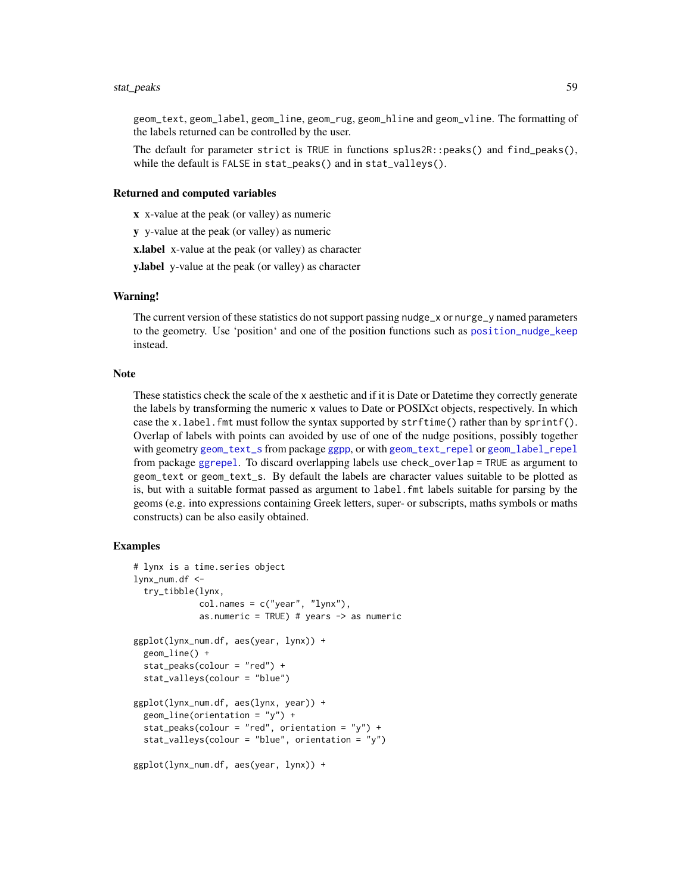#### stat\_peaks 59

geom\_text, geom\_label, geom\_line, geom\_rug, geom\_hline and geom\_vline. The formatting of the labels returned can be controlled by the user.

The default for parameter strict is TRUE in functions splus2R::peaks() and find\_peaks(), while the default is FALSE in stat\_peaks() and in stat\_valleys().

#### Returned and computed variables

x x-value at the peak (or valley) as numeric

y y-value at the peak (or valley) as numeric

x.label x-value at the peak (or valley) as character

y.label y-value at the peak (or valley) as character

### Warning!

The current version of these statistics do not support passing nudge\_x or nurge\_y named parameters to the geometry. Use 'position' and one of the position functions such as [position\\_nudge\\_keep](#page-0-0) instead.

### **Note**

These statistics check the scale of the x aesthetic and if it is Date or Datetime they correctly generate the labels by transforming the numeric x values to Date or POSIXct objects, respectively. In which case the x.label. fmt must follow the syntax supported by  $\text{stifting}()$  rather than by  $\text{sprint}()$ . Overlap of labels with points can avoided by use of one of the nudge positions, possibly together with geometry [geom\\_text\\_s](#page-0-0) from package [ggpp](#page-0-0), or with [geom\\_text\\_repel](#page-0-0) or [geom\\_label\\_repel](#page-0-0) from package [ggrepel](#page-0-0). To discard overlapping labels use check\_overlap = TRUE as argument to geom\_text or geom\_text\_s. By default the labels are character values suitable to be plotted as is, but with a suitable format passed as argument to label.fmt labels suitable for parsing by the geoms (e.g. into expressions containing Greek letters, super- or subscripts, maths symbols or maths constructs) can be also easily obtained.

### Examples

```
# lynx is a time.series object
lynx_num.df <-
 try_tibble(lynx,
             col.names = c("year", "lynx"),
             as.numeric = TRUE) # years \rightarrow as numeric
ggplot(lynx_num.df, aes(year, lynx)) +
 geom_line() +
 stat_peaks(colour = "red") +
 stat_valleys(colour = "blue")
ggplot(lynx_num.df, aes(lynx, year)) +
 geom_line(orientation = "y") +
 stat_peaks(colour = "red", orientation = "y") +
 stat_valleys(colour = "blue", orientation = "y")
ggplot(lynx_num.df, aes(year, lynx)) +
```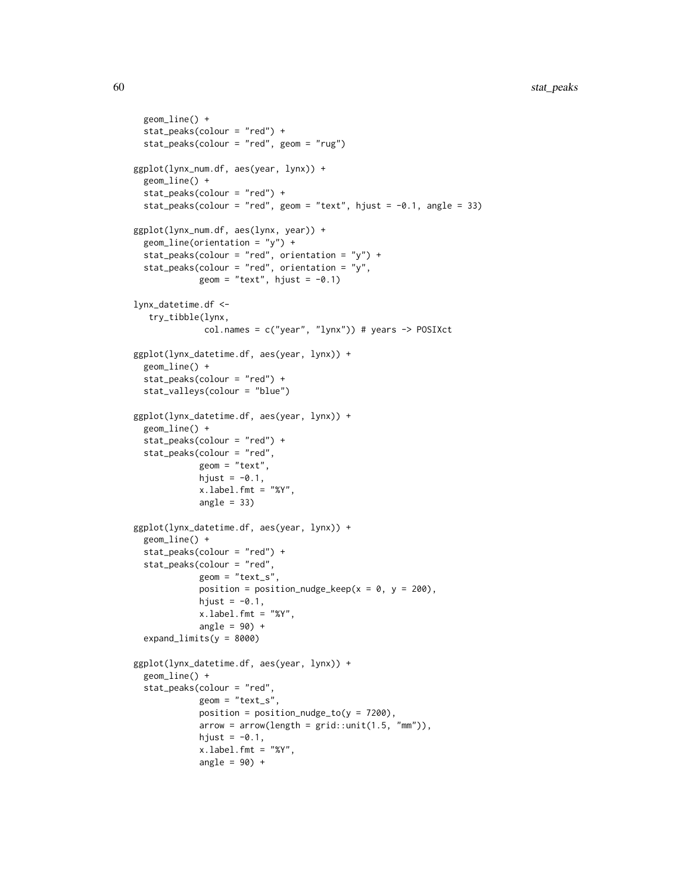```
geom_line() +
 stat_peaks(colour = "red") +
 stat_peaks(colour = "red", geom = "rug")
ggplot(lynx_num.df, aes(year, lynx)) +
 geom_line() +
 stat_peaks(colour = "red") +
 stat_peaks(colour = "red", geom = "text", hjust = -0.1, angle = 33)
ggplot(lynx_num.df, aes(lynx, year)) +
 geom_line(orientation = "y") +
 stat_peaks(colour = "red", orientation = "y") +
  stat_peaks(colour = "red", orientation = "y",
             geom = "text", hjust = -0.1)lynx_datetime.df <-
   try_tibble(lynx,
              col.names = c("year", "lynx")) # years -> POSIXct
ggplot(lynx_datetime.df, aes(year, lynx)) +
 geom_line() +
 stat_peaks(colour = "red") +
 stat_valleys(colour = "blue")
ggplot(lynx_datetime.df, aes(year, lynx)) +
 geom_line() +
 stat_peaks(colour = "red") +
 stat_peaks(colour = "red",
            geom = "text",
             hjust = -0.1,
             x.label.fmt = "%Y",
             angle = 33)
ggplot(lynx_datetime.df, aes(year, lynx)) +
 geom_line() +
 stat_peaks(colour = "red") +
 stat_peaks(colour = "red",
             geom = "text_s",position = position_nudge_keep(x = 0, y = 200),
             hjust = -0.1,
             x.label.fmt = "%Y",
             angle = 90) +
 expand_limits(y = 8000)
ggplot(lynx_datetime.df, aes(year, lynx)) +
 geom_line() +
 stat_peaks(colour = "red",
             geom = "text_s",position = position_nudge_to(y = 7200),
             arrow = arrow(length = grid::unit(1.5, "mm")),
             hjust = -0.1,
             x.label.fmt = "%Y",
             angle = 90) +
```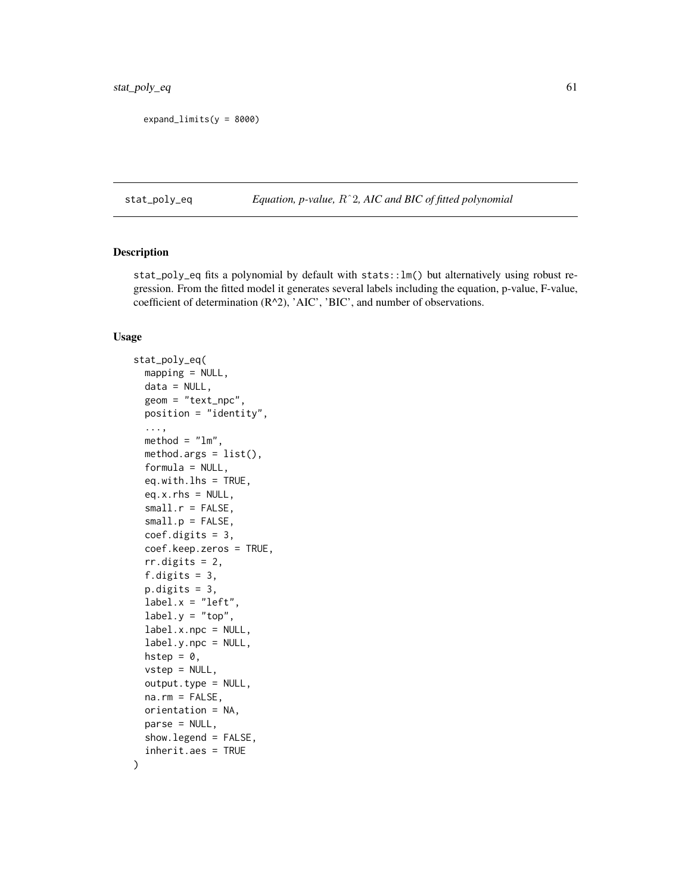expand\_limits(y = 8000)

<span id="page-60-0"></span>stat\_poly\_eq *Equation, p-value,* Rˆ2*, AIC and BIC of fitted polynomial*

### Description

stat\_poly\_eq fits a polynomial by default with stats::lm() but alternatively using robust regression. From the fitted model it generates several labels including the equation, p-value, F-value, coefficient of determination (R^2), 'AIC', 'BIC', and number of observations.

### Usage

```
stat_poly_eq(
 mapping = NULL,
  data = NULL,
  geom = "text_npc",
 position = "identity",
  ...,
  method = "lm",method.args = list(),
  formula = NULL,eq.with.lhs = TRUE,
  eq.x.rhs = NULL,small.r = FALSE,small.p = FALSE,coef.digits = 3,
  coef.keep.zeros = TRUE,
  rr.digits = 2,f.digits = 3,
  p.digits = 3,
  label.x = "left",label.y = "top",label.x.npc = NULL,label.y.npc = NULL,
 hstep = 0,
  vstep = NULL,
  output.type = NULL,
  na.rm = FALSE,
  orientation = NA,
 parse = NULL,
  show.legend = FALSE,
  inherit.aes = TRUE
```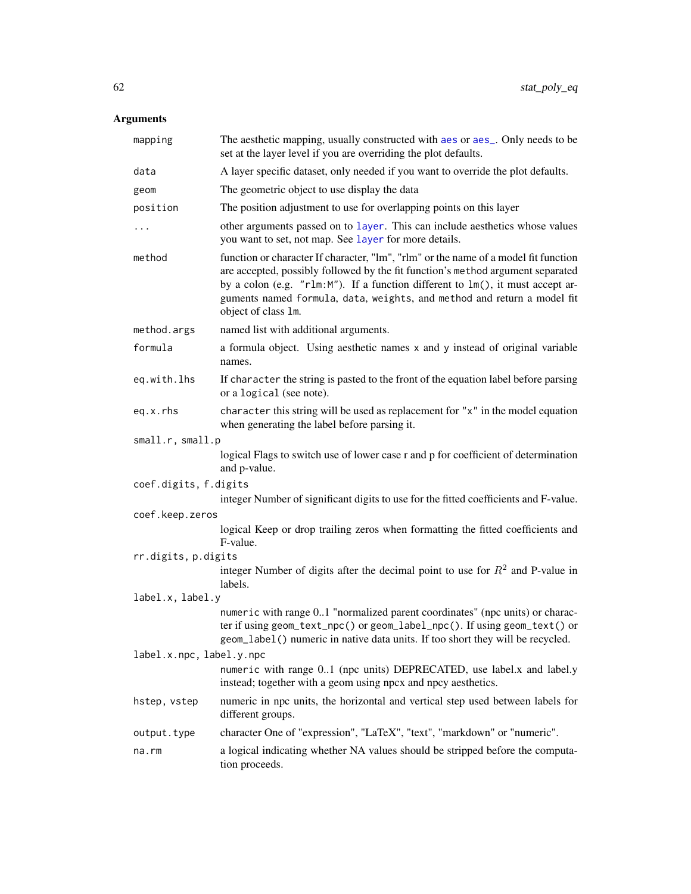| mapping                  | The aesthetic mapping, usually constructed with aes or aes_. Only needs to be<br>set at the layer level if you are overriding the plot defaults.                                                                                                                                                                                                           |
|--------------------------|------------------------------------------------------------------------------------------------------------------------------------------------------------------------------------------------------------------------------------------------------------------------------------------------------------------------------------------------------------|
| data                     | A layer specific dataset, only needed if you want to override the plot defaults.                                                                                                                                                                                                                                                                           |
| geom                     | The geometric object to use display the data                                                                                                                                                                                                                                                                                                               |
| position                 | The position adjustment to use for overlapping points on this layer                                                                                                                                                                                                                                                                                        |
| $\cdots$                 | other arguments passed on to layer. This can include aesthetics whose values<br>you want to set, not map. See layer for more details.                                                                                                                                                                                                                      |
| method                   | function or character If character, "lm", "rlm" or the name of a model fit function<br>are accepted, possibly followed by the fit function's method argument separated<br>by a colon (e.g. "r1m:M"). If a function different to 1m(), it must accept ar-<br>guments named formula, data, weights, and method and return a model fit<br>object of class 1m. |
| method.args              | named list with additional arguments.                                                                                                                                                                                                                                                                                                                      |
| formula                  | a formula object. Using aesthetic names x and y instead of original variable<br>names.                                                                                                                                                                                                                                                                     |
| eq.with.lhs              | If character the string is pasted to the front of the equation label before parsing<br>or a logical (see note).                                                                                                                                                                                                                                            |
| eq.x.rhs                 | character this string will be used as replacement for "x" in the model equation<br>when generating the label before parsing it.                                                                                                                                                                                                                            |
| small.r, small.p         |                                                                                                                                                                                                                                                                                                                                                            |
|                          | logical Flags to switch use of lower case r and p for coefficient of determination<br>and p-value.                                                                                                                                                                                                                                                         |
| coef.digits, f.digits    |                                                                                                                                                                                                                                                                                                                                                            |
|                          | integer Number of significant digits to use for the fitted coefficients and F-value.                                                                                                                                                                                                                                                                       |
| coef.keep.zeros          | logical Keep or drop trailing zeros when formatting the fitted coefficients and<br>F-value.                                                                                                                                                                                                                                                                |
| rr.digits, p.digits      |                                                                                                                                                                                                                                                                                                                                                            |
|                          | integer Number of digits after the decimal point to use for $R^2$ and P-value in<br>labels.                                                                                                                                                                                                                                                                |
| label.x, label.y         |                                                                                                                                                                                                                                                                                                                                                            |
| label.x.npc, label.y.npc | numeric with range 01 "normalized parent coordinates" (npc units) or charac-<br>ter if using geom_text_npc() or geom_label_npc(). If using geom_text() or<br>geom_label() numeric in native data units. If too short they will be recycled.                                                                                                                |
|                          | numeric with range 01 (npc units) DEPRECATED, use label.x and label.y<br>instead; together with a geom using npcx and npcy aesthetics.                                                                                                                                                                                                                     |
| hstep, vstep             | numeric in npc units, the horizontal and vertical step used between labels for<br>different groups.                                                                                                                                                                                                                                                        |
| output.type              | character One of "expression", "LaTeX", "text", "markdown" or "numeric".                                                                                                                                                                                                                                                                                   |
| na.rm                    | a logical indicating whether NA values should be stripped before the computa-<br>tion proceeds.                                                                                                                                                                                                                                                            |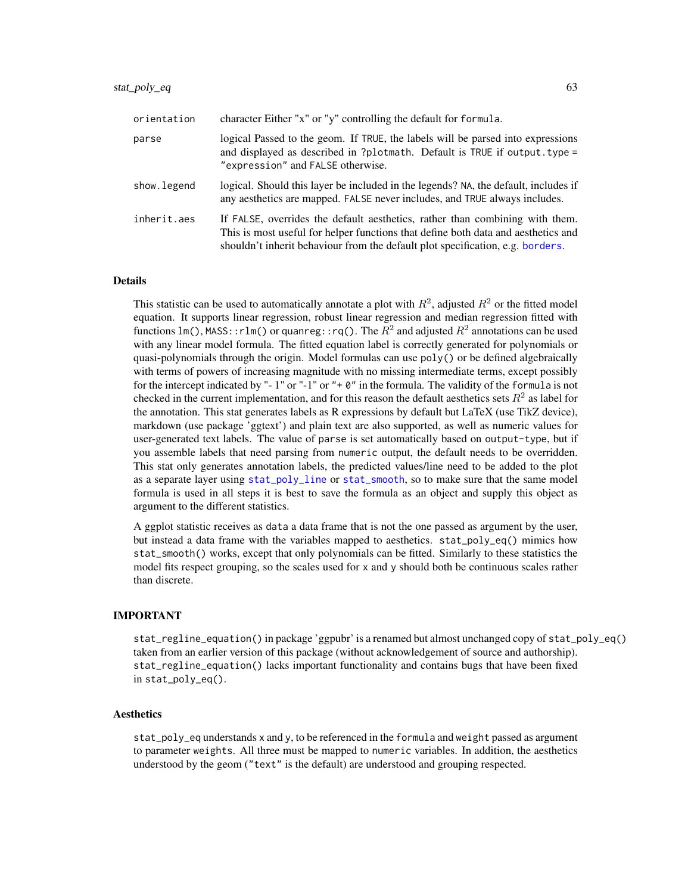| orientation | character Either "x" or "y" controlling the default for formula.                                                                                                                                                                                    |
|-------------|-----------------------------------------------------------------------------------------------------------------------------------------------------------------------------------------------------------------------------------------------------|
| parse       | logical Passed to the geom. If TRUE, the labels will be parsed into expressions<br>and displayed as described in ?plotmath. Default is TRUE if output. type =<br>"expression" and FALSE otherwise.                                                  |
| show.legend | logical. Should this layer be included in the legends? NA, the default, includes if<br>any aesthetics are mapped. FALSE never includes, and TRUE always includes.                                                                                   |
| inherit.aes | If FALSE, overrides the default aesthetics, rather than combining with them.<br>This is most useful for helper functions that define both data and aesthetics and<br>shouldn't inherit behaviour from the default plot specification, e.g. borders. |

This statistic can be used to automatically annotate a plot with  $R^2$ , adjusted  $R^2$  or the fitted model equation. It supports linear regression, robust linear regression and median regression fitted with functions lm(), <code>MASS::rlm()</code> or <code>quanreg::rq().</code> The  $R^2$  and adjusted  $R^2$  annotations can be used with any linear model formula. The fitted equation label is correctly generated for polynomials or quasi-polynomials through the origin. Model formulas can use poly() or be defined algebraically with terms of powers of increasing magnitude with no missing intermediate terms, except possibly for the intercept indicated by "- 1" or "-1" or "+ 0" in the formula. The validity of the formula is not checked in the current implementation, and for this reason the default aesthetics sets  $R^2$  as label for the annotation. This stat generates labels as R expressions by default but LaTeX (use TikZ device), markdown (use package 'ggtext') and plain text are also supported, as well as numeric values for user-generated text labels. The value of parse is set automatically based on output-type, but if you assemble labels that need parsing from numeric output, the default needs to be overridden. This stat only generates annotation labels, the predicted values/line need to be added to the plot as a separate layer using [stat\\_poly\\_line](#page-67-0) or [stat\\_smooth](#page-0-0), so to make sure that the same model formula is used in all steps it is best to save the formula as an object and supply this object as argument to the different statistics.

A ggplot statistic receives as data a data frame that is not the one passed as argument by the user, but instead a data frame with the variables mapped to aesthetics. stat\_poly\_eq() mimics how stat\_smooth() works, except that only polynomials can be fitted. Similarly to these statistics the model fits respect grouping, so the scales used for x and y should both be continuous scales rather than discrete.

# IMPORTANT

stat\_regline\_equation() in package 'ggpubr' is a renamed but almost unchanged copy of stat\_poly\_eq() taken from an earlier version of this package (without acknowledgement of source and authorship). stat\_regline\_equation() lacks important functionality and contains bugs that have been fixed in stat\_poly\_eq().

### Aesthetics

stat\_poly\_eq understands x and y, to be referenced in the formula and weight passed as argument to parameter weights. All three must be mapped to numeric variables. In addition, the aesthetics understood by the geom ("text" is the default) are understood and grouping respected.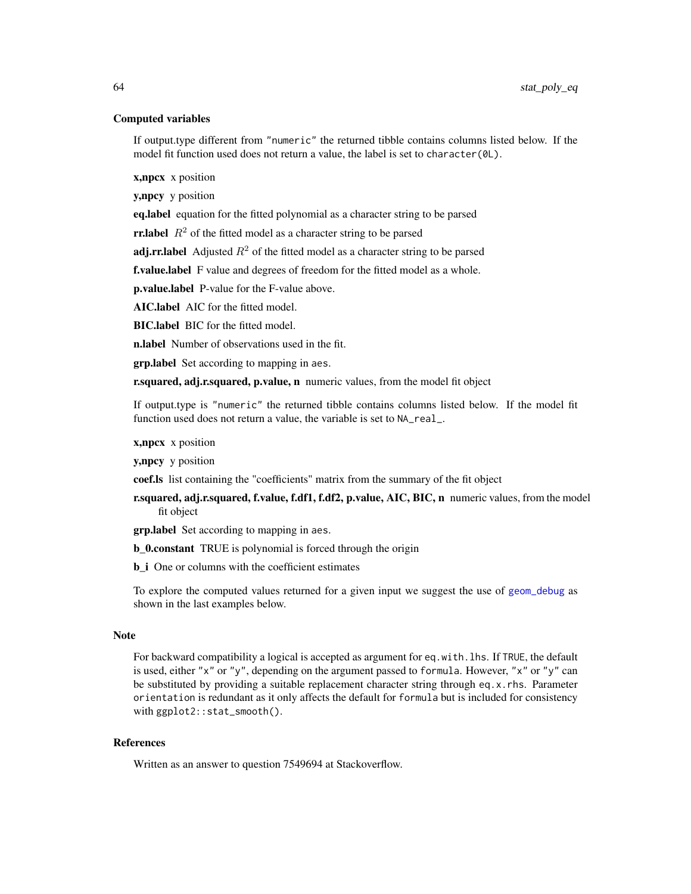### Computed variables

If output.type different from "numeric" the returned tibble contains columns listed below. If the model fit function used does not return a value, the label is set to character(0L).

x,npcx x position

y,npcy y position

eq.label equation for the fitted polynomial as a character string to be parsed

**rr.label**  $R^2$  of the fitted model as a character string to be parsed

**adj.rr.label** Adjusted  $R^2$  of the fitted model as a character string to be parsed

f.value.label F value and degrees of freedom for the fitted model as a whole.

p.value.label P-value for the F-value above.

AIC.label AIC for the fitted model.

BIC.label BIC for the fitted model.

**n.label** Number of observations used in the fit.

**grp.label** Set according to mapping in aes.

r.squared, adj.r.squared, p.value, n numeric values, from the model fit object

If output.type is "numeric" the returned tibble contains columns listed below. If the model fit function used does not return a value, the variable is set to NA\_real\_.

**x, npcx** x position

y,npcy y position

coef.ls list containing the "coefficients" matrix from the summary of the fit object

r.squared, adj.r.squared, f.value, f.df1, f.df2, p.value, AIC, BIC, n numeric values, from the model fit object

**grp.label** Set according to mapping in aes.

**b** 0.constant TRUE is polynomial is forced through the origin

**b** i One or columns with the coefficient estimates

To explore the computed values returned for a given input we suggest the use of [geom\\_debug](#page-6-0) as shown in the last examples below.

#### Note

For backward compatibility a logical is accepted as argument for eq.with.lhs. If TRUE, the default is used, either "x" or "y", depending on the argument passed to formula. However, "x" or "y" can be substituted by providing a suitable replacement character string through eq.x.rhs. Parameter orientation is redundant as it only affects the default for formula but is included for consistency with ggplot2::stat\_smooth().

# **References**

Written as an answer to question 7549694 at Stackoverflow.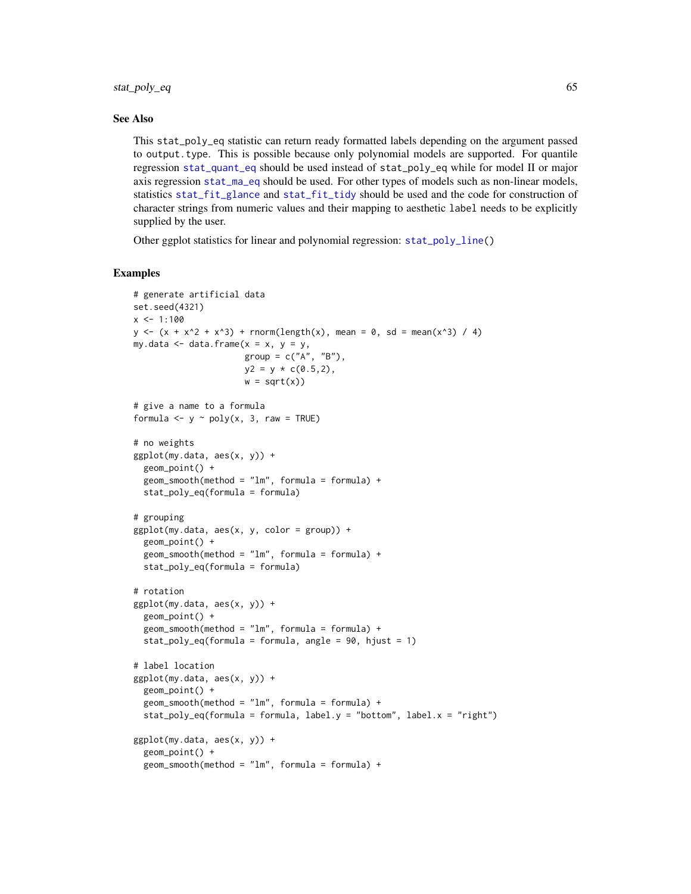### See Also

This stat\_poly\_eq statistic can return ready formatted labels depending on the argument passed to output.type. This is possible because only polynomial models are supported. For quantile regression [stat\\_quant\\_eq](#page-74-0) should be used instead of stat\_poly\_eq while for model II or major axis regression [stat\\_ma\\_eq](#page-46-0) should be used. For other types of models such as non-linear models, statistics [stat\\_fit\\_glance](#page-29-0) and [stat\\_fit\\_tidy](#page-41-0) should be used and the code for construction of character strings from numeric values and their mapping to aesthetic label needs to be explicitly supplied by the user.

Other ggplot statistics for linear and polynomial regression: [stat\\_poly\\_line\(](#page-67-0))

### Examples

```
# generate artificial data
set.seed(4321)
x < -1:100y \le -(x + x^2 + x^3) + \text{norm}(\text{length}(x), \text{ mean } = 0, \text{ sd } = \text{mean}(x^3) / 4)my.data \leq data.frame(x = x, y = y,
                       group = c("A", "B"),
                       y2 = y * c(0.5, 2),
                       w = sqrt(x))# give a name to a formula
formula \leq y \sim poly(x, 3, raw = TRUE)
# no weights
ggplot(my.data, aes(x, y)) +geom_point() +
  geom\_smooth(method = "lm", formula = formula) +stat_poly_eq(formula = formula)
# grouping
ggplot(my.data, aes(x, y, color = group)) +
  geom_point() +
  geom\_smooth(method = "lm", formula = formula) +stat_poly_eq(formula = formula)
# rotation
ggplot(my.data, aes(x, y)) +
  geom_point() +
  geom\_smooth(method = "lm", formula = formula) +stat_poly_eq(formula = formula, angle = 90, hjust = 1)
# label location
ggplot(my.data, aes(x, y)) +
  geom_point() +
  geom\_smooth(method = "lm", formula = formula) +stat_poly_eq(formula = formula, label.y = "bottom", label.x = "right")
ggplot(my.data, aes(x, y)) +
  geom_point() +
  geom\_smooth(method = "lm", formula = formula) +
```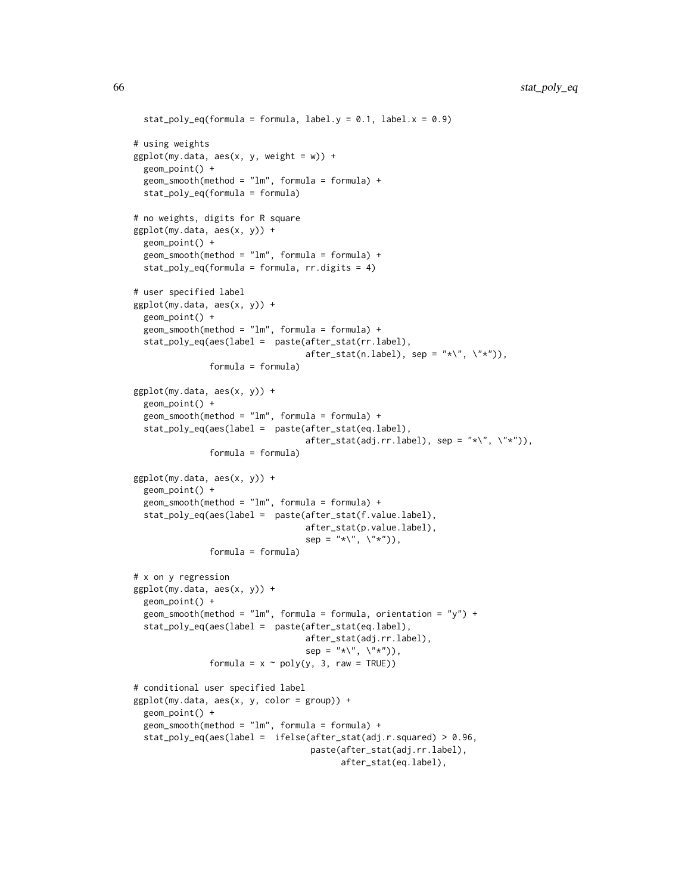```
stat_poly_eq(formula = formula, label.y = 0.1, label.x = 0.9)
# using weights
ggplot(my.data, aes(x, y, weight = w)) +geom_point() +
 geom\_smooth(method = "lm", formula = formula) +stat_poly_eq(formula = formula)
# no weights, digits for R square
ggplot(my.data, aes(x, y)) +geom_point() +
 geom\_smooth(method = "lm", formula = formula) +stat_poly_eq(formula = formula, rr.digits = 4)
# user specified label
ggplot(my.data, aes(x, y)) +
 geom_point() +
 geom_smooth(method = "lm", formula = formula) +
 stat_poly_eq(aes(label = paste(after_stat(rr.label),
                                  after\_stat(n.length), sep = "*\'', \ '*\''),formula = formula)
ggplot(my.data, aes(x, y)) +
 geom_point() +
 geom\_smooth(method = "lm", formula = formula) +stat_poly_eq(aes(label = paste(after_stat(eq.label),
                                  after\_stat(adj.rr.label), sep = "*\`', \`"', \`formula = formula)
ggplot(my.data, aes(x, y)) +
 geom_point() +
 geom_smooth(method = "lm", formula = formula) +
 stat_poly_eq(aes(label = paste(after_stat(f.value.label),
                                  after_stat(p.value.label),
                                  sep = "*\`', \`\`', \`formula = formula)
# x on y regression
ggplot(my.data, aes(x, y)) +
 geom_point() +
 geom_smooth(method = "lm", formula = formula, orientation = "y") +
 stat_poly_eq(aes(label = paste(after_stat(eq.label),
                                  after_stat(adj.rr.label),
                                  sep = "*\`', \`\`', \`formula = x \sim poly(y, 3, raw = TRUE)# conditional user specified label
ggplot(my.data, aes(x, y, color = group)) +
 geom_point() +
 geom\_smooth(method = "lm", formula = formula) +stat_poly_eq(aes(label = ifelse(after_stat(adj.r.squared) > 0.96,
                                   paste(after_stat(adj.rr.label),
                                         after_stat(eq.label),
```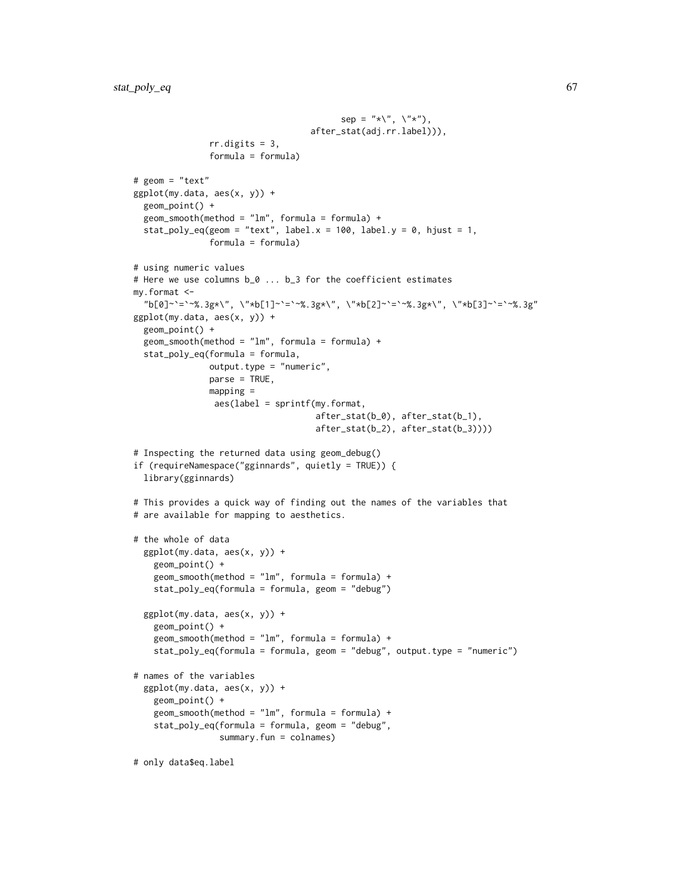```
sep = "*\", \langle"*"),
                                   after_stat(adj.rr.label))),
               rr.digits = 3,
               formula = formula)
# geom = "text"
ggplot(my.data, aes(x, y)) +
  geom_point() +
  geom\_smooth(method = "lm", formula = formula) +stat_poly_eq(geom = "text", label.x = 100, label.y = 0, hjust = 1,
               formula = formula)
# using numeric values
# Here we use columns b_0 ... b_3 for the coefficient estimates
my.format <-
  "b[0]~`=`~%.3g*\", \"*b[1]~`=`~%.3g*\", \"*b[2]~`=`~%.3g*\", \"*b[3]~`=`~%.3g"
ggplot(my.data, aes(x, y)) +
  geom_point() +
  geom_smooth(method = "lm", formula = formula) +
  stat_poly_eq(formula = formula,
               output.type = "numeric",
               parse = TRUE,mapping =
                aes(label = sprintf(my.format,
                                    after_stat(b_0), after_stat(b_1),
                                    after_stat(b_2), after_stat(b_3))))
# Inspecting the returned data using geom_debug()
if (requireNamespace("gginnards", quietly = TRUE)) {
  library(gginnards)
# This provides a quick way of finding out the names of the variables that
# are available for mapping to aesthetics.
# the whole of data
  ggplot(my.data, aes(x, y)) +
    geom_point() +
    geom\_smooth(method = "lm", formula = formula) +stat_poly_eq(formula = formula, geom = "debug")
  ggplot(my.data, aes(x, y)) +
    geom_point() +
    geom_smooth(method = "lm", formula = formula) +
    stat_poly_eq(formula = formula, geom = "debug", output.type = "numeric")
# names of the variables
  ggplot(my.data, aes(x, y)) +
   geom_point() +
    geom_smooth(method = "lm", formula = formula) +
    stat_poly_eq(formula = formula, geom = "debug",
                 summary.fun = colnames)
# only data$eq.label
```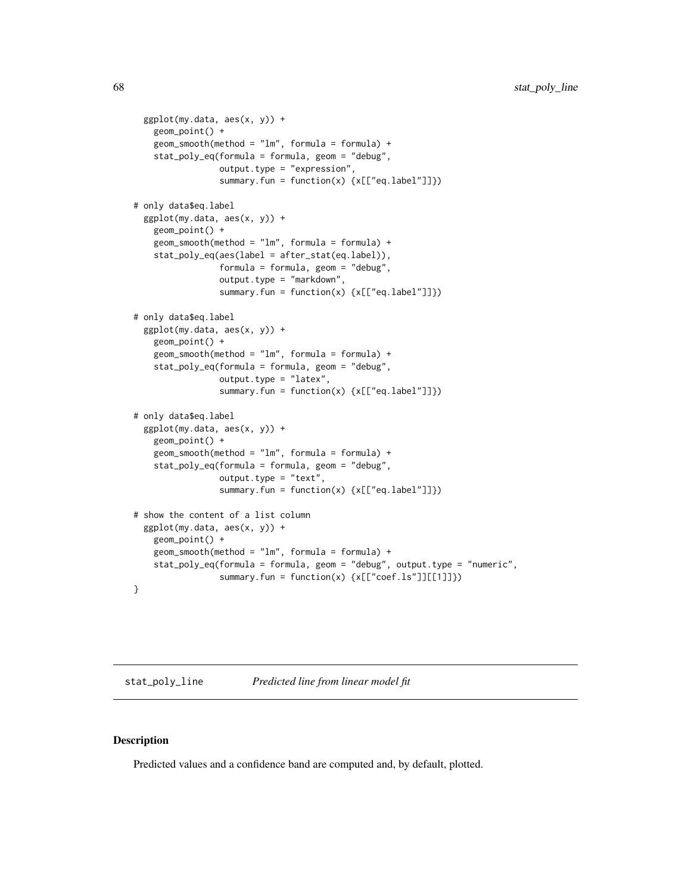```
ggplot(my.data, aes(x, y)) +
   geom_point() +
   geom_smooth(method = "lm", formula = formula) +
   stat_poly_eq(formula = formula, geom = "debug",
                 output.type = "expression",
                 summary.fun = function(x) {x[["eq.label"]]})
# only data$eq.label
 ggplot(my.data, aes(x, y)) +
   geom_point() +
   geom_smooth(method = "lm", formula = formula) +
    stat_poly_eq(aes(label = after_stat(eq.label)),
                 formula = formula, geom = "debug",
                 output.type = "markdown",
                 summary.fun = function(x) {x[["eq.label"]]})
# only data$eq.label
 ggplot(my.data, aes(x, y)) +
   geom_point() +
    geom\_smooth(method = "lm", formula = formula) +stat_poly_eq(formula = formula, geom = "debug",
                 output.type = "latex",
                 summary.fun = function(x) {x[["eq.label"]]})
# only data$eq.label
 ggplot(my.data, aes(x, y)) +
   geom_point() +
   geom_smooth(method = "lm", formula = formula) +
    stat_poly_eq(formula = formula, geom = "debug",
                 output.type = "text",
                 summary.fun = function(x) {x[["eq.label"]]})
# show the content of a list column
 ggplot(my.data, aes(x, y)) +
   geom_point() +
   geom\_smooth(method = "lm", formula = formula) +stat_poly_eq(formula = formula, geom = "debug", output.type = "numeric",
                 summary.fun = function(x) {x[["coef.ls"]][[1]]})
}
```
<span id="page-67-0"></span>stat\_poly\_line *Predicted line from linear model fit*

### Description

Predicted values and a confidence band are computed and, by default, plotted.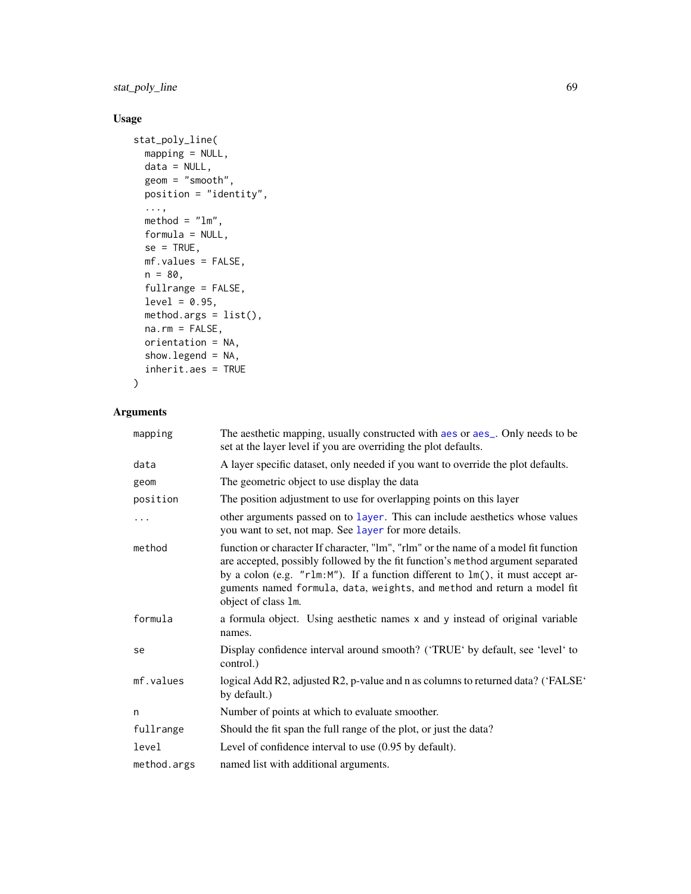stat\_poly\_line 69

# Usage

```
stat_poly_line(
 mapping = NULL,
 data = NULL,
 geom = "smooth",
 position = "identity",
  ...,
 method = "lm",formula = NULL,
 se = TRUE,mf.values = FALSE,
 n = 80,fullrange = FALSE,
 level = 0.95,method.args = list(),
 na.rm = FALSE,orientation = NA,
  show.legend = NA,
  inherit.aes = TRUE
\mathcal{L}
```

| mapping     | The aesthetic mapping, usually constructed with aes or aes_. Only needs to be<br>set at the layer level if you are overriding the plot defaults.                                                                                                                                                                                                           |
|-------------|------------------------------------------------------------------------------------------------------------------------------------------------------------------------------------------------------------------------------------------------------------------------------------------------------------------------------------------------------------|
| data        | A layer specific dataset, only needed if you want to override the plot defaults.                                                                                                                                                                                                                                                                           |
| geom        | The geometric object to use display the data                                                                                                                                                                                                                                                                                                               |
| position    | The position adjustment to use for overlapping points on this layer                                                                                                                                                                                                                                                                                        |
| .           | other arguments passed on to layer. This can include aesthetics whose values<br>you want to set, not map. See layer for more details.                                                                                                                                                                                                                      |
| method      | function or character If character, "lm", "rlm" or the name of a model fit function<br>are accepted, possibly followed by the fit function's method argument separated<br>by a colon (e.g. "r1m:M"). If a function different to 1m(), it must accept ar-<br>guments named formula, data, weights, and method and return a model fit<br>object of class 1m. |
| formula     | a formula object. Using aesthetic names x and y instead of original variable<br>names.                                                                                                                                                                                                                                                                     |
| se          | Display confidence interval around smooth? ('TRUE' by default, see 'level' to<br>control.)                                                                                                                                                                                                                                                                 |
| mf.values   | logical Add R2, adjusted R2, p-value and n as columns to returned data? ('FALSE'<br>by default.)                                                                                                                                                                                                                                                           |
| n           | Number of points at which to evaluate smoother.                                                                                                                                                                                                                                                                                                            |
| fullrange   | Should the fit span the full range of the plot, or just the data?                                                                                                                                                                                                                                                                                          |
| level       | Level of confidence interval to use $(0.95$ by default).                                                                                                                                                                                                                                                                                                   |
| method.args | named list with additional arguments.                                                                                                                                                                                                                                                                                                                      |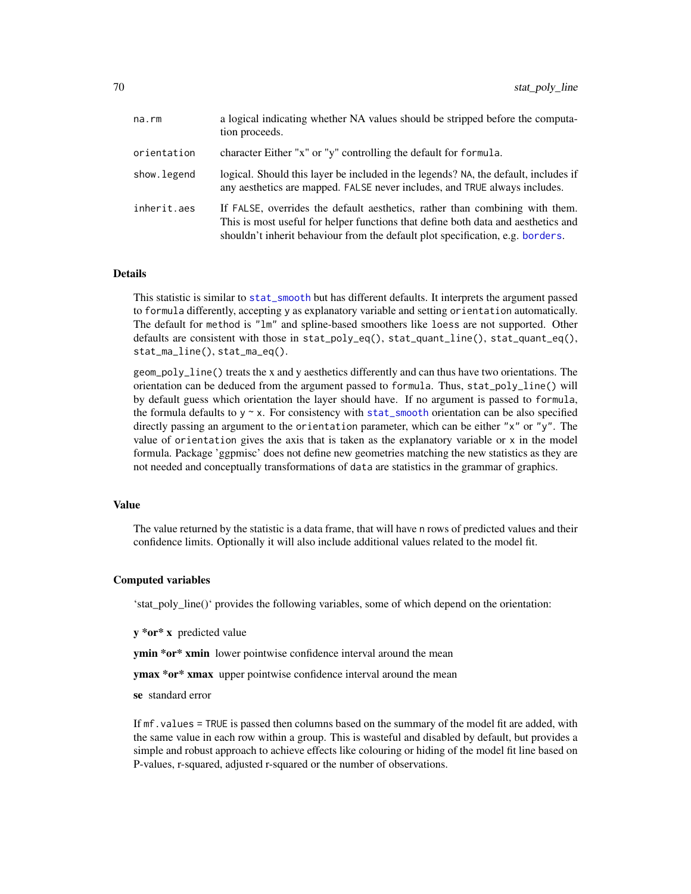| na.rm       | a logical indicating whether NA values should be stripped before the computa-<br>tion proceeds.                                                                                                                                                     |
|-------------|-----------------------------------------------------------------------------------------------------------------------------------------------------------------------------------------------------------------------------------------------------|
| orientation | character Either "x" or "y" controlling the default for formula.                                                                                                                                                                                    |
| show.legend | logical. Should this layer be included in the legends? NA, the default, includes if<br>any aesthetics are mapped. FALSE never includes, and TRUE always includes.                                                                                   |
| inherit.aes | If FALSE, overrides the default aesthetics, rather than combining with them.<br>This is most useful for helper functions that define both data and aesthetics and<br>shouldn't inherit behaviour from the default plot specification, e.g. borders. |

This statistic is similar to [stat\\_smooth](#page-0-0) but has different defaults. It interprets the argument passed to formula differently, accepting y as explanatory variable and setting orientation automatically. The default for method is "lm" and spline-based smoothers like loess are not supported. Other defaults are consistent with those in  $stat\_poly\_eq()$ ,  $stat\_quant\_line()$ ,  $stat\_quant\_eq()$ , stat\_ma\_line(), stat\_ma\_eq().

geom\_poly\_line() treats the x and y aesthetics differently and can thus have two orientations. The orientation can be deduced from the argument passed to formula. Thus, stat\_poly\_line() will by default guess which orientation the layer should have. If no argument is passed to formula, the formula defaults to  $y \sim x$ . For consistency with [stat\\_smooth](#page-0-0) orientation can be also specified directly passing an argument to the orientation parameter, which can be either "x" or "y". The value of orientation gives the axis that is taken as the explanatory variable or x in the model formula. Package 'ggpmisc' does not define new geometries matching the new statistics as they are not needed and conceptually transformations of data are statistics in the grammar of graphics.

# Value

The value returned by the statistic is a data frame, that will have n rows of predicted values and their confidence limits. Optionally it will also include additional values related to the model fit.

#### Computed variables

'stat\_poly\_line()' provides the following variables, some of which depend on the orientation:

y \*or\* x predicted value

**ymin \*or\* xmin** lower pointwise confidence interval around the mean

ymax \*or\* xmax upper pointwise confidence interval around the mean

se standard error

If mf.values = TRUE is passed then columns based on the summary of the model fit are added, with the same value in each row within a group. This is wasteful and disabled by default, but provides a simple and robust approach to achieve effects like colouring or hiding of the model fit line based on P-values, r-squared, adjusted r-squared or the number of observations.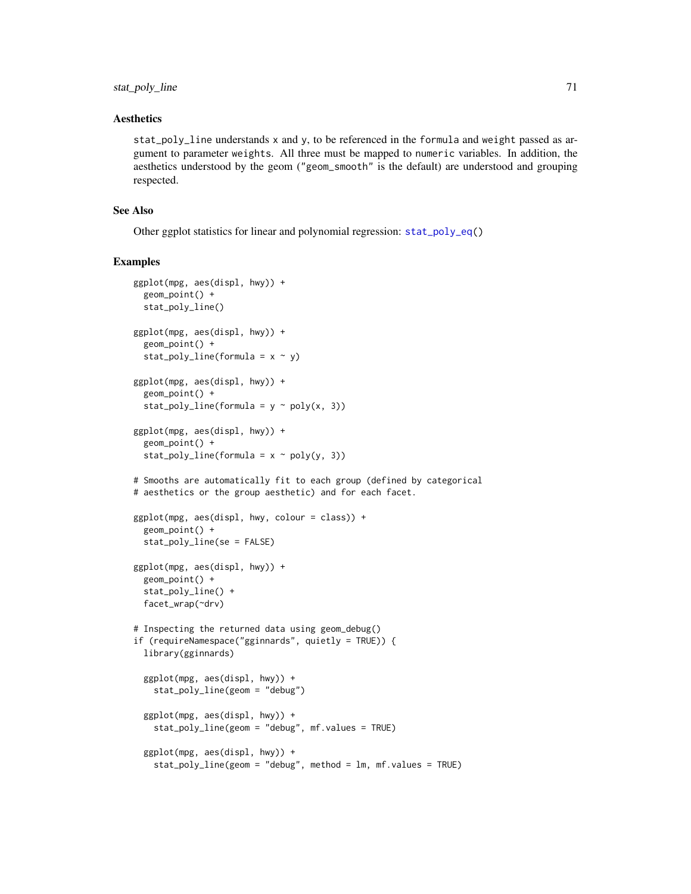### Aesthetics

stat\_poly\_line understands x and y, to be referenced in the formula and weight passed as argument to parameter weights. All three must be mapped to numeric variables. In addition, the aesthetics understood by the geom ("geom\_smooth" is the default) are understood and grouping respected.

# See Also

Other ggplot statistics for linear and polynomial regression: [stat\\_poly\\_eq\(](#page-60-0))

#### Examples

```
ggplot(mpg, aes(displ, hwy)) +
 geom_point() +
 stat_poly_line()
ggplot(mpg, aes(displ, hwy)) +
 geom_point() +
 stat_poly_line(formula = x \sim y)
ggplot(mpg, aes(displ, hwy)) +
 geom_point() +
 stat_poly_line(formula = y \sim poly(x, 3))
ggplot(mpg, aes(displ, hwy)) +
 geom_point() +
 stat_poly_line(formula = x \sim poly(y, 3))
# Smooths are automatically fit to each group (defined by categorical
# aesthetics or the group aesthetic) and for each facet.
ggplot(mpg, aes(displ, hwy, colour = class)) +
 geom_point() +
 stat_poly_line(se = FALSE)
ggplot(mpg, aes(displ, hwy)) +
 geom_point() +
 stat_poly_line() +
 facet_wrap(~drv)
# Inspecting the returned data using geom_debug()
if (requireNamespace("gginnards", quietly = TRUE)) {
 library(gginnards)
 ggplot(mpg, aes(displ, hwy)) +
   stat_poly_line(geom = "debug")
 ggplot(mpg, aes(displ, hwy)) +
    stat_poly_line(geom = "debug", mf.values = TRUE)
 ggplot(mpg, aes(displ, hwy)) +
    stat_poly_line(geom = "debug", method = lm, mf.values = TRUE)
```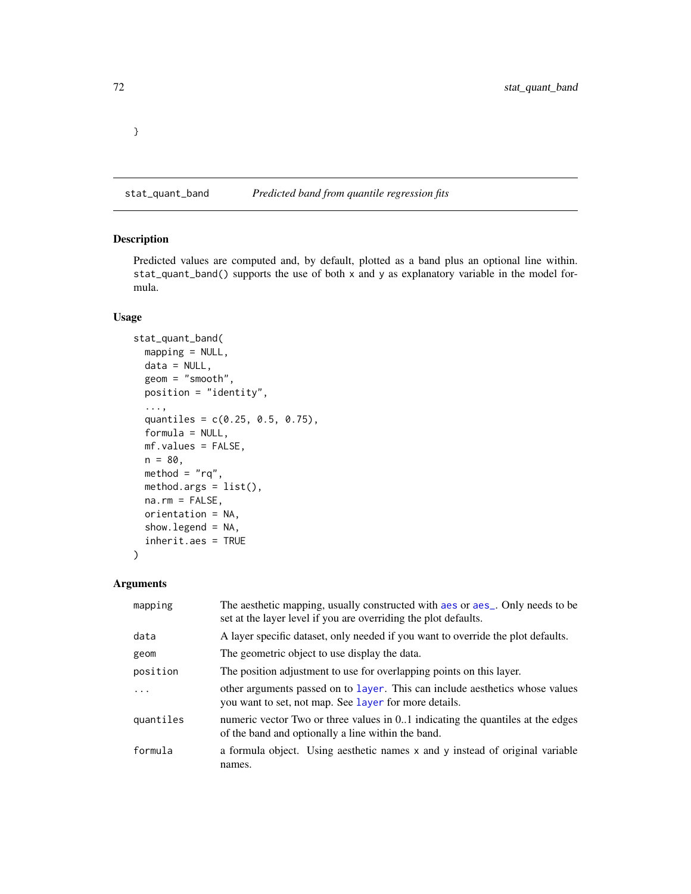stat\_quant\_band *Predicted band from quantile regression fits*

# Description

Predicted values are computed and, by default, plotted as a band plus an optional line within. stat\_quant\_band() supports the use of both x and y as explanatory variable in the model formula.

# Usage

```
stat_quant_band(
 mapping = NULL,
 data = NULL,geom = "smooth",
 position = "identity",
  ...,
  quantiles = c(0.25, 0.5, 0.75),
 formula = NULL,
 mf.values = FALSE,
 n = 80,
 method = "rq",method.args = list(),
 na.rm = FALSE,orientation = NA,
  show.legend = NA,
  inherit.aes = TRUE
)
```
# Arguments

| mapping   | The aesthetic mapping, usually constructed with a es or a es_. Only needs to be<br>set at the layer level if you are overriding the plot defaults. |
|-----------|----------------------------------------------------------------------------------------------------------------------------------------------------|
| data      | A layer specific dataset, only needed if you want to override the plot defaults.                                                                   |
| geom      | The geometric object to use display the data.                                                                                                      |
| position  | The position adjustment to use for overlapping points on this layer.                                                                               |
| .         | other arguments passed on to layer. This can include aesthetics whose values<br>you want to set, not map. See layer for more details.              |
| quantiles | numeric vector Two or three values in 0.1 indicating the quantiles at the edges<br>of the band and optionally a line within the band.              |
| formula   | a formula object. Using aesthetic names x and y instead of original variable<br>names.                                                             |

}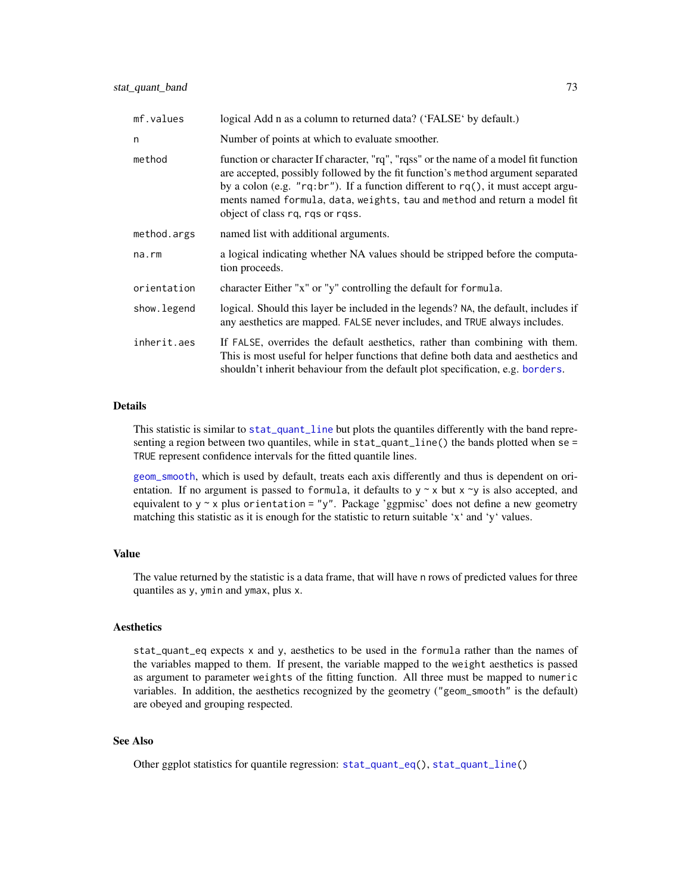<span id="page-72-0"></span>

| mf.values   | logical Add n as a column to returned data? ('FALSE' by default.)                                                                                                                                                                                                                                                                                                               |  |
|-------------|---------------------------------------------------------------------------------------------------------------------------------------------------------------------------------------------------------------------------------------------------------------------------------------------------------------------------------------------------------------------------------|--|
| n           | Number of points at which to evaluate smoother.                                                                                                                                                                                                                                                                                                                                 |  |
| method      | function or character If character, "rq", "rqss" or the name of a model fit function<br>are accepted, possibly followed by the fit function's method argument separated<br>by a colon (e.g. "rq:br"). If a function different to $rq()$ , it must accept argu-<br>ments named formula, data, weights, tau and method and return a model fit<br>object of class rq, rqs or rqss. |  |
| method.args | named list with additional arguments.                                                                                                                                                                                                                                                                                                                                           |  |
| na.rm       | a logical indicating whether NA values should be stripped before the computa-<br>tion proceeds.                                                                                                                                                                                                                                                                                 |  |
| orientation | character Either "x" or "y" controlling the default for formula.                                                                                                                                                                                                                                                                                                                |  |
| show.legend | logical. Should this layer be included in the legends? NA, the default, includes if<br>any aesthetics are mapped. FALSE never includes, and TRUE always includes.                                                                                                                                                                                                               |  |
| inherit.aes | If FALSE, overrides the default aesthetics, rather than combining with them.<br>This is most useful for helper functions that define both data and aesthetics and<br>shouldn't inherit behaviour from the default plot specification, e.g. borders.                                                                                                                             |  |

# Details

This statistic is similar to [stat\\_quant\\_line](#page-82-0) but plots the quantiles differently with the band representing a region between two quantiles, while in stat\_quant\_line() the bands plotted when se = TRUE represent confidence intervals for the fitted quantile lines.

[geom\\_smooth](#page-0-0), which is used by default, treats each axis differently and thus is dependent on orientation. If no argument is passed to formula, it defaults to  $y \sim x$  but  $x \sim y$  is also accepted, and equivalent to  $y \sim x$  plus orientation = "y". Package 'ggpmisc' does not define a new geometry matching this statistic as it is enough for the statistic to return suitable 'x' and 'y' values.

# Value

The value returned by the statistic is a data frame, that will have n rows of predicted values for three quantiles as y, ymin and ymax, plus x.

# Aesthetics

stat\_quant\_eq expects x and y, aesthetics to be used in the formula rather than the names of the variables mapped to them. If present, the variable mapped to the weight aesthetics is passed as argument to parameter weights of the fitting function. All three must be mapped to numeric variables. In addition, the aesthetics recognized by the geometry ("geom\_smooth" is the default) are obeyed and grouping respected.

# See Also

Other ggplot statistics for quantile regression: [stat\\_quant\\_eq\(](#page-74-0)), [stat\\_quant\\_line\(](#page-82-0))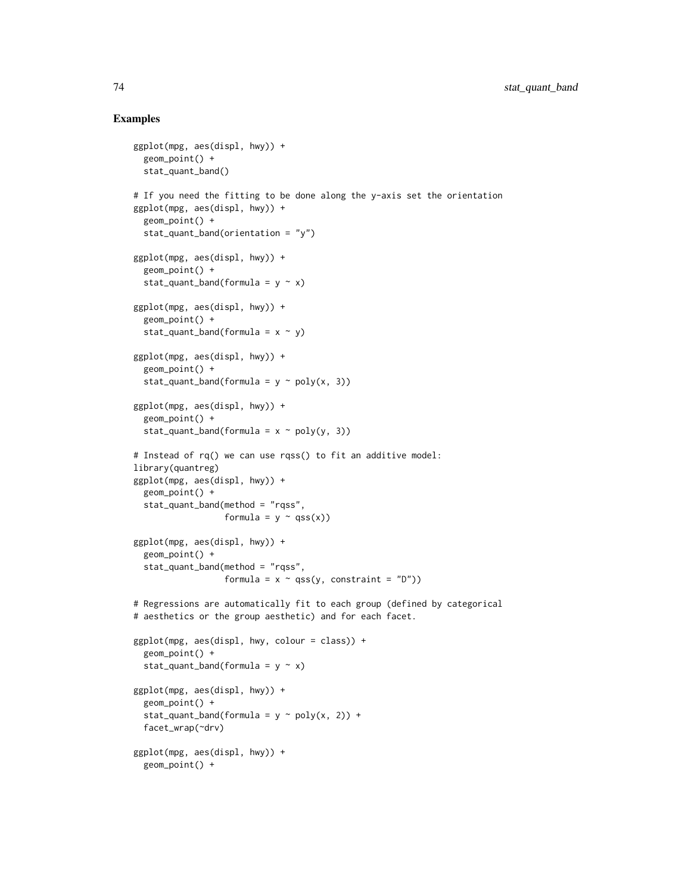```
ggplot(mpg, aes(displ, hwy)) +
 geom_point() +
 stat_quant_band()
# If you need the fitting to be done along the y-axis set the orientation
ggplot(mpg, aes(displ, hwy)) +
 geom_point() +
 stat_quant_band(orientation = "y")
ggplot(mpg, aes(displ, hwy)) +
 geom_point() +
 stat_quant_band(formula = y \sim x)
ggplot(mpg, aes(displ, hwy)) +
 geom_point() +
 stat_quant_band(formula = x \sim y)
ggplot(mpg, aes(displ, hwy)) +
 geom_point() +
 stat_quant_band(formula = y \sim poly(x, 3))
ggplot(mpg, aes(displ, hwy)) +
 geom_point() +
 stat_quant_band(formula = x \sim poly(y, 3))
# Instead of rq() we can use rqss() to fit an additive model:
library(quantreg)
ggplot(mpg, aes(displ, hwy)) +
 geom_point() +
 stat_quant_band(method = "rqss",
                  formula = y \sim \text{qss}(x)ggplot(mpg, aes(displ, hwy)) +
 geom_point() +
 stat_quant_band(method = "rqss",
                  formula = x \sim \text{qss}(y, \text{ constraint} = "D")# Regressions are automatically fit to each group (defined by categorical
# aesthetics or the group aesthetic) and for each facet.
ggplot(mpg, aes(displ, hwy, colour = class)) +
 geom_point() +
 stat_quant_band(formula = y \sim x)
ggplot(mpg, aes(displ, hwy)) +
 geom_point() +
 stat_quant_band(formula = y \sim poly(x, 2)) +
 facet_wrap(~drv)
ggplot(mpg, aes(displ, hwy)) +
 geom_point() +
```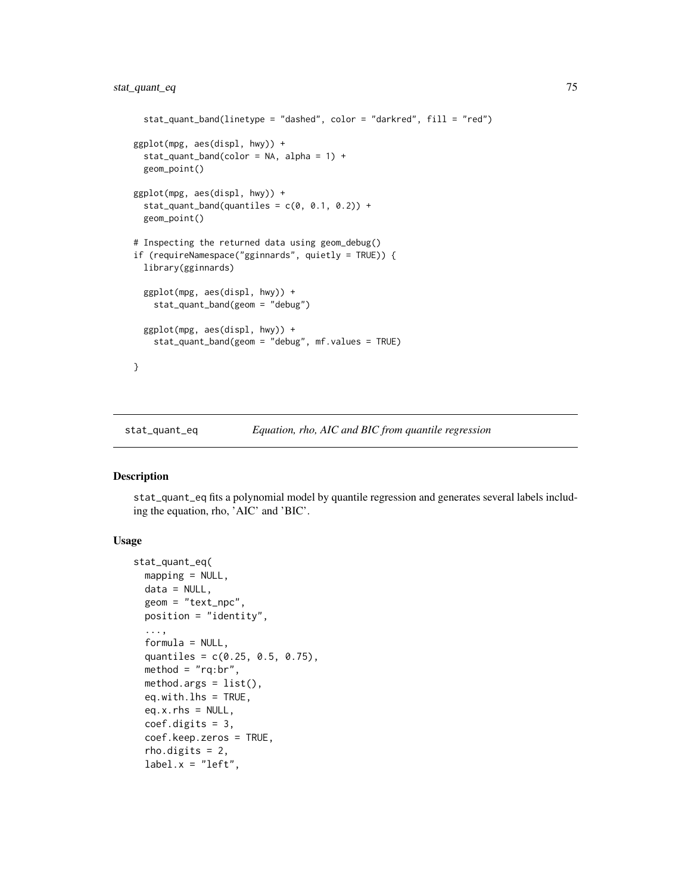```
stat_quant_band(linetype = "dashed", color = "darkred", fill = "red")
ggplot(mpg, aes(displ, hwy)) +
 stat_quant_band(color = NA, alpha = 1) +
 geom_point()
ggplot(mpg, aes(displ, hwy)) +
 stat_quant_band(quantiles = c(\theta, \theta.1, \theta.2)) +
 geom_point()
# Inspecting the returned data using geom_debug()
if (requireNamespace("gginnards", quietly = TRUE)) {
 library(gginnards)
 ggplot(mpg, aes(displ, hwy)) +
    stat_quant_band(geom = "debug")
 ggplot(mpg, aes(displ, hwy)) +
    stat_quant_band(geom = "debug", mf.values = TRUE)
}
```
<span id="page-74-0"></span>stat\_quant\_eq *Equation, rho, AIC and BIC from quantile regression*

# Description

stat\_quant\_eq fits a polynomial model by quantile regression and generates several labels including the equation, rho, 'AIC' and 'BIC'.

# Usage

```
stat_quant_eq(
 mapping = NULL,
  data = NULL,geom = "text_npc",
 position = "identity",
  ...,
  formula = NULL,quantiles = c(0.25, 0.5, 0.75),
 \text{method} = "rq: br",method.args = list(),eq.with.lhs = TRUE,
  eq.x.rhs = NULL,coef.digits = 3,
  coef.keep.zeros = TRUE,
  rho.digits = 2,label.x = "left",
```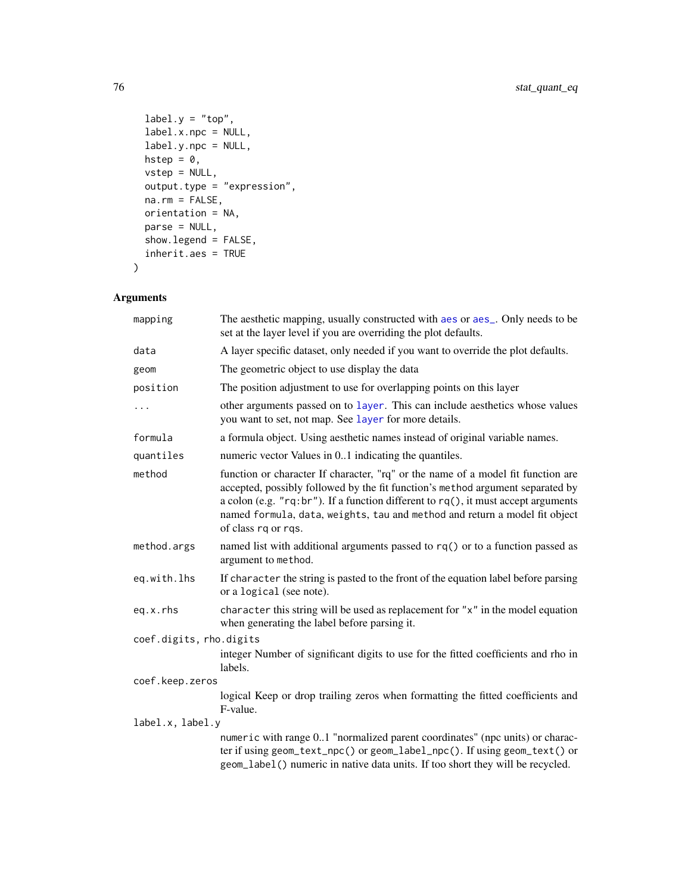```
label.y = "top",label.x.npc = NULL,
 label.y.npc = NULL,
 hstep = 0,
 vstep = NULL,output.type = "expression",
 na.rm = FALSE,orientation = NA,
 parse = NULL,
 show.legend = FALSE,
 inherit.aes = TRUE
\mathcal{L}
```
# Arguments

| mapping                 | The aesthetic mapping, usually constructed with aes or aes_. Only needs to be<br>set at the layer level if you are overriding the plot defaults.                                                                                                                                                                                                                   |  |
|-------------------------|--------------------------------------------------------------------------------------------------------------------------------------------------------------------------------------------------------------------------------------------------------------------------------------------------------------------------------------------------------------------|--|
| data                    | A layer specific dataset, only needed if you want to override the plot defaults.                                                                                                                                                                                                                                                                                   |  |
| geom                    | The geometric object to use display the data                                                                                                                                                                                                                                                                                                                       |  |
| position                | The position adjustment to use for overlapping points on this layer                                                                                                                                                                                                                                                                                                |  |
| $\cdots$                | other arguments passed on to layer. This can include aesthetics whose values<br>you want to set, not map. See layer for more details.                                                                                                                                                                                                                              |  |
| formula                 | a formula object. Using aesthetic names instead of original variable names.                                                                                                                                                                                                                                                                                        |  |
| quantiles               | numeric vector Values in 01 indicating the quantiles.                                                                                                                                                                                                                                                                                                              |  |
| method                  | function or character If character, "rq" or the name of a model fit function are<br>accepted, possibly followed by the fit function's method argument separated by<br>a colon (e.g. $"rq:br"$ ). If a function different to $rq()$ , it must accept arguments<br>named formula, data, weights, tau and method and return a model fit object<br>of class rq or rqs. |  |
| method.args             | named list with additional arguments passed to rq() or to a function passed as<br>argument to method.                                                                                                                                                                                                                                                              |  |
| eq.with.lhs             | If character the string is pasted to the front of the equation label before parsing<br>or a logical (see note).                                                                                                                                                                                                                                                    |  |
| eq.x.rhs                | character this string will be used as replacement for " $x$ " in the model equation<br>when generating the label before parsing it.                                                                                                                                                                                                                                |  |
| coef.digits, rho.digits |                                                                                                                                                                                                                                                                                                                                                                    |  |
|                         | integer Number of significant digits to use for the fitted coefficients and rho in<br>labels.                                                                                                                                                                                                                                                                      |  |
| coef.keep.zeros         |                                                                                                                                                                                                                                                                                                                                                                    |  |
|                         | logical Keep or drop trailing zeros when formatting the fitted coefficients and<br>F-value.                                                                                                                                                                                                                                                                        |  |
| label.x, label.y        |                                                                                                                                                                                                                                                                                                                                                                    |  |
|                         | numeric with range 01 "normalized parent coordinates" (npc units) or charac-<br>ter if using geom_text_npc() or geom_label_npc(). If using geom_text() or<br>geom_label() numeric in native data units. If too short they will be recycled.                                                                                                                        |  |

<span id="page-75-0"></span>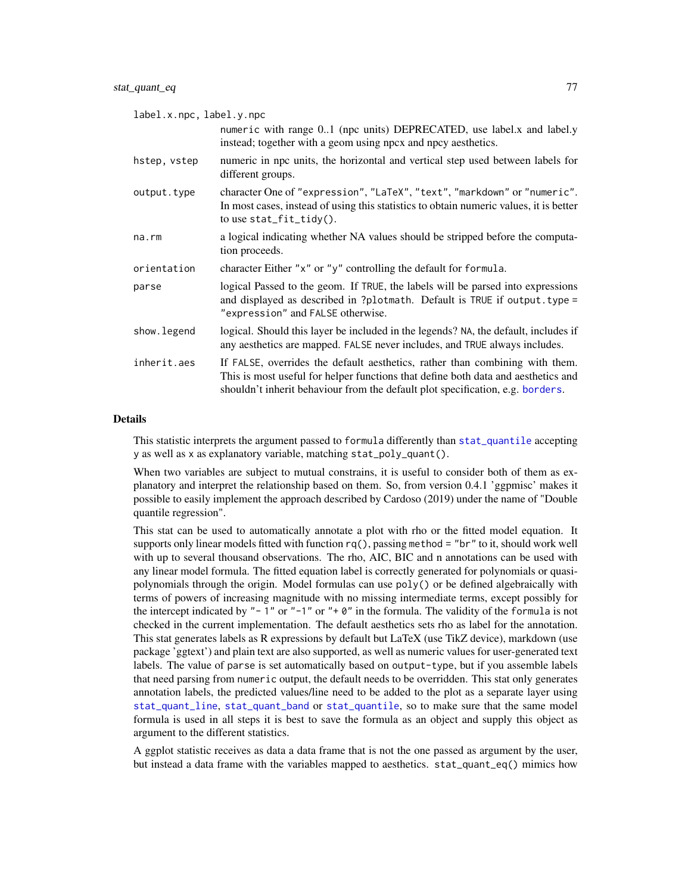<span id="page-76-0"></span>

| label.x.npc, label.y.npc |                                                                                                                                                                                                                                                     |  |
|--------------------------|-----------------------------------------------------------------------------------------------------------------------------------------------------------------------------------------------------------------------------------------------------|--|
|                          | numeric with range 01 (npc units) DEPRECATED, use label.x and label.y<br>instead; together with a geom using npcx and npcy aesthetics.                                                                                                              |  |
| hstep, vstep             | numeric in npc units, the horizontal and vertical step used between labels for<br>different groups.                                                                                                                                                 |  |
| output.type              | character One of "expression", "LaTeX", "text", "markdown" or "numeric".<br>In most cases, instead of using this statistics to obtain numeric values, it is better<br>to use $stat_fit\_tidy()$ .                                                   |  |
| $na$ . $rm$              | a logical indicating whether NA values should be stripped before the computa-<br>tion proceeds.                                                                                                                                                     |  |
| orientation              | character Either "x" or "y" controlling the default for formula.                                                                                                                                                                                    |  |
| parse                    | logical Passed to the geom. If TRUE, the labels will be parsed into expressions<br>and displayed as described in ?plotmath. Default is TRUE if output. type =<br>"expression" and FALSE otherwise.                                                  |  |
| show.legend              | logical. Should this layer be included in the legends? NA, the default, includes if<br>any aesthetics are mapped. FALSE never includes, and TRUE always includes.                                                                                   |  |
| inherit.aes              | If FALSE, overrides the default aesthetics, rather than combining with them.<br>This is most useful for helper functions that define both data and aesthetics and<br>shouldn't inherit behaviour from the default plot specification, e.g. borders. |  |

#### Details

This statistic interprets the argument passed to formula differently than [stat\\_quantile](#page-0-0) accepting y as well as x as explanatory variable, matching stat\_poly\_quant().

When two variables are subject to mutual constrains, it is useful to consider both of them as explanatory and interpret the relationship based on them. So, from version 0.4.1 'ggpmisc' makes it possible to easily implement the approach described by Cardoso (2019) under the name of "Double quantile regression".

This stat can be used to automatically annotate a plot with rho or the fitted model equation. It supports only linear models fitted with function  $rq()$ , passing method = "br" to it, should work well with up to several thousand observations. The rho, AIC, BIC and n annotations can be used with any linear model formula. The fitted equation label is correctly generated for polynomials or quasipolynomials through the origin. Model formulas can use poly() or be defined algebraically with terms of powers of increasing magnitude with no missing intermediate terms, except possibly for the intercept indicated by "-1" or "-1" or "+ $\theta$ " in the formula. The validity of the formula is not checked in the current implementation. The default aesthetics sets rho as label for the annotation. This stat generates labels as R expressions by default but LaTeX (use TikZ device), markdown (use package 'ggtext') and plain text are also supported, as well as numeric values for user-generated text labels. The value of parse is set automatically based on output-type, but if you assemble labels that need parsing from numeric output, the default needs to be overridden. This stat only generates annotation labels, the predicted values/line need to be added to the plot as a separate layer using [stat\\_quant\\_line](#page-82-0), [stat\\_quant\\_band](#page-71-0) or [stat\\_quantile](#page-0-0), so to make sure that the same model formula is used in all steps it is best to save the formula as an object and supply this object as argument to the different statistics.

A ggplot statistic receives as data a data frame that is not the one passed as argument by the user, but instead a data frame with the variables mapped to aesthetics. stat\_quant\_eq() mimics how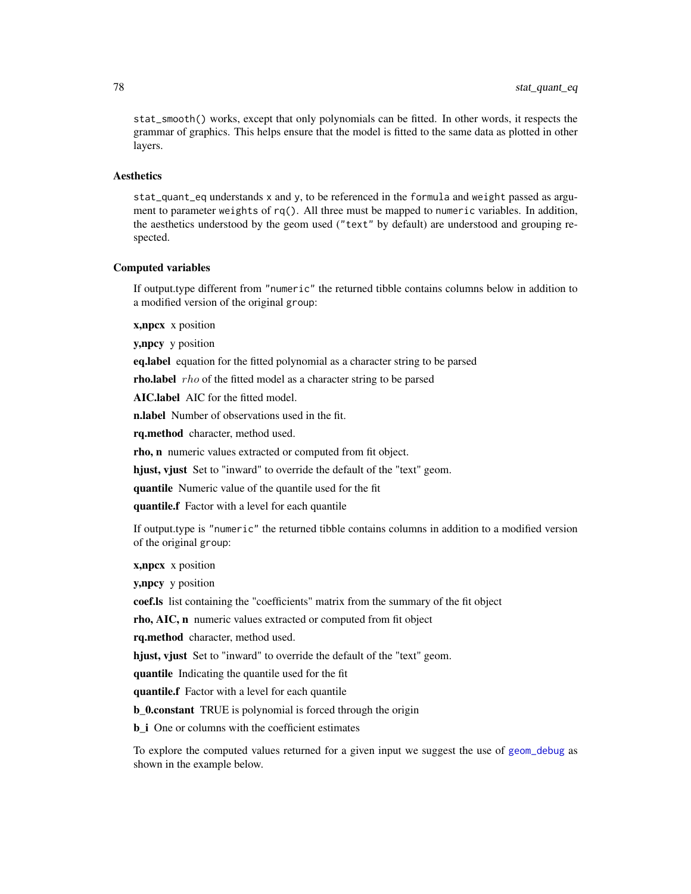<span id="page-77-0"></span>stat\_smooth() works, except that only polynomials can be fitted. In other words, it respects the grammar of graphics. This helps ensure that the model is fitted to the same data as plotted in other layers.

# Aesthetics

stat\_quant\_eq understands x and y, to be referenced in the formula and weight passed as argument to parameter weights of rq(). All three must be mapped to numeric variables. In addition, the aesthetics understood by the geom used ("text" by default) are understood and grouping respected.

# Computed variables

If output.type different from "numeric" the returned tibble contains columns below in addition to a modified version of the original group:

**x,npcx** x position

y,npcy y position

eq.label equation for the fitted polynomial as a character string to be parsed

**rho.label**  $rho$  of the fitted model as a character string to be parsed

AIC.label AIC for the fitted model.

**n.label** Number of observations used in the fit.

rq.method character, method used.

rho, n numeric values extracted or computed from fit object.

hjust, vjust Set to "inward" to override the default of the "text" geom.

quantile Numeric value of the quantile used for the fit

quantile.f Factor with a level for each quantile

If output.type is "numeric" the returned tibble contains columns in addition to a modified version of the original group:

x,npcx x position

y, npcy y position

coef.ls list containing the "coefficients" matrix from the summary of the fit object

rho, AIC, n numeric values extracted or computed from fit object

rq.method character, method used.

hjust, vjust Set to "inward" to override the default of the "text" geom.

quantile Indicating the quantile used for the fit

quantile.f Factor with a level for each quantile

b\_0.constant TRUE is polynomial is forced through the origin

**b** i One or columns with the coefficient estimates

To explore the computed values returned for a given input we suggest the use of [geom\\_debug](#page-6-0) as shown in the example below.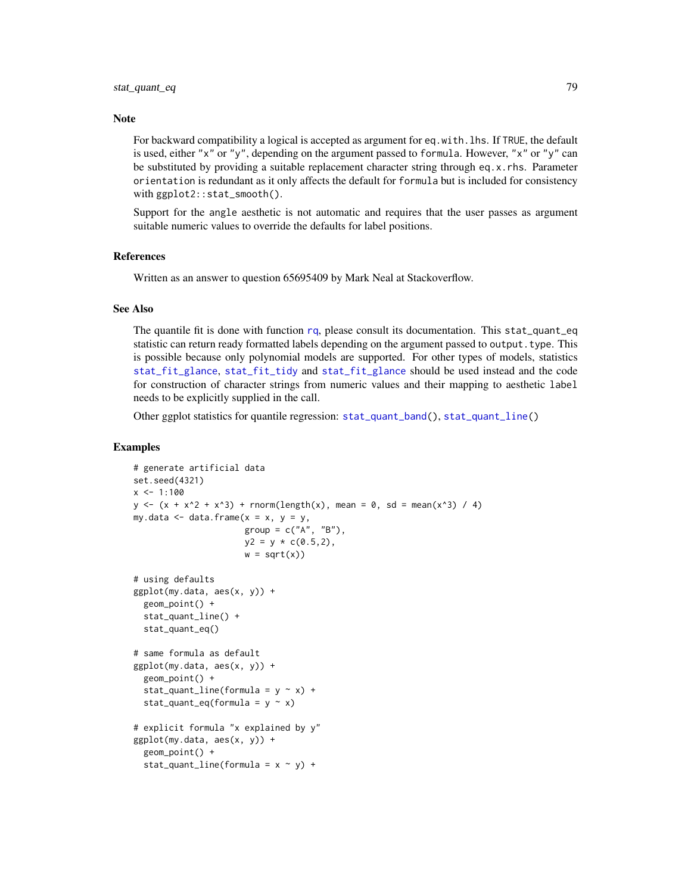#### <span id="page-78-0"></span>**Note**

For backward compatibility a logical is accepted as argument for eq.with. lhs. If TRUE, the default is used, either "x" or "y", depending on the argument passed to formula. However, "x" or "y" can be substituted by providing a suitable replacement character string through eq.x.rhs. Parameter orientation is redundant as it only affects the default for formula but is included for consistency with ggplot2::stat\_smooth().

Support for the angle aesthetic is not automatic and requires that the user passes as argument suitable numeric values to override the defaults for label positions.

# References

Written as an answer to question 65695409 by Mark Neal at Stackoverflow.

# See Also

The quantile fit is done with function [rq](#page-0-0), please consult its documentation. This stat\_quant\_eq statistic can return ready formatted labels depending on the argument passed to output.type. This is possible because only polynomial models are supported. For other types of models, statistics [stat\\_fit\\_glance](#page-29-0), [stat\\_fit\\_tidy](#page-41-0) and [stat\\_fit\\_glance](#page-29-0) should be used instead and the code for construction of character strings from numeric values and their mapping to aesthetic label needs to be explicitly supplied in the call.

Other ggplot statistics for quantile regression: [stat\\_quant\\_band\(](#page-71-0)), [stat\\_quant\\_line\(](#page-82-0))

```
# generate artificial data
set.seed(4321)
x \le -1:100y \le -(x + x^2 + x^3) + \text{norm}(\text{length}(x), \text{ mean } = 0, \text{ sd } = \text{mean}(x^3) / 4)my.data \leq data.frame(x = x, y = y,
                        group = c("A", "B"),
                        y2 = y * c(0.5, 2),
                        w = sqrt(x)# using defaults
ggplot(my.data, aes(x, y)) +
  geom_point() +
  stat_quant_line() +
  stat_quant_eq()
# same formula as default
ggplot(my.data, aes(x, y)) +
  geom_point() +
  stat_quant_line(formula = y \sim x) +
  stat_quant_eq(formula = y \sim x)
# explicit formula "x explained by y"
ggplot(my.data, aes(x, y)) +
  geom_point() +
  stat_quant_line(formula = x \sim y) +
```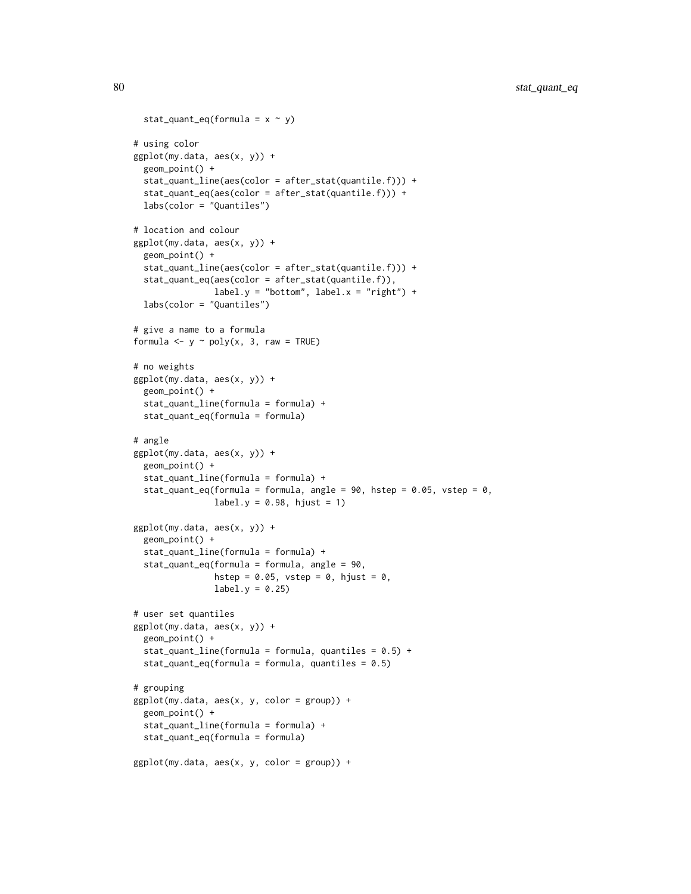```
stat_quant_eq(formula = x \sim y)
# using color
ggplot(my.data, aes(x, y)) +geom_point() +
 stat_quant_line(aes(color = after_stat(quantile.f))) +
 stat_quant_eq(aes(color = after_stat(quantile.f))) +
 labs(color = "Quantiles")
# location and colour
ggplot(my.data, aes(x, y)) +
 geom_point() +
 stat_quant_line(aes(color = after_stat(quantile.f))) +
 stat_quant_eq(aes(color = after_stat(quantile.f)),
                label.y = "bottom", label.x = "right") +labs(color = "Quantiles")
# give a name to a formula
formula \leq y \sim poly(x, 3, raw = TRUE)
# no weights
ggplot(my.data, aes(x, y)) +
 geom_point() +
 stat_quant_line(formula = formula) +
 stat_quant_eq(formula = formula)
# angle
ggplot(my.data, aes(x, y)) +geom_point() +
 stat_quant_line(formula = formula) +
 stat_quant_eq(formula = formula, angle = 90, hstep = 0.05, vstep = 0,
                label.y = 0.98, hjust = 1)
ggplot(my.data, aes(x, y)) +
 geom_point() +
 stat_quant_line(formula = formula) +
 stat_quant_eq(formula = formula, angle = 90,
                hstep = 0.05, vstep = 0, hjust = 0,
                label.y = 0.25# user set quantiles
ggplot(my.data, aes(x, y)) +
 geom_point() +
 stat_quant_line(formula = formula, quantiles = 0.5) +
 stat_quant_eq(formula = formula, quantiles = 0.5)
# grouping
ggplot(my.data, aes(x, y, color = group)) +
 geom_point() +
 stat_quant_line(formula = formula) +
 stat_quant_eq(formula = formula)
ggplot(my.data, aes(x, y, color = group)) +
```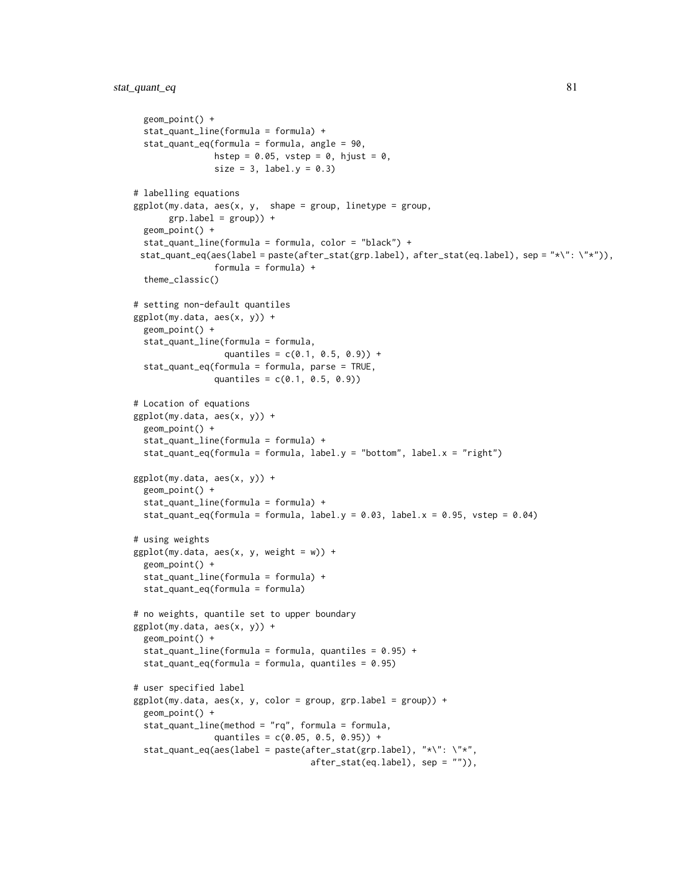```
geom_point() +
 stat_quant_line(formula = formula) +
 stat_quant_eq(formula = formula, angle = 90,
                hstep = 0.05, vstep = 0, hjust = 0,
                size = 3, label.y = 0.3)
# labelling equations
ggplot(my.data, aes(x, y, shape = group, linetype = group,grp.label = group) +
 geom_point() +
 stat_quant_line(formula = formula, color = "black") +
 stat_quant_eq(aes(label = paste(after_stat(grp.label), after_stat(eq.label), sep = "*\": \"*")),
                formula = formula) +theme_classic()
# setting non-default quantiles
ggplot(my.data, aes(x, y)) +
 geom_point() +
 stat_quant_line(formula = formula,
                 quantiles = c(0.1, 0.5, 0.9) +
 stat_quant_eq(formula = formula, parse = TRUE,
                quantiles = c(0.1, 0.5, 0.9)# Location of equations
ggplot(my.data, aes(x, y)) +
 geom_point() +
 stat_quant_line(formula = formula) +
 stat_quant_eq(formula = formula, label.y = "bottom", label.x = "right")
ggplot(my.data, aes(x, y)) +
 geom_point() +
 stat_quant_line(formula = formula) +
 stat_quant_eq(formula = formula, label.y = 0.03, label.x = 0.95, vstep = 0.04)
# using weights
ggplot(my.data, aes(x, y, weight = w)) +geom_point() +
 stat_quant_line(formula = formula) +
 stat_quant_eq(formula = formula)
# no weights, quantile set to upper boundary
ggplot(my.data, aes(x, y)) +
 geom_point() +
 stat_quant_line(formula = formula, quantiles = 0.95) +
 stat_quant_eq(formula = formula, quantiles = 0.95)
# user specified label
ggplot(my.data, aes(x, y, color = group, grp.load = group)) +geom_point() +
 stat_quant_line(method = "rq", formula = formula,
                quantiles = c(0.05, 0.5, 0.95) +
  stat_quant_eq(aes(label = paste(after_stat(grp.label), "*\": \"*",
                                   after_stat(eq.label), sep = "")),
```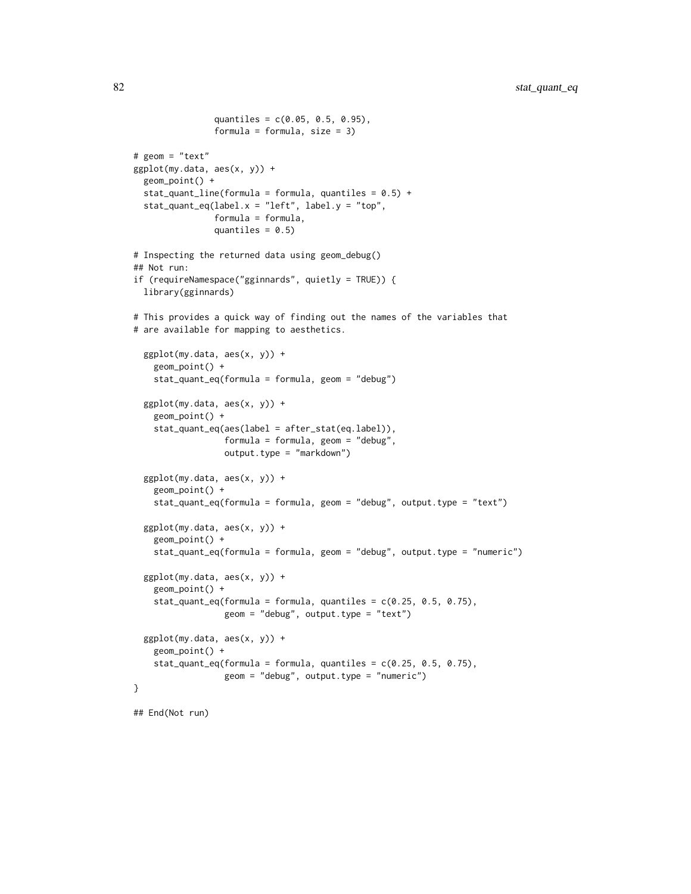```
quantiles = c(0.05, 0.5, 0.95),
                formula = formula, size = 3)
# geom = "text"
ggplot(my.data, aes(x, y)) +
 geom_point() +
 stat_quant_line(formula = formula, quantiles = 0.5) +
 stat_quant_eq(label.x = "left", label.y = "top",
                formula = formula,
                quantiles = 0.5)
# Inspecting the returned data using geom_debug()
## Not run:
if (requireNamespace("gginnards", quietly = TRUE)) {
 library(gginnards)
# This provides a quick way of finding out the names of the variables that
# are available for mapping to aesthetics.
 ggplot(my.data, aes(x, y)) +
   geom_point() +
   stat_quant_eq(formula = formula, geom = "debug")
 ggplot(my.data, aes(x, y)) +
   geom_point() +
    stat_quant_eq(aes(label = after_stat(eq.label)),
                  formula = formula, geom = "debug",
                  output.type = "markdown")
 ggplot(my.data, aes(x, y)) +
   geom_point() +
   stat_quant_eq(formula = formula, geom = "debug", output.type = "text")
 ggplot(my.data, aes(x, y)) +
   geom_point() +
   stat_quant_eq(formula = formula, geom = "debug", output.type = "numeric")
 ggplot(my.data, aes(x, y)) +
    geom_point() +
    stat_quant_eq(formula = formula, quantiles = c(0.25, 0.5, 0.75),
                  geom = "debug", output.type = "text")
 ggplot(my.data, aes(x, y)) +
    geom_point() +
    stat_quant_eq(formula = formula, quantiles = c(0.25, 0.5, 0.75),
                  geom = "debug", output.type = "numeric")
}
```
## End(Not run)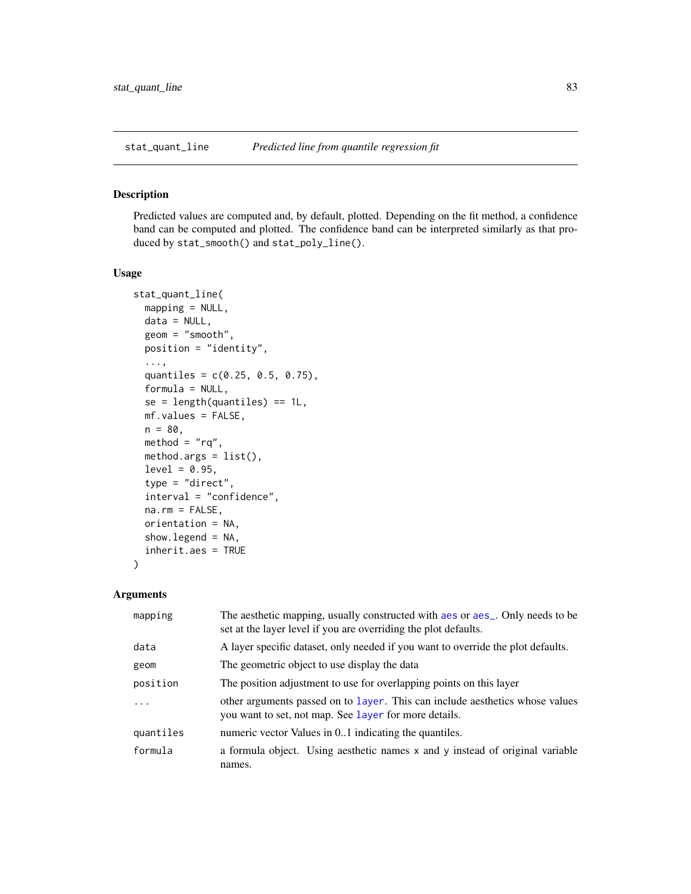# <span id="page-82-1"></span><span id="page-82-0"></span>Description

Predicted values are computed and, by default, plotted. Depending on the fit method, a confidence band can be computed and plotted. The confidence band can be interpreted similarly as that produced by stat\_smooth() and stat\_poly\_line().

# Usage

```
stat_quant_line(
 mapping = NULL,
 data = NULL,geom = "smooth",
 position = "identity",
  ...,
  quantiles = c(0.25, 0.5, 0.75),
 formula = NULL,
  se = length(quantiles) == 1L,mf.values = FALSE,
 n = 80,method = "rq",method.args = list(),level = 0.95,type = "direct",
  interval = "confidence",
 na.rm = FALSE,orientation = NA,
  show.legend = NA,
  inherit.aes = TRUE
)
```
# Arguments

| mapping   | The aesthetic mapping, usually constructed with a es or a es_. Only needs to be<br>set at the layer level if you are overriding the plot defaults. |
|-----------|----------------------------------------------------------------------------------------------------------------------------------------------------|
| data      | A layer specific dataset, only needed if you want to override the plot defaults.                                                                   |
| geom      | The geometric object to use display the data                                                                                                       |
| position  | The position adjustment to use for overlapping points on this layer                                                                                |
| $\cdots$  | other arguments passed on to layer. This can include aesthetics whose values<br>you want to set, not map. See layer for more details.              |
| quantiles | numeric vector Values in 01 indicating the quantiles.                                                                                              |
| formula   | a formula object. Using aesthetic names x and y instead of original variable<br>names.                                                             |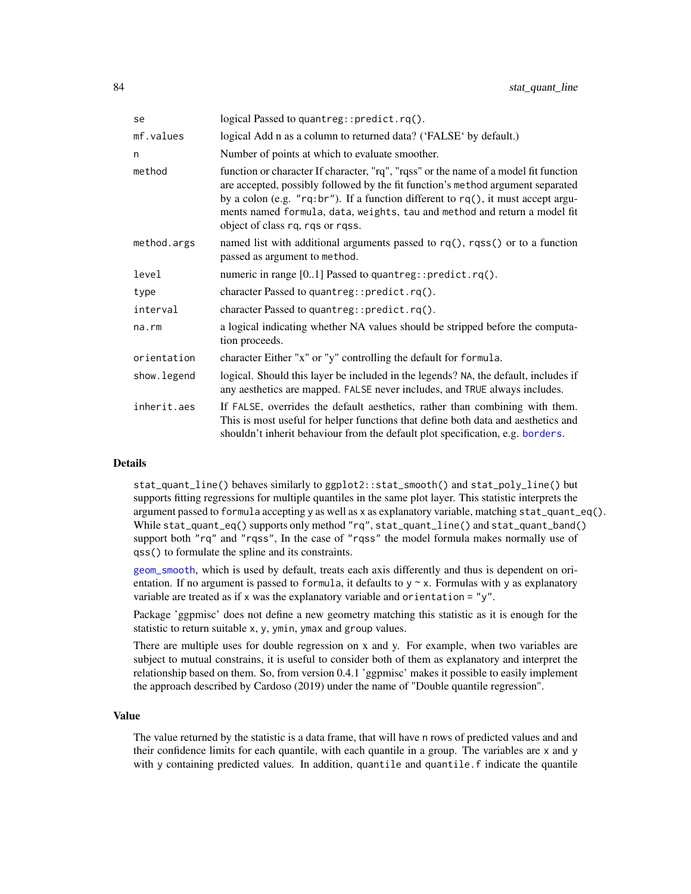<span id="page-83-0"></span>

| se          | logical Passed to quantreg:: predict.rq().                                                                                                                                                                                                                                                                                                                                   |  |
|-------------|------------------------------------------------------------------------------------------------------------------------------------------------------------------------------------------------------------------------------------------------------------------------------------------------------------------------------------------------------------------------------|--|
| mf.values   | logical Add n as a column to returned data? ('FALSE' by default.)                                                                                                                                                                                                                                                                                                            |  |
| n           | Number of points at which to evaluate smoother.                                                                                                                                                                                                                                                                                                                              |  |
| method      | function or character If character, "rq", "rqss" or the name of a model fit function<br>are accepted, possibly followed by the fit function's method argument separated<br>by a colon (e.g. "rq:br"). If a function different to rq(), it must accept argu-<br>ments named formula, data, weights, tau and method and return a model fit<br>object of class rq, rqs or rqss. |  |
| method.args | named list with additional arguments passed to $rq()$ , rqss() or to a function<br>passed as argument to method.                                                                                                                                                                                                                                                             |  |
| level       | numeric in range [01] Passed to quantreg:: predict.rq().                                                                                                                                                                                                                                                                                                                     |  |
| type        | character Passed to quantreg::predict.rq().                                                                                                                                                                                                                                                                                                                                  |  |
| interval    | character Passed to quantreg::predict.rq().                                                                                                                                                                                                                                                                                                                                  |  |
| $na$ . $rm$ | a logical indicating whether NA values should be stripped before the computa-<br>tion proceeds.                                                                                                                                                                                                                                                                              |  |
| orientation | character Either "x" or "y" controlling the default for formula.                                                                                                                                                                                                                                                                                                             |  |
| show.legend | logical. Should this layer be included in the legends? NA, the default, includes if<br>any aesthetics are mapped. FALSE never includes, and TRUE always includes.                                                                                                                                                                                                            |  |
| inherit.aes | If FALSE, overrides the default aesthetics, rather than combining with them.<br>This is most useful for helper functions that define both data and aesthetics and<br>shouldn't inherit behaviour from the default plot specification, e.g. borders.                                                                                                                          |  |

# Details

stat\_quant\_line() behaves similarly to ggplot2::stat\_smooth() and stat\_poly\_line() but supports fitting regressions for multiple quantiles in the same plot layer. This statistic interprets the argument passed to formula accepting y as well as x as explanatory variable, matching  $stat\_quant\_eq()$ . While stat\_quant\_eq() supports only method "rq", stat\_quant\_line() and stat\_quant\_band() support both "rq" and "rqss", In the case of "rqss" the model formula makes normally use of qss() to formulate the spline and its constraints.

[geom\\_smooth](#page-0-0), which is used by default, treats each axis differently and thus is dependent on orientation. If no argument is passed to formula, it defaults to  $y \sim x$ . Formulas with y as explanatory variable are treated as if x was the explanatory variable and orientation = "y".

Package 'ggpmisc' does not define a new geometry matching this statistic as it is enough for the statistic to return suitable x, y, ymin, ymax and group values.

There are multiple uses for double regression on x and y. For example, when two variables are subject to mutual constrains, it is useful to consider both of them as explanatory and interpret the relationship based on them. So, from version 0.4.1 'ggpmisc' makes it possible to easily implement the approach described by Cardoso (2019) under the name of "Double quantile regression".

# Value

The value returned by the statistic is a data frame, that will have n rows of predicted values and and their confidence limits for each quantile, with each quantile in a group. The variables are x and y with y containing predicted values. In addition, quantile and quantile.f indicate the quantile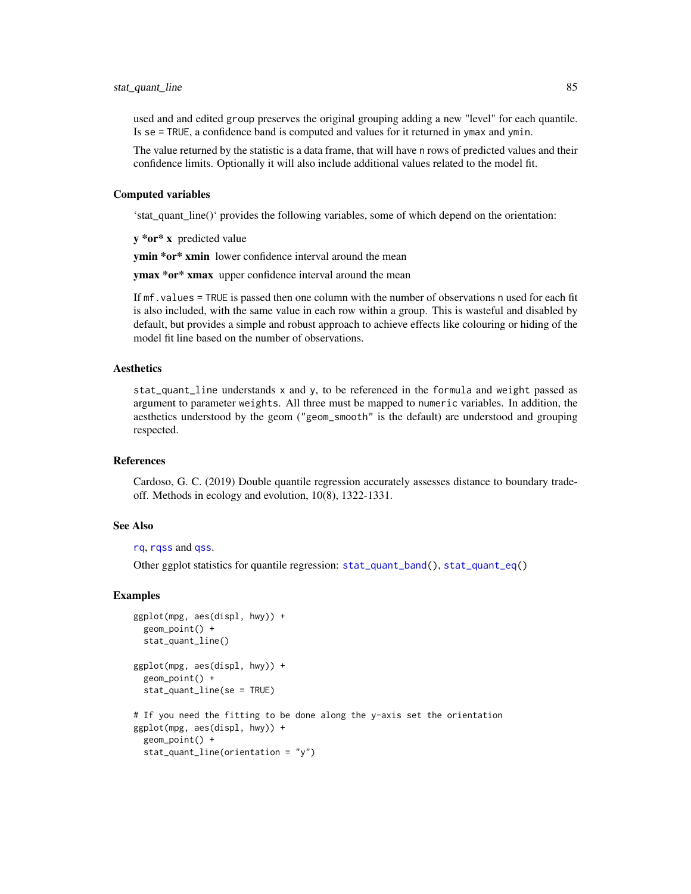<span id="page-84-0"></span>used and and edited group preserves the original grouping adding a new "level" for each quantile. Is se = TRUE, a confidence band is computed and values for it returned in ymax and ymin.

The value returned by the statistic is a data frame, that will have n rows of predicted values and their confidence limits. Optionally it will also include additional values related to the model fit.

### Computed variables

'stat\_quant\_line()' provides the following variables, some of which depend on the orientation:

y \*or\* x predicted value

ymin \*or\* xmin lower confidence interval around the mean

ymax \*or\* xmax upper confidence interval around the mean

If mf.values = TRUE is passed then one column with the number of observations n used for each fit is also included, with the same value in each row within a group. This is wasteful and disabled by default, but provides a simple and robust approach to achieve effects like colouring or hiding of the model fit line based on the number of observations.

# Aesthetics

stat\_quant\_line understands x and y, to be referenced in the formula and weight passed as argument to parameter weights. All three must be mapped to numeric variables. In addition, the aesthetics understood by the geom ("geom\_smooth" is the default) are understood and grouping respected.

# References

Cardoso, G. C. (2019) Double quantile regression accurately assesses distance to boundary tradeoff. Methods in ecology and evolution, 10(8), 1322-1331.

# See Also

[rq](#page-0-0), [rqss](#page-0-0) and [qss](#page-0-0).

Other ggplot statistics for quantile regression: [stat\\_quant\\_band\(](#page-71-0)), [stat\\_quant\\_eq\(](#page-74-0))

```
ggplot(mpg, aes(displ, hwy)) +
 geom_point() +
 stat_quant_line()
ggplot(mpg, aes(displ, hwy)) +
 geom_point() +
 stat_quant_line(se = TRUE)
# If you need the fitting to be done along the y-axis set the orientation
ggplot(mpg, aes(displ, hwy)) +
 geom_point() +
 stat_quant_line(orientation = "y")
```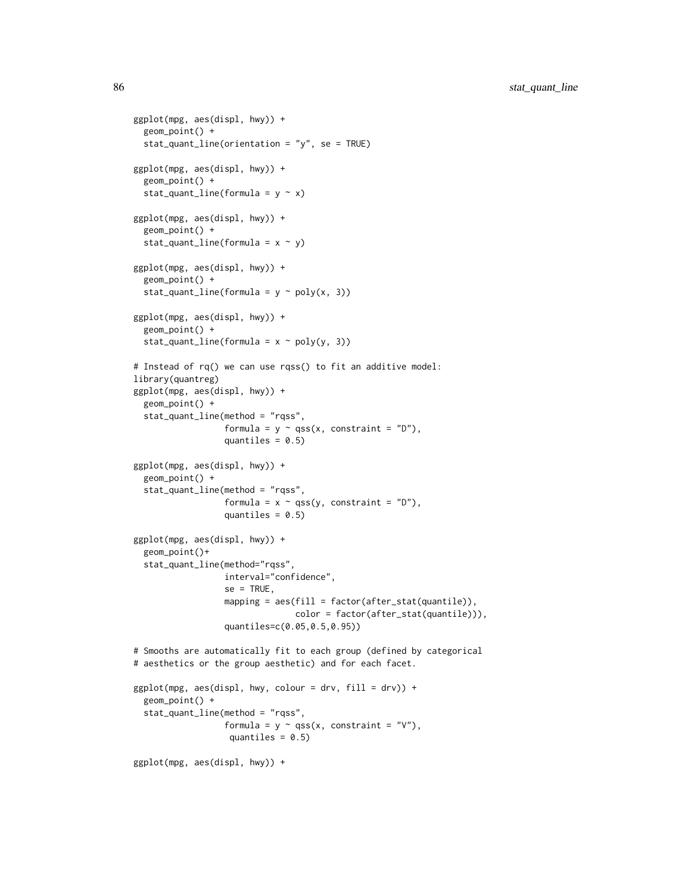```
ggplot(mpg, aes(displ, hwy)) +
  geom_point() +
  stat_quant_line(orientation = "y", se = TRUE)
ggplot(mpg, aes(displ, hwy)) +
  geom_point() +
  stat_quant_line(formula = y \sim x)
ggplot(mpg, aes(displ, hwy)) +
  geom_point() +
  stat_quant_line(formula = x \sim y)
ggplot(mpg, aes(displ, hwy)) +
  geom_point() +
  stat_quant_line(formula = y \sim poly(x, 3))
ggplot(mpg, aes(displ, hwy)) +
  geom_point() +
  stat_quant_line(formula = x \sim poly(y, 3))
# Instead of rq() we can use rqss() to fit an additive model:
library(quantreg)
ggplot(mpg, aes(displ, hwy)) +
  geom_point() +
  stat_quant_line(method = "rqss",
                  formula = y \sim qss(x, constant = "D"),
                  quantiles = 0.5)
ggplot(mpg, aes(displ, hwy)) +
  geom_point() +
  stat_quant_line(method = "rqss",
                  formula = x \sim qss(y, constant = "D"),
                  quantiles = 0.5)
ggplot(mpg, aes(displ, hwy)) +
  geom_point()+
  stat_quant_line(method="rqss",
                  interval="confidence",
                  se = TRUE,mapping = aes(fill = factor(after_stat(quantile)),color = factor(after_stat(quantile))),
                  quantiles=c(0.05,0.5,0.95))
# Smooths are automatically fit to each group (defined by categorical
# aesthetics or the group aesthetic) and for each facet.
ggplot(mpg, aes(displ, hwy, colour = dry, fill = dry)) +geom_point() +
  stat_quant_line(method = "rqss",
                  formula = y \sim qss(x, constant = "V"),
                   quantiles = 0.5)
ggplot(mpg, aes(displ, hwy)) +
```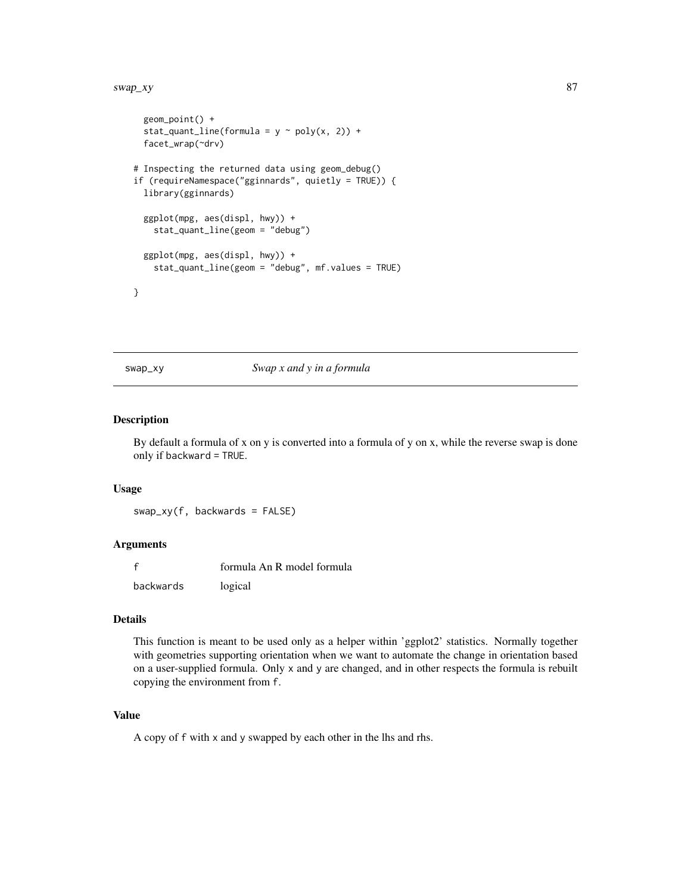#### <span id="page-86-0"></span>swap\_xy 87

```
geom_point() +
 stat_quant_line(formula = y \sim poly(x, 2)) +
 facet_wrap(~drv)
# Inspecting the returned data using geom_debug()
if (requireNamespace("gginnards", quietly = TRUE)) {
 library(gginnards)
 ggplot(mpg, aes(displ, hwy)) +
   stat_quant_line(geom = "debug")
 ggplot(mpg, aes(displ, hwy)) +
    stat_quant_line(geom = "debug", mf.values = TRUE)
}
```
#### swap\_xy *Swap x and y in a formula*

# Description

By default a formula of x on y is converted into a formula of y on x, while the reverse swap is done only if backward = TRUE.

#### Usage

swap\_xy(f, backwards = FALSE)

# Arguments

|           | formula An R model formula |
|-----------|----------------------------|
| backwards | logical                    |

# Details

This function is meant to be used only as a helper within 'ggplot2' statistics. Normally together with geometries supporting orientation when we want to automate the change in orientation based on a user-supplied formula. Only x and y are changed, and in other respects the formula is rebuilt copying the environment from f.

# Value

A copy of f with x and y swapped by each other in the lhs and rhs.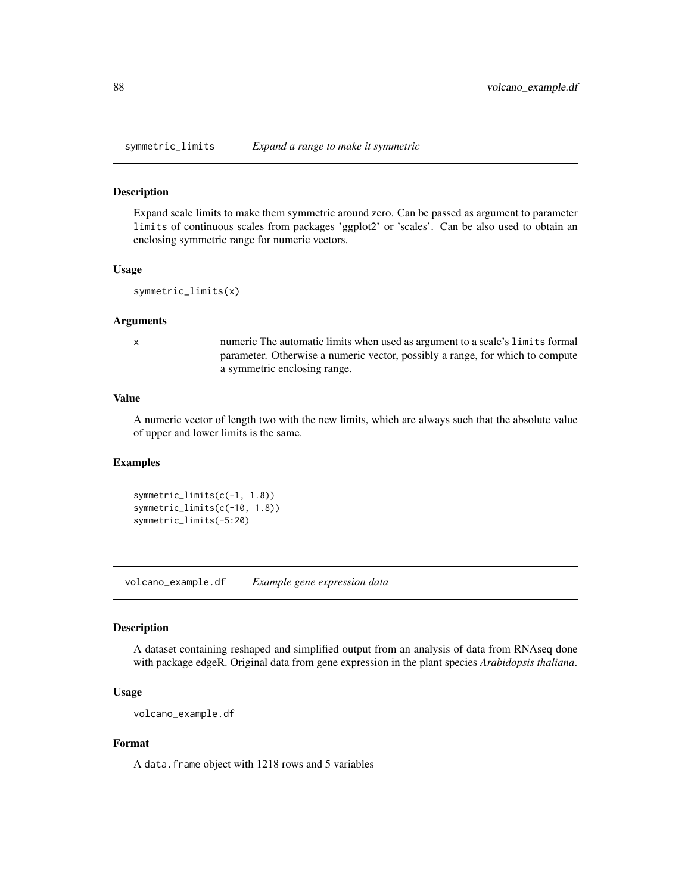<span id="page-87-0"></span>symmetric\_limits *Expand a range to make it symmetric*

# Description

Expand scale limits to make them symmetric around zero. Can be passed as argument to parameter limits of continuous scales from packages 'ggplot2' or 'scales'. Can be also used to obtain an enclosing symmetric range for numeric vectors.

#### Usage

symmetric\_limits(x)

#### Arguments

x numeric The automatic limits when used as argument to a scale's limits formal parameter. Otherwise a numeric vector, possibly a range, for which to compute a symmetric enclosing range.

# Value

A numeric vector of length two with the new limits, which are always such that the absolute value of upper and lower limits is the same.

# Examples

```
symmetric_limits(c(-1, 1.8))
symmetric_limits(c(-10, 1.8))
symmetric_limits(-5:20)
```
volcano\_example.df *Example gene expression data*

# **Description**

A dataset containing reshaped and simplified output from an analysis of data from RNAseq done with package edgeR. Original data from gene expression in the plant species *Arabidopsis thaliana*.

# Usage

```
volcano_example.df
```
# Format

A data.frame object with 1218 rows and 5 variables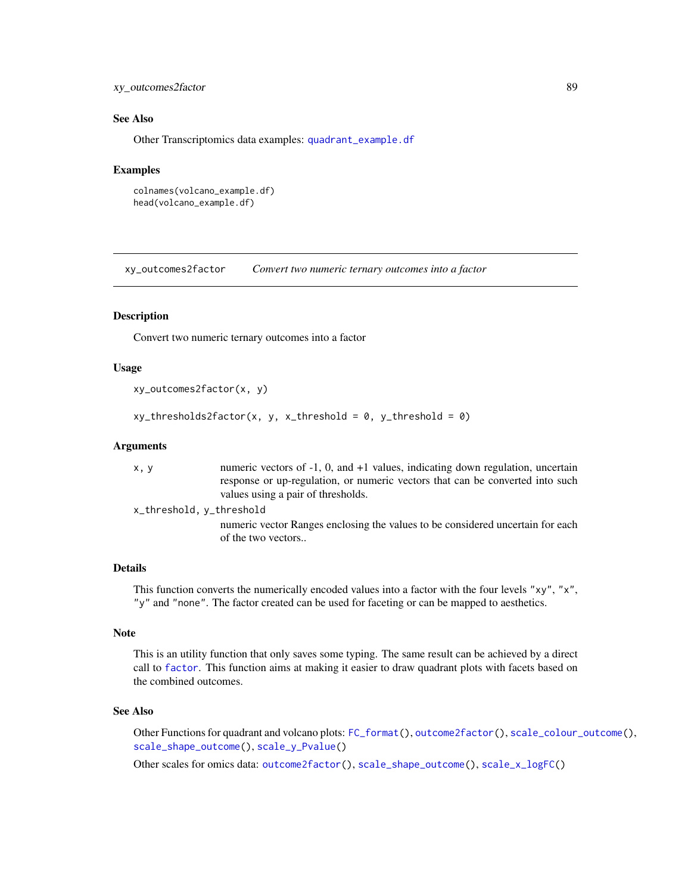# <span id="page-88-0"></span>xy\_outcomes2factor 89

# See Also

Other Transcriptomics data examples: [quadrant\\_example.df](#page-8-0)

#### Examples

```
colnames(volcano_example.df)
head(volcano_example.df)
```
xy\_outcomes2factor *Convert two numeric ternary outcomes into a factor*

# Description

Convert two numeric ternary outcomes into a factor

# Usage

```
xy_outcomes2factor(x, y)
```
 $xy_\text{th}$ resholds2factor(x, y, x\_threshold = 0, y\_threshold = 0)

# Arguments

x, y numeric vectors of -1, 0, and +1 values, indicating down regulation, uncertain response or up-regulation, or numeric vectors that can be converted into such values using a pair of thresholds.

x\_threshold, y\_threshold

numeric vector Ranges enclosing the values to be considered uncertain for each of the two vectors..

# Details

This function converts the numerically encoded values into a factor with the four levels "xy", "x", "y" and "none". The factor created can be used for faceting or can be mapped to aesthetics.

# Note

This is an utility function that only saves some typing. The same result can be achieved by a direct call to [factor](#page-0-0). This function aims at making it easier to draw quadrant plots with facets based on the combined outcomes.

# See Also

Other Functions for quadrant and volcano plots: [FC\\_format\(](#page-0-0)), [outcome2factor\(](#page-6-1)), [scale\\_colour\\_outcome\(](#page-9-0)), [scale\\_shape\\_outcome\(](#page-10-0)), [scale\\_y\\_Pvalue\(](#page-15-0))

Other scales for omics data: [outcome2factor\(](#page-6-1)), [scale\\_shape\\_outcome\(](#page-10-0)), [scale\\_x\\_logFC\(](#page-12-0))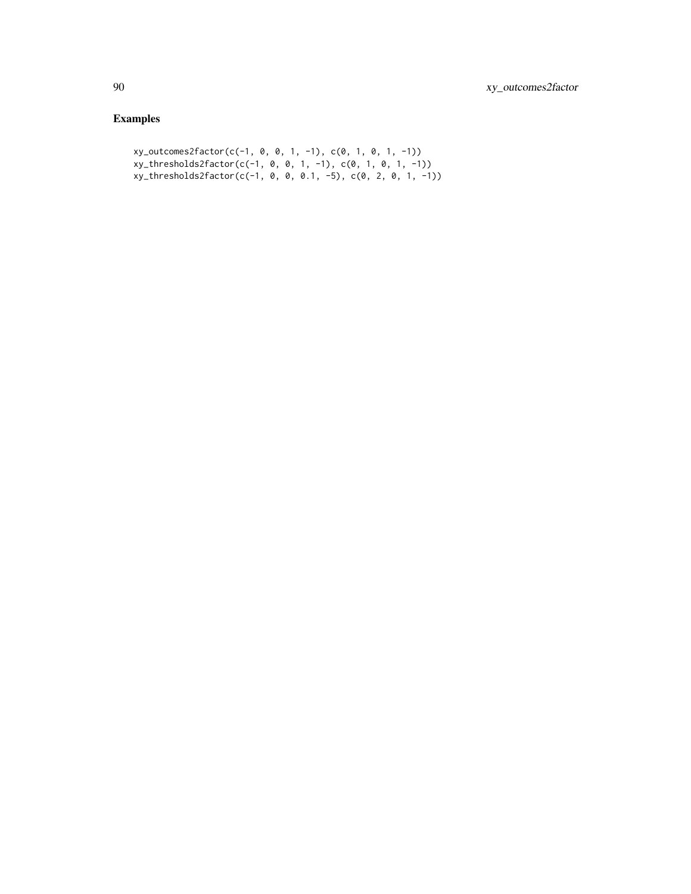```
xy_outcomes2factor(c(-1, 0, 0, 1, -1), c(0, 1, 0, 1, -1))
xy_thresholds2factor(c(-1, 0, 0, 1, -1), c(0, 1, 0, 1, -1))
xy_thresholds2factor(c(-1, 0, 0, 0.1, -5), c(0, 2, 0, 1, -1))
```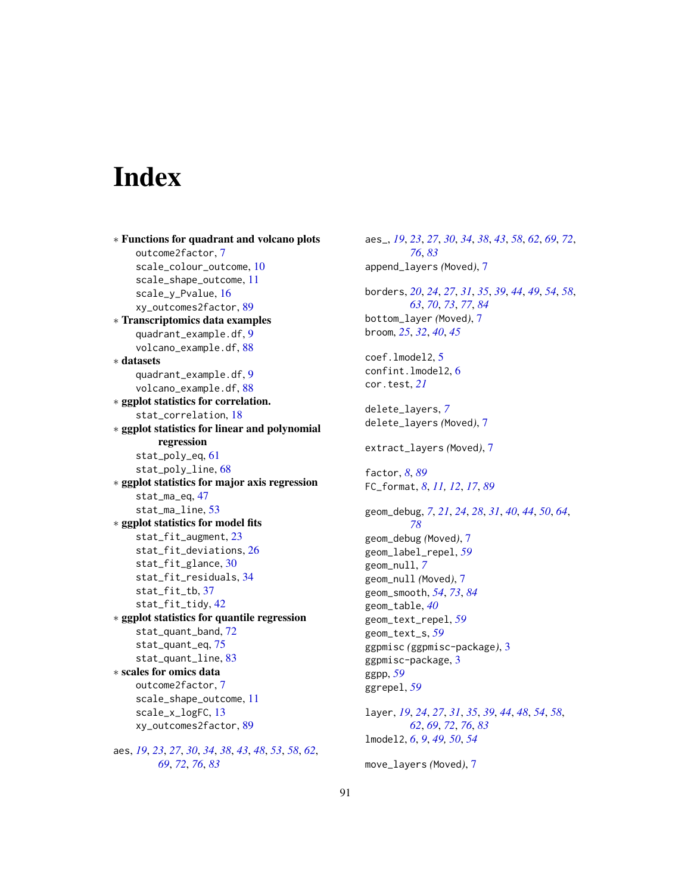# **Index**

∗ Functions for quadrant and volcano plots outcome2factor, [7](#page-6-2) scale\_colour\_outcome, [10](#page-9-1) scale\_shape\_outcome, [11](#page-10-1) scale\_y\_Pvalue, [16](#page-15-1) xy\_outcomes2factor, [89](#page-88-0) ∗ Transcriptomics data examples quadrant\_example.df, [9](#page-8-1) volcano\_example.df, [88](#page-87-0) ∗ datasets quadrant\_example.df, [9](#page-8-1) volcano\_example.df, [88](#page-87-0) ∗ ggplot statistics for correlation. stat\_correlation, [18](#page-17-0) ∗ ggplot statistics for linear and polynomial regression stat\_poly\_eq, [61](#page-60-0) stat\_poly\_line, [68](#page-67-0) ∗ ggplot statistics for major axis regression stat\_ma\_eq, [47](#page-46-0) stat\_ma\_line, [53](#page-52-0) ∗ ggplot statistics for model fits stat\_fit\_augment, [23](#page-22-0) stat\_fit\_deviations, [26](#page-25-0) stat\_fit\_glance, [30](#page-29-1) stat\_fit\_residuals, [34](#page-33-0) stat\_fit\_tb, [37](#page-36-0) stat\_fit\_tidy, [42](#page-41-1) ∗ ggplot statistics for quantile regression stat\_quant\_band, [72](#page-71-1) stat\_quant\_eq, [75](#page-74-1) stat\_quant\_line, [83](#page-82-1) ∗ scales for omics data outcome2factor, [7](#page-6-2) scale\_shape\_outcome, [11](#page-10-1) scale\_x\_logFC, [13](#page-12-1) xy\_outcomes2factor, [89](#page-88-0) aes, *[19](#page-18-0)*, *[23](#page-22-0)*, *[27](#page-26-0)*, *[30](#page-29-1)*, *[34](#page-33-0)*, *[38](#page-37-0)*, *[43](#page-42-0)*, *[48](#page-47-0)*, *[53](#page-52-0)*, *[58](#page-57-0)*, *[62](#page-61-0)*,

*[69](#page-68-0)*, *[72](#page-71-1)*, *[76](#page-75-0)*, *[83](#page-82-1)*

aes\_, *[19](#page-18-0)*, *[23](#page-22-0)*, *[27](#page-26-0)*, *[30](#page-29-1)*, *[34](#page-33-0)*, *[38](#page-37-0)*, *[43](#page-42-0)*, *[58](#page-57-0)*, *[62](#page-61-0)*, *[69](#page-68-0)*, *[72](#page-71-1)*, *[76](#page-75-0)*, *[83](#page-82-1)* append\_layers *(*Moved*)*, [7](#page-6-2) borders, *[20](#page-19-0)*, *[24](#page-23-0)*, *[27](#page-26-0)*, *[31](#page-30-0)*, *[35](#page-34-0)*, *[39](#page-38-0)*, *[44](#page-43-0)*, *[49](#page-48-0)*, *[54](#page-53-0)*, *[58](#page-57-0)*, *[63](#page-62-0)*, *[70](#page-69-0)*, *[73](#page-72-0)*, *[77](#page-76-0)*, *[84](#page-83-0)* bottom\_layer *(*Moved*)*, [7](#page-6-2) broom, *[25](#page-24-0)*, *[32](#page-31-0)*, *[40](#page-39-0)*, *[45](#page-44-0)* coef.lmodel2, [5](#page-4-0) confint.lmodel2, [6](#page-5-0) cor.test, *[21](#page-20-0)* delete\_layers, *[7](#page-6-2)* delete\_layers *(*Moved*)*, [7](#page-6-2) extract\_layers *(*Moved*)*, [7](#page-6-2) factor, *[8](#page-7-0)*, *[89](#page-88-0)* FC\_format, *[8](#page-7-0)*, *[11,](#page-10-1) [12](#page-11-0)*, *[17](#page-16-0)*, *[89](#page-88-0)* geom\_debug, *[7](#page-6-2)*, *[21](#page-20-0)*, *[24](#page-23-0)*, *[28](#page-27-0)*, *[31](#page-30-0)*, *[40](#page-39-0)*, *[44](#page-43-0)*, *[50](#page-49-0)*, *[64](#page-63-0)*, *[78](#page-77-0)* geom\_debug *(*Moved*)*, [7](#page-6-2) geom\_label\_repel, *[59](#page-58-0)* geom\_null, *[7](#page-6-2)* geom\_null *(*Moved*)*, [7](#page-6-2) geom\_smooth, *[54](#page-53-0)*, *[73](#page-72-0)*, *[84](#page-83-0)* geom\_table, *[40](#page-39-0)* geom\_text\_repel, *[59](#page-58-0)* geom\_text\_s, *[59](#page-58-0)* ggpmisc *(*ggpmisc-package*)*, [3](#page-2-0) ggpmisc-package, [3](#page-2-0) ggpp, *[59](#page-58-0)* ggrepel, *[59](#page-58-0)* layer, *[19](#page-18-0)*, *[24](#page-23-0)*, *[27](#page-26-0)*, *[31](#page-30-0)*, *[35](#page-34-0)*, *[39](#page-38-0)*, *[44](#page-43-0)*, *[48](#page-47-0)*, *[54](#page-53-0)*, *[58](#page-57-0)*, *[62](#page-61-0)*, *[69](#page-68-0)*, *[72](#page-71-1)*, *[76](#page-75-0)*, *[83](#page-82-1)* lmodel2, *[6](#page-5-0)*, *[9](#page-8-1)*, *[49,](#page-48-0) [50](#page-49-0)*, *[54](#page-53-0)* move\_layers *(*Moved*)*, [7](#page-6-2)